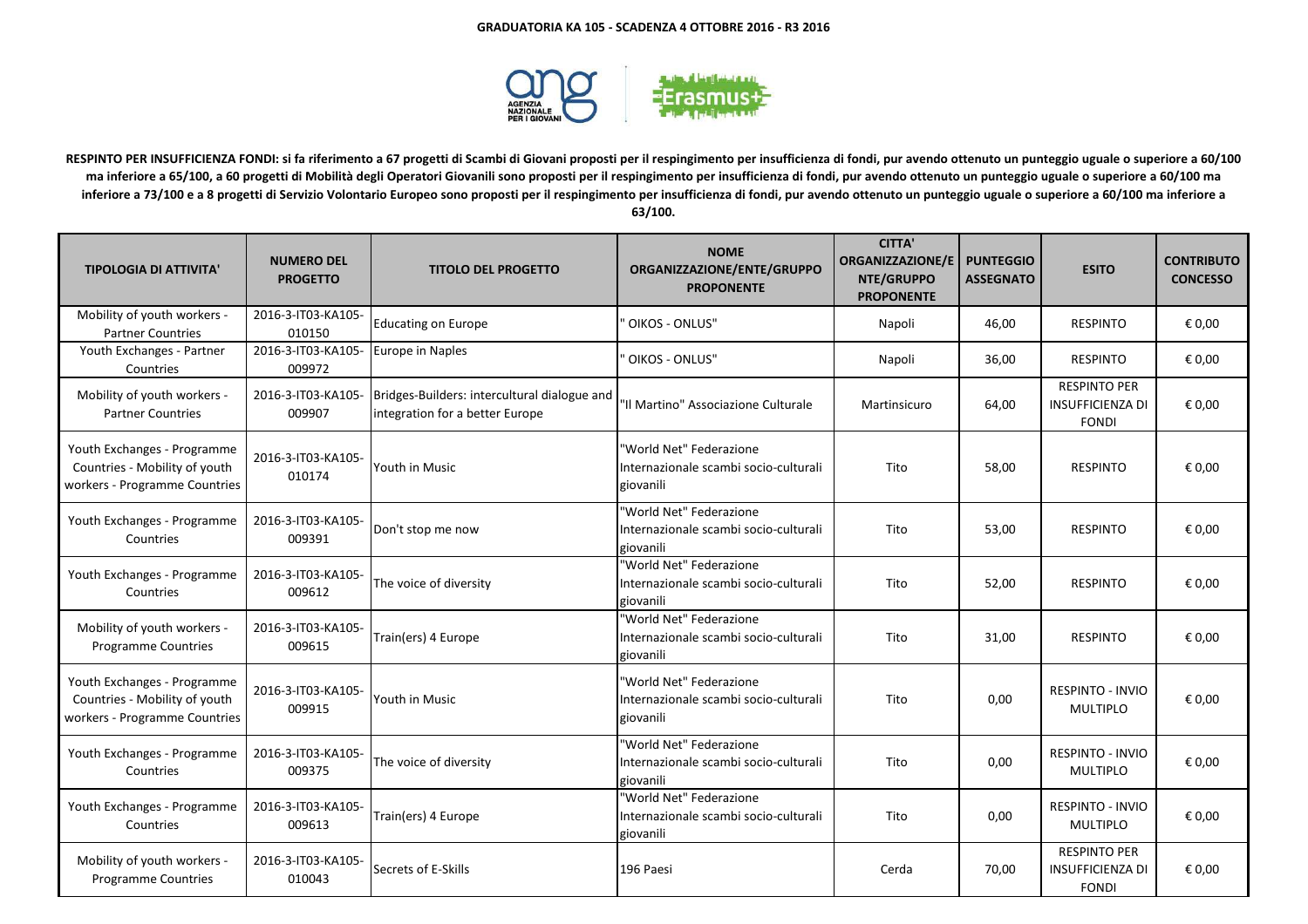

**RESPINTO PER INSUFFICIENZA FONDI: si fa riferimento a 67 progetti di Scambi di Giovani proposti per il respingimento per insufficienza di fondi, pur avendo ottenuto un punteggio uguale o superiore a 60/100 ma inferiore a 65/100, a 60 progetti di Mobilità degli Operatori Giovanili sono proposti per il respingimento per insufficienza di fondi, pur avendo ottenuto un punteggio uguale o superiore a 60/100 ma inferiore a 73/100 e a 8 progetti di Servizio Volontario Europeo sono proposti per il respingimento per insufficienza di fondi, pur avendo ottenuto un punteggio uguale o superiore a 60/100 ma inferiore a 63/100.**

| <b>TIPOLOGIA DI ATTIVITA'</b>                                                                 | <b>NUMERO DEL</b><br><b>PROGETTO</b> | <b>TITOLO DEL PROGETTO</b>                                                      | <b>NOME</b><br>ORGANIZZAZIONE/ENTE/GRUPPO<br><b>PROPONENTE</b>                | <b>CITTA'</b><br><b>ORGANIZZAZIONE/E</b><br>NTE/GRUPPO<br><b>PROPONENTE</b> | <b>PUNTEGGIO</b><br><b>ASSEGNATO</b> | <b>ESITO</b>                                                   | <b>CONTRIBUTO</b><br><b>CONCESSO</b> |
|-----------------------------------------------------------------------------------------------|--------------------------------------|---------------------------------------------------------------------------------|-------------------------------------------------------------------------------|-----------------------------------------------------------------------------|--------------------------------------|----------------------------------------------------------------|--------------------------------------|
| Mobility of youth workers -<br><b>Partner Countries</b>                                       | 2016-3-IT03-KA105-<br>010150         | <b>Educating on Europe</b>                                                      | OIKOS - ONLUS"                                                                | Napoli                                                                      | 46,00                                | <b>RESPINTO</b>                                                | € 0,00                               |
| Youth Exchanges - Partner<br>Countries                                                        | 2016-3-IT03-KA105-<br>009972         | Europe in Naples                                                                | ' OIKOS - ONLUS"                                                              | Napoli                                                                      | 36,00                                | <b>RESPINTO</b>                                                | € 0,00                               |
| Mobility of youth workers -<br><b>Partner Countries</b>                                       | 2016-3-IT03-KA105-<br>009907         | Bridges-Builders: intercultural dialogue and<br>integration for a better Europe | 'Il Martino" Associazione Culturale                                           | Martinsicuro                                                                | 64,00                                | <b>RESPINTO PER</b><br><b>INSUFFICIENZA DI</b><br><b>FONDI</b> | € 0,00                               |
| Youth Exchanges - Programme<br>Countries - Mobility of youth<br>workers - Programme Countries | 2016-3-IT03-KA105-<br>010174         | Youth in Music                                                                  | "World Net" Federazione<br>Internazionale scambi socio-culturali<br>giovanili | Tito                                                                        | 58,00                                | <b>RESPINTO</b>                                                | € 0,00                               |
| Youth Exchanges - Programme<br>Countries                                                      | 2016-3-IT03-KA105-<br>009391         | Don't stop me now                                                               | "World Net" Federazione<br>Internazionale scambi socio-culturali<br>giovanili | Tito                                                                        | 53,00                                | <b>RESPINTO</b>                                                | € 0.00                               |
| Youth Exchanges - Programme<br>Countries                                                      | 2016-3-IT03-KA105-<br>009612         | The voice of diversity                                                          | "World Net" Federazione<br>Internazionale scambi socio-culturali<br>giovanili | Tito                                                                        | 52,00                                | <b>RESPINTO</b>                                                | € 0,00                               |
| Mobility of youth workers -<br><b>Programme Countries</b>                                     | 2016-3-IT03-KA105-<br>009615         | Train(ers) 4 Europe                                                             | "World Net" Federazione<br>Internazionale scambi socio-culturali<br>giovanili | Tito                                                                        | 31,00                                | <b>RESPINTO</b>                                                | € 0,00                               |
| Youth Exchanges - Programme<br>Countries - Mobility of youth<br>workers - Programme Countries | 2016-3-IT03-KA105-<br>009915         | Youth in Music                                                                  | "World Net" Federazione<br>Internazionale scambi socio-culturali<br>giovanili | Tito                                                                        | 0,00                                 | <b>RESPINTO - INVIO</b><br><b>MULTIPLO</b>                     | € 0,00                               |
| Youth Exchanges - Programme<br>Countries                                                      | 2016-3-IT03-KA105-<br>009375         | The voice of diversity                                                          | "World Net" Federazione<br>Internazionale scambi socio-culturali<br>giovanili | Tito                                                                        | 0,00                                 | <b>RESPINTO - INVIO</b><br><b>MULTIPLO</b>                     | € 0,00                               |
| Youth Exchanges - Programme<br>Countries                                                      | 2016-3-IT03-KA105-<br>009613         | Train(ers) 4 Europe                                                             | "World Net" Federazione<br>Internazionale scambi socio-culturali<br>giovanili | Tito                                                                        | 0,00                                 | <b>RESPINTO - INVIO</b><br>MULTIPLO                            | € 0,00                               |
| Mobility of youth workers -<br><b>Programme Countries</b>                                     | 2016-3-IT03-KA105-<br>010043         | Secrets of E-Skills                                                             | 196 Paesi                                                                     | Cerda                                                                       | 70,00                                | <b>RESPINTO PER</b><br><b>INSUFFICIENZA DI</b><br><b>FONDI</b> | € 0.00                               |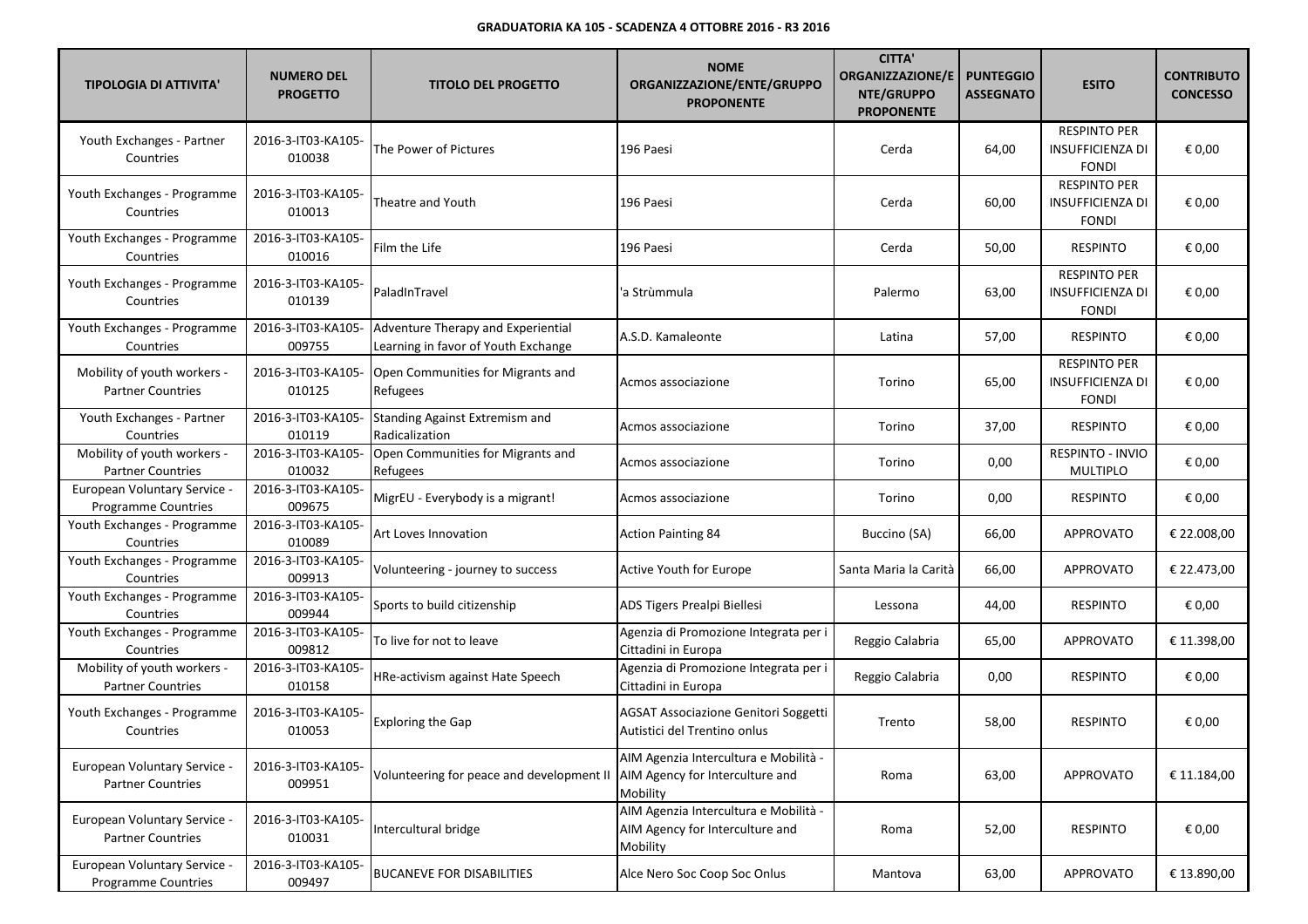| <b>TIPOLOGIA DI ATTIVITA'</b>                              | <b>NUMERO DEL</b><br><b>PROGETTO</b> | <b>TITOLO DEL PROGETTO</b>                                                | <b>NOME</b><br>ORGANIZZAZIONE/ENTE/GRUPPO<br><b>PROPONENTE</b>                       | <b>CITTA'</b><br><b>ORGANIZZAZIONE/E</b><br>NTE/GRUPPO<br><b>PROPONENTE</b> | <b>PUNTEGGIO</b><br><b>ASSEGNATO</b> | <b>ESITO</b>                                                   | <b>CONTRIBUTO</b><br><b>CONCESSO</b> |
|------------------------------------------------------------|--------------------------------------|---------------------------------------------------------------------------|--------------------------------------------------------------------------------------|-----------------------------------------------------------------------------|--------------------------------------|----------------------------------------------------------------|--------------------------------------|
| Youth Exchanges - Partner<br>Countries                     | 2016-3-IT03-KA105-<br>010038         | The Power of Pictures                                                     | 196 Paesi                                                                            | Cerda                                                                       | 64,00                                | <b>RESPINTO PER</b><br><b>INSUFFICIENZA DI</b><br><b>FONDI</b> | € 0,00                               |
| Youth Exchanges - Programme<br>Countries                   | 2016-3-IT03-KA105-<br>010013         | Theatre and Youth                                                         | 196 Paesi                                                                            | Cerda                                                                       | 60,00                                | <b>RESPINTO PER</b><br><b>INSUFFICIENZA DI</b><br><b>FONDI</b> | € 0,00                               |
| Youth Exchanges - Programme<br>Countries                   | 2016-3-IT03-KA105-<br>010016         | Film the Life                                                             | 196 Paesi                                                                            | Cerda                                                                       | 50,00                                | <b>RESPINTO</b>                                                | € 0,00                               |
| Youth Exchanges - Programme<br>Countries                   | 2016-3-IT03-KA105-<br>010139         | PaladInTravel                                                             | 'a Strùmmula                                                                         | Palermo                                                                     | 63,00                                | <b>RESPINTO PER</b><br><b>INSUFFICIENZA DI</b><br><b>FONDI</b> | € 0,00                               |
| Youth Exchanges - Programme<br>Countries                   | 2016-3-IT03-KA105-<br>009755         | Adventure Therapy and Experiential<br>Learning in favor of Youth Exchange | A.S.D. Kamaleonte                                                                    | Latina                                                                      | 57,00                                | <b>RESPINTO</b>                                                | € 0,00                               |
| Mobility of youth workers -<br><b>Partner Countries</b>    | 2016-3-IT03-KA105-<br>010125         | Open Communities for Migrants and<br>Refugees                             | Acmos associazione                                                                   | Torino                                                                      | 65,00                                | <b>RESPINTO PER</b><br><b>INSUFFICIENZA DI</b><br><b>FONDI</b> | € 0,00                               |
| Youth Exchanges - Partner<br>Countries                     | 2016-3-IT03-KA105-<br>010119         | Standing Against Extremism and<br>Radicalization                          | Acmos associazione                                                                   | Torino                                                                      | 37,00                                | <b>RESPINTO</b>                                                | € 0,00                               |
| Mobility of youth workers -<br><b>Partner Countries</b>    | 2016-3-IT03-KA105-<br>010032         | Open Communities for Migrants and<br>Refugees                             | Acmos associazione                                                                   | Torino                                                                      | 0,00                                 | <b>RESPINTO - INVIO</b><br><b>MULTIPLO</b>                     | € 0,00                               |
| European Voluntary Service -<br><b>Programme Countries</b> | 2016-3-IT03-KA105-<br>009675         | MigrEU - Everybody is a migrant!                                          | Acmos associazione                                                                   | Torino                                                                      | 0,00                                 | <b>RESPINTO</b>                                                | € 0,00                               |
| Youth Exchanges - Programme<br>Countries                   | 2016-3-IT03-KA105-<br>010089         | Art Loves Innovation                                                      | <b>Action Painting 84</b>                                                            | Buccino (SA)                                                                | 66,00                                | <b>APPROVATO</b>                                               | € 22.008,00                          |
| Youth Exchanges - Programme<br>Countries                   | 2016-3-IT03-KA105-<br>009913         | Volunteering - journey to success                                         | Active Youth for Europe                                                              | Santa Maria la Carità                                                       | 66,00                                | <b>APPROVATO</b>                                               | € 22.473,00                          |
| Youth Exchanges - Programme<br>Countries                   | 2016-3-IT03-KA105-<br>009944         | Sports to build citizenship                                               | ADS Tigers Prealpi Biellesi                                                          | Lessona                                                                     | 44,00                                | <b>RESPINTO</b>                                                | € 0,00                               |
| Youth Exchanges - Programme<br>Countries                   | 2016-3-IT03-KA105-<br>009812         | To live for not to leave                                                  | Agenzia di Promozione Integrata per i<br>Cittadini in Europa                         | Reggio Calabria                                                             | 65,00                                | <b>APPROVATO</b>                                               | € 11.398,00                          |
| Mobility of youth workers -<br><b>Partner Countries</b>    | 2016-3-IT03-KA105-<br>010158         | HRe-activism against Hate Speech                                          | Agenzia di Promozione Integrata per i<br>Cittadini in Europa                         | Reggio Calabria                                                             | 0,00                                 | <b>RESPINTO</b>                                                | € 0,00                               |
| Youth Exchanges - Programme<br>Countries                   | 2016-3-IT03-KA105-<br>010053         | <b>Exploring the Gap</b>                                                  | AGSAT Associazione Genitori Soggetti<br>Autistici del Trentino onlus                 | Trento                                                                      | 58,00                                | <b>RESPINTO</b>                                                | € 0,00                               |
| European Voluntary Service -<br><b>Partner Countries</b>   | 2016-3-IT03-KA105-<br>009951         | Volunteering for peace and development II                                 | AIM Agenzia Intercultura e Mobilità -<br>AIM Agency for Interculture and<br>Mobility | Roma                                                                        | 63,00                                | APPROVATO                                                      | € 11.184,00                          |
| European Voluntary Service -<br><b>Partner Countries</b>   | 2016-3-IT03-KA105-<br>010031         | Intercultural bridge                                                      | AIM Agenzia Intercultura e Mobilità -<br>AIM Agency for Interculture and<br>Mobility | Roma                                                                        | 52,00                                | <b>RESPINTO</b>                                                | € 0,00                               |
| European Voluntary Service -<br>Programme Countries        | 2016-3-IT03-KA105-<br>009497         | <b>BUCANEVE FOR DISABILITIES</b>                                          | Alce Nero Soc Coop Soc Onlus                                                         | Mantova                                                                     | 63,00                                | <b>APPROVATO</b>                                               | € 13.890,00                          |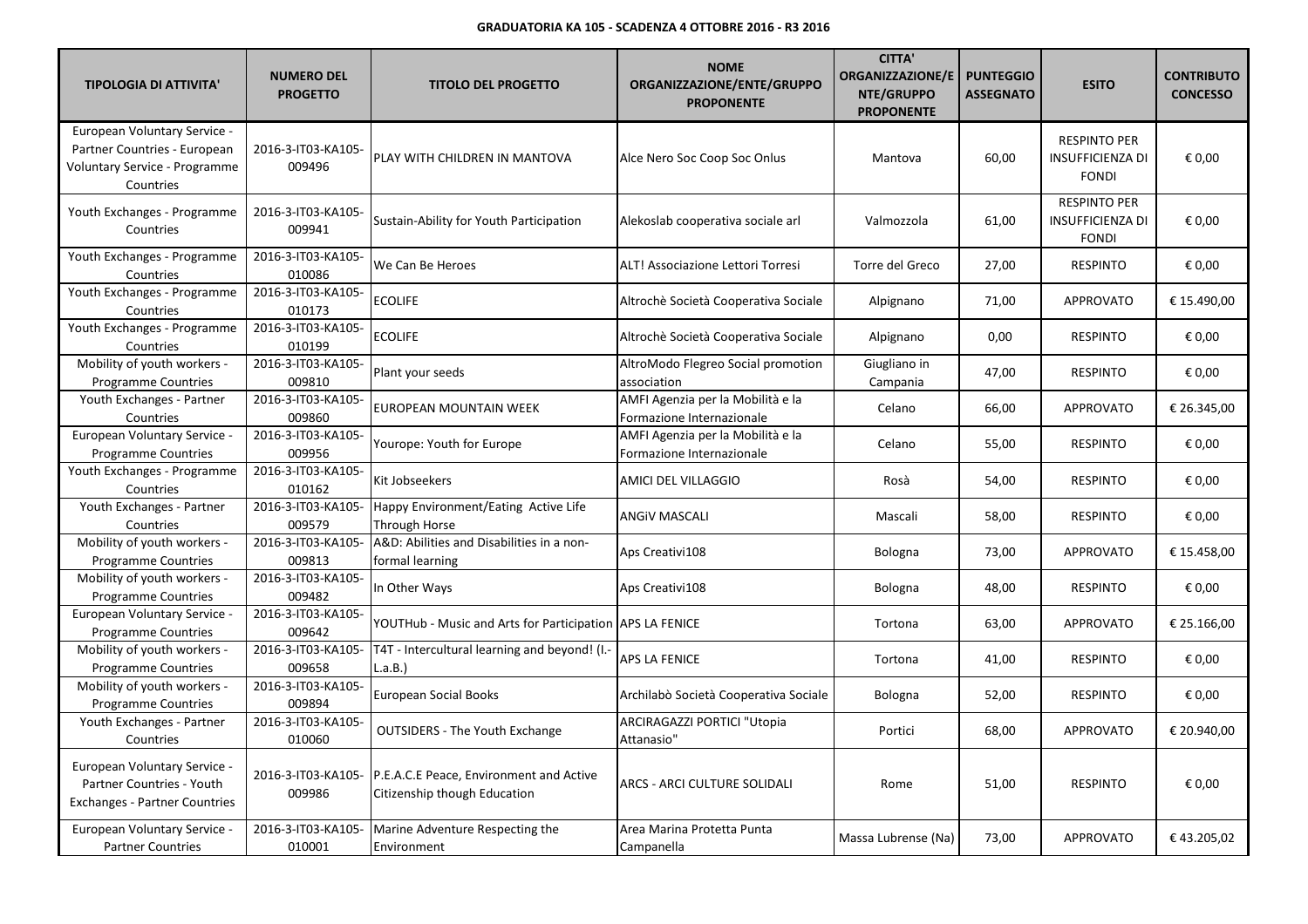| <b>TIPOLOGIA DI ATTIVITA'</b>                                                                              | <b>NUMERO DEL</b><br><b>PROGETTO</b> | <b>TITOLO DEL PROGETTO</b>                                              | <b>NOME</b><br>ORGANIZZAZIONE/ENTE/GRUPPO<br><b>PROPONENTE</b> | <b>CITTA'</b><br><b>ORGANIZZAZIONE/E</b><br>NTE/GRUPPO<br><b>PROPONENTE</b> | <b>PUNTEGGIO</b><br><b>ASSEGNATO</b> | <b>ESITO</b>                                                   | <b>CONTRIBUTO</b><br><b>CONCESSO</b> |
|------------------------------------------------------------------------------------------------------------|--------------------------------------|-------------------------------------------------------------------------|----------------------------------------------------------------|-----------------------------------------------------------------------------|--------------------------------------|----------------------------------------------------------------|--------------------------------------|
| European Voluntary Service -<br>Partner Countries - European<br>Voluntary Service - Programme<br>Countries | 2016-3-IT03-KA105-<br>009496         | PLAY WITH CHILDREN IN MANTOVA                                           | Alce Nero Soc Coop Soc Onlus                                   | Mantova                                                                     | 60,00                                | <b>RESPINTO PER</b><br><b>INSUFFICIENZA DI</b><br><b>FONDI</b> | € 0,00                               |
| Youth Exchanges - Programme<br>Countries                                                                   | 2016-3-IT03-KA105-<br>009941         | Sustain-Ability for Youth Participation                                 | Alekoslab cooperativa sociale arl                              | Valmozzola                                                                  | 61,00                                | <b>RESPINTO PER</b><br><b>INSUFFICIENZA DI</b><br><b>FONDI</b> | € 0.00                               |
| Youth Exchanges - Programme<br>Countries                                                                   | 2016-3-IT03-KA105-<br>010086         | We Can Be Heroes                                                        | ALT! Associazione Lettori Torresi                              | Torre del Greco                                                             | 27,00                                | <b>RESPINTO</b>                                                | € 0,00                               |
| Youth Exchanges - Programme<br>Countries                                                                   | 2016-3-IT03-KA105-<br>010173         | <b>ECOLIFE</b>                                                          | Altrochè Società Cooperativa Sociale                           | Alpignano                                                                   | 71,00                                | <b>APPROVATO</b>                                               | € 15.490,00                          |
| Youth Exchanges - Programme<br>Countries                                                                   | 2016-3-IT03-KA105-<br>010199         | <b>ECOLIFE</b>                                                          | Altrochè Società Cooperativa Sociale                           | Alpignano                                                                   | 0,00                                 | <b>RESPINTO</b>                                                | € 0,00                               |
| Mobility of youth workers -<br><b>Programme Countries</b>                                                  | 2016-3-IT03-KA105-<br>009810         | Plant your seeds                                                        | AltroModo Flegreo Social promotion<br>association              | Giugliano in<br>Campania                                                    | 47,00                                | <b>RESPINTO</b>                                                | € 0,00                               |
| Youth Exchanges - Partner<br>Countries                                                                     | 2016-3-IT03-KA105-<br>009860         | EUROPEAN MOUNTAIN WEEK                                                  | AMFI Agenzia per la Mobilità e la<br>Formazione Internazionale | Celano                                                                      | 66,00                                | <b>APPROVATO</b>                                               | € 26.345,00                          |
| European Voluntary Service -<br><b>Programme Countries</b>                                                 | 2016-3-IT03-KA105-<br>009956         | Yourope: Youth for Europe                                               | AMFI Agenzia per la Mobilità e la<br>Formazione Internazionale | Celano                                                                      | 55,00                                | <b>RESPINTO</b>                                                | € 0,00                               |
| Youth Exchanges - Programme<br>Countries                                                                   | 2016-3-IT03-KA105-<br>010162         | Kit Jobseekers                                                          | AMICI DEL VILLAGGIO                                            | Rosà                                                                        | 54,00                                | <b>RESPINTO</b>                                                | € 0,00                               |
| Youth Exchanges - Partner<br>Countries                                                                     | 2016-3-IT03-KA105-<br>009579         | Happy Environment/Eating Active Life<br>Through Horse                   | ANGIV MASCALI                                                  | Mascali                                                                     | 58,00                                | <b>RESPINTO</b>                                                | € 0,00                               |
| Mobility of youth workers -<br><b>Programme Countries</b>                                                  | 2016-3-IT03-KA105-<br>009813         | A&D: Abilities and Disabilities in a non-<br>formal learning            | Aps Creativi108                                                | Bologna                                                                     | 73,00                                | <b>APPROVATO</b>                                               | € 15.458,00                          |
| Mobility of youth workers -<br><b>Programme Countries</b>                                                  | 2016-3-IT03-KA105-<br>009482         | In Other Ways                                                           | Aps Creativi108                                                | Bologna                                                                     | 48,00                                | <b>RESPINTO</b>                                                | € 0,00                               |
| European Voluntary Service -<br>Programme Countries                                                        | 2016-3-IT03-KA105-<br>009642         | YOUTHub - Music and Arts for Participation   APS LA FENICE              |                                                                | Tortona                                                                     | 63,00                                | <b>APPROVATO</b>                                               | € 25.166,00                          |
| Mobility of youth workers -<br><b>Programme Countries</b>                                                  | 2016-3-IT03-KA105-<br>009658         | T4T - Intercultural learning and beyond! (I .-<br>L.a.B.)               | <b>APS LA FENICE</b>                                           | Tortona                                                                     | 41,00                                | <b>RESPINTO</b>                                                | € 0,00                               |
| Mobility of youth workers -<br>Programme Countries                                                         | 2016-3-IT03-KA105-<br>009894         | <b>European Social Books</b>                                            | Archilabò Società Cooperativa Sociale                          | Bologna                                                                     | 52,00                                | <b>RESPINTO</b>                                                | € 0,00                               |
| Youth Exchanges - Partner<br>Countries                                                                     | 2016-3-IT03-KA105-<br>010060         | <b>OUTSIDERS - The Youth Exchange</b>                                   | ARCIRAGAZZI PORTICI "Utopia<br>Attanasio"                      | Portici                                                                     | 68,00                                | <b>APPROVATO</b>                                               | € 20.940,00                          |
| European Voluntary Service -<br>Partner Countries - Youth<br><b>Exchanges - Partner Countries</b>          | 2016-3-IT03-KA105-<br>009986         | P.E.A.C.E Peace, Environment and Active<br>Citizenship though Education | ARCS - ARCI CULTURE SOLIDALI                                   | Rome                                                                        | 51,00                                | <b>RESPINTO</b>                                                | € 0,00                               |
| European Voluntary Service -<br><b>Partner Countries</b>                                                   | 2016-3-IT03-KA105-<br>010001         | Marine Adventure Respecting the<br>Environment                          | Area Marina Protetta Punta<br>Campanella                       | Massa Lubrense (Na)                                                         | 73,00                                | <b>APPROVATO</b>                                               | €43.205,02                           |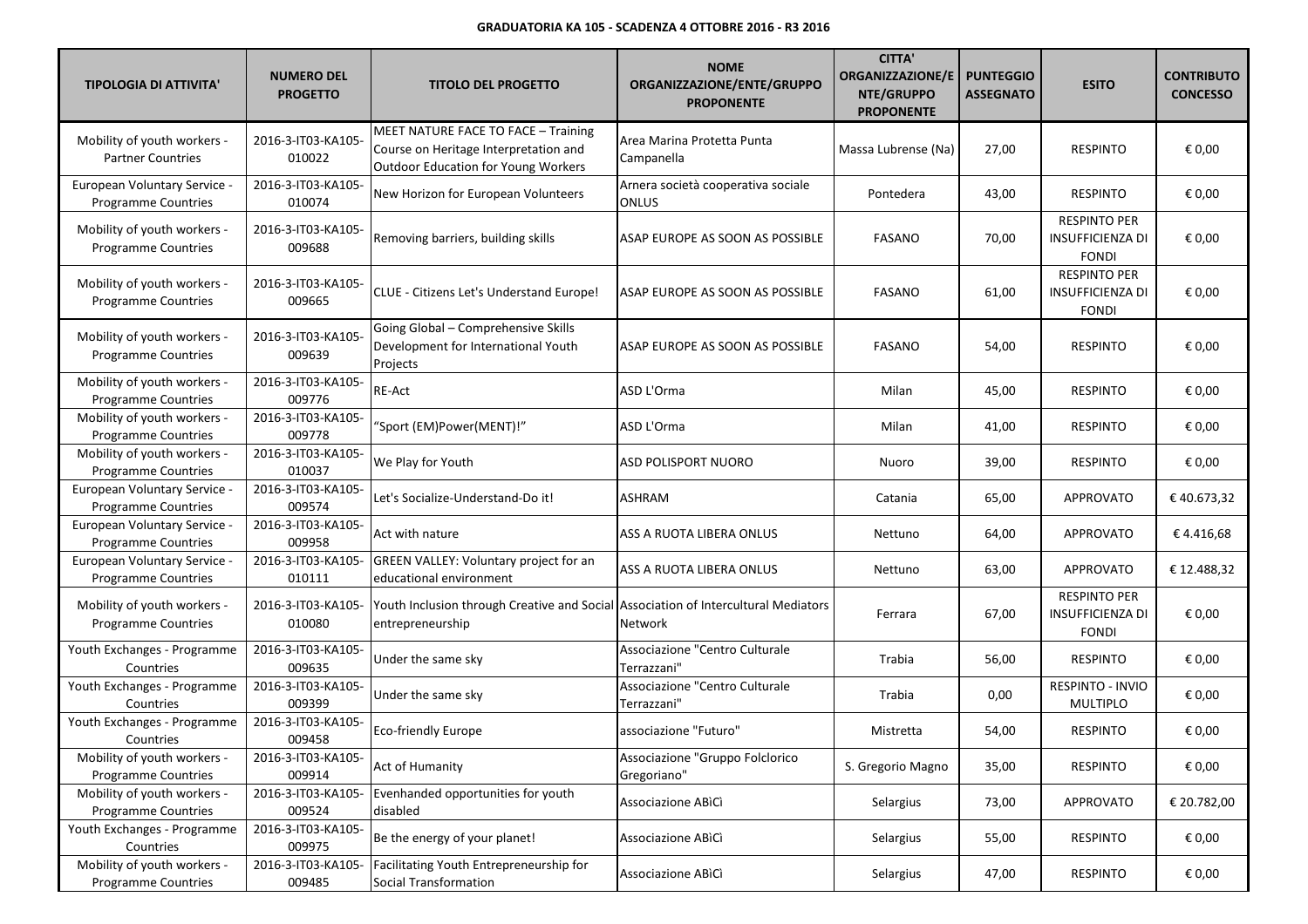| <b>TIPOLOGIA DI ATTIVITA'</b>                              | <b>NUMERO DEL</b><br><b>PROGETTO</b> | <b>TITOLO DEL PROGETTO</b>                                                                                          | <b>NOME</b><br>ORGANIZZAZIONE/ENTE/GRUPPO<br><b>PROPONENTE</b> | <b>CITTA'</b><br><b>ORGANIZZAZIONE/E</b><br>NTE/GRUPPO<br><b>PROPONENTE</b> | <b>PUNTEGGIO</b><br><b>ASSEGNATO</b> | <b>ESITO</b>                                                   | <b>CONTRIBUTO</b><br><b>CONCESSO</b> |
|------------------------------------------------------------|--------------------------------------|---------------------------------------------------------------------------------------------------------------------|----------------------------------------------------------------|-----------------------------------------------------------------------------|--------------------------------------|----------------------------------------------------------------|--------------------------------------|
| Mobility of youth workers -<br><b>Partner Countries</b>    | 2016-3-IT03-KA105-<br>010022         | MEET NATURE FACE TO FACE - Training<br>Course on Heritage Interpretation and<br>Outdoor Education for Young Workers | Area Marina Protetta Punta<br>Campanella                       | Massa Lubrense (Na)                                                         | 27,00                                | <b>RESPINTO</b>                                                | € 0,00                               |
| European Voluntary Service -<br><b>Programme Countries</b> | 2016-3-IT03-KA105-<br>010074         | New Horizon for European Volunteers                                                                                 | Arnera società cooperativa sociale<br>ONLUS                    | Pontedera                                                                   | 43,00                                | <b>RESPINTO</b>                                                | € 0,00                               |
| Mobility of youth workers -<br><b>Programme Countries</b>  | 2016-3-IT03-KA105-<br>009688         | Removing barriers, building skills                                                                                  | ASAP EUROPE AS SOON AS POSSIBLE                                | <b>FASANO</b>                                                               | 70,00                                | <b>RESPINTO PER</b><br>INSUFFICIENZA DI<br><b>FONDI</b>        | € 0,00                               |
| Mobility of youth workers -<br>Programme Countries         | 2016-3-IT03-KA105-<br>009665         | CLUE - Citizens Let's Understand Europe!                                                                            | ASAP EUROPE AS SOON AS POSSIBLE                                | <b>FASANO</b>                                                               | 61,00                                | <b>RESPINTO PER</b><br><b>INSUFFICIENZA DI</b><br><b>FONDI</b> | € 0,00                               |
| Mobility of youth workers -<br><b>Programme Countries</b>  | 2016-3-IT03-KA105-<br>009639         | Going Global - Comprehensive Skills<br>Development for International Youth<br>Projects                              | ASAP EUROPE AS SOON AS POSSIBLE                                | <b>FASANO</b>                                                               | 54,00                                | <b>RESPINTO</b>                                                | € 0,00                               |
| Mobility of youth workers -<br>Programme Countries         | 2016-3-IT03-KA105-<br>009776         | <b>RE-Act</b>                                                                                                       | ASD L'Orma                                                     | Milan                                                                       | 45,00                                | <b>RESPINTO</b>                                                | € 0,00                               |
| Mobility of youth workers -<br><b>Programme Countries</b>  | 2016-3-IT03-KA105-<br>009778         | "Sport (EM)Power(MENT)!"                                                                                            | ASD L'Orma                                                     | Milan                                                                       | 41,00                                | <b>RESPINTO</b>                                                | € 0,00                               |
| Mobility of youth workers -<br><b>Programme Countries</b>  | 2016-3-IT03-KA105-<br>010037         | We Play for Youth                                                                                                   | ASD POLISPORT NUORO                                            | Nuoro                                                                       | 39,00                                | <b>RESPINTO</b>                                                | € 0,00                               |
| European Voluntary Service -<br>Programme Countries        | 2016-3-IT03-KA105-<br>009574         | Let's Socialize-Understand-Do it!                                                                                   | ASHRAM                                                         | Catania                                                                     | 65,00                                | <b>APPROVATO</b>                                               | €40.673,32                           |
| European Voluntary Service -<br><b>Programme Countries</b> | 2016-3-IT03-KA105-<br>009958         | Act with nature                                                                                                     | ASS A RUOTA LIBERA ONLUS                                       | Nettuno                                                                     | 64,00                                | <b>APPROVATO</b>                                               | €4.416,68                            |
| European Voluntary Service -<br><b>Programme Countries</b> | 2016-3-IT03-KA105-<br>010111         | GREEN VALLEY: Voluntary project for an<br>educational environment                                                   | ASS A RUOTA LIBERA ONLUS                                       | Nettuno                                                                     | 63,00                                | <b>APPROVATO</b>                                               | € 12.488,32                          |
| Mobility of youth workers -<br><b>Programme Countries</b>  | 2016-3-IT03-KA105-<br>010080         | Youth Inclusion through Creative and Social Association of Intercultural Mediators<br>entrepreneurship              | Network                                                        | Ferrara                                                                     | 67,00                                | <b>RESPINTO PER</b><br><b>INSUFFICIENZA DI</b><br><b>FONDI</b> | € 0,00                               |
| Youth Exchanges - Programme<br>Countries                   | 2016-3-IT03-KA105-<br>009635         | Under the same sky                                                                                                  | Associazione "Centro Culturale<br>Terrazzani"                  | Trabia                                                                      | 56,00                                | <b>RESPINTO</b>                                                | € 0,00                               |
| Youth Exchanges - Programme<br>Countries                   | 2016-3-IT03-KA105-<br>009399         | Under the same sky                                                                                                  | Associazione "Centro Culturale<br>Terrazzani'                  | Trabia                                                                      | 0,00                                 | <b>RESPINTO - INVIO</b><br><b>MULTIPLO</b>                     | € 0,00                               |
| Youth Exchanges - Programme<br>Countries                   | 2016-3-IT03-KA105-<br>009458         | Eco-friendly Europe                                                                                                 | associazione "Futuro"                                          | Mistretta                                                                   | 54,00                                | <b>RESPINTO</b>                                                | € 0,00                               |
| Mobility of youth workers -<br>Programme Countries         | 2016-3-IT03-KA105-<br>009914         | Act of Humanity                                                                                                     | Associazione "Gruppo Folclorico<br>Gregoriano"                 | S. Gregorio Magno                                                           | 35,00                                | <b>RESPINTO</b>                                                | € 0,00                               |
| Mobility of youth workers -<br><b>Programme Countries</b>  | 2016-3-IT03-KA105-<br>009524         | Evenhanded opportunities for youth<br>disabled                                                                      | Associazione ABICI                                             | Selargius                                                                   | 73,00                                | <b>APPROVATO</b>                                               | € 20.782,00                          |
| Youth Exchanges - Programme<br>Countries                   | 2016-3-IT03-KA105-<br>009975         | Be the energy of your planet!                                                                                       | Associazione ABICI                                             | Selargius                                                                   | 55,00                                | <b>RESPINTO</b>                                                | € 0,00                               |
| Mobility of youth workers -<br>Programme Countries         | 2016-3-IT03-KA105-<br>009485         | Facilitating Youth Entrepreneurship for<br>Social Transformation                                                    | Associazione ABICI                                             | Selargius                                                                   | 47,00                                | <b>RESPINTO</b>                                                | € 0,00                               |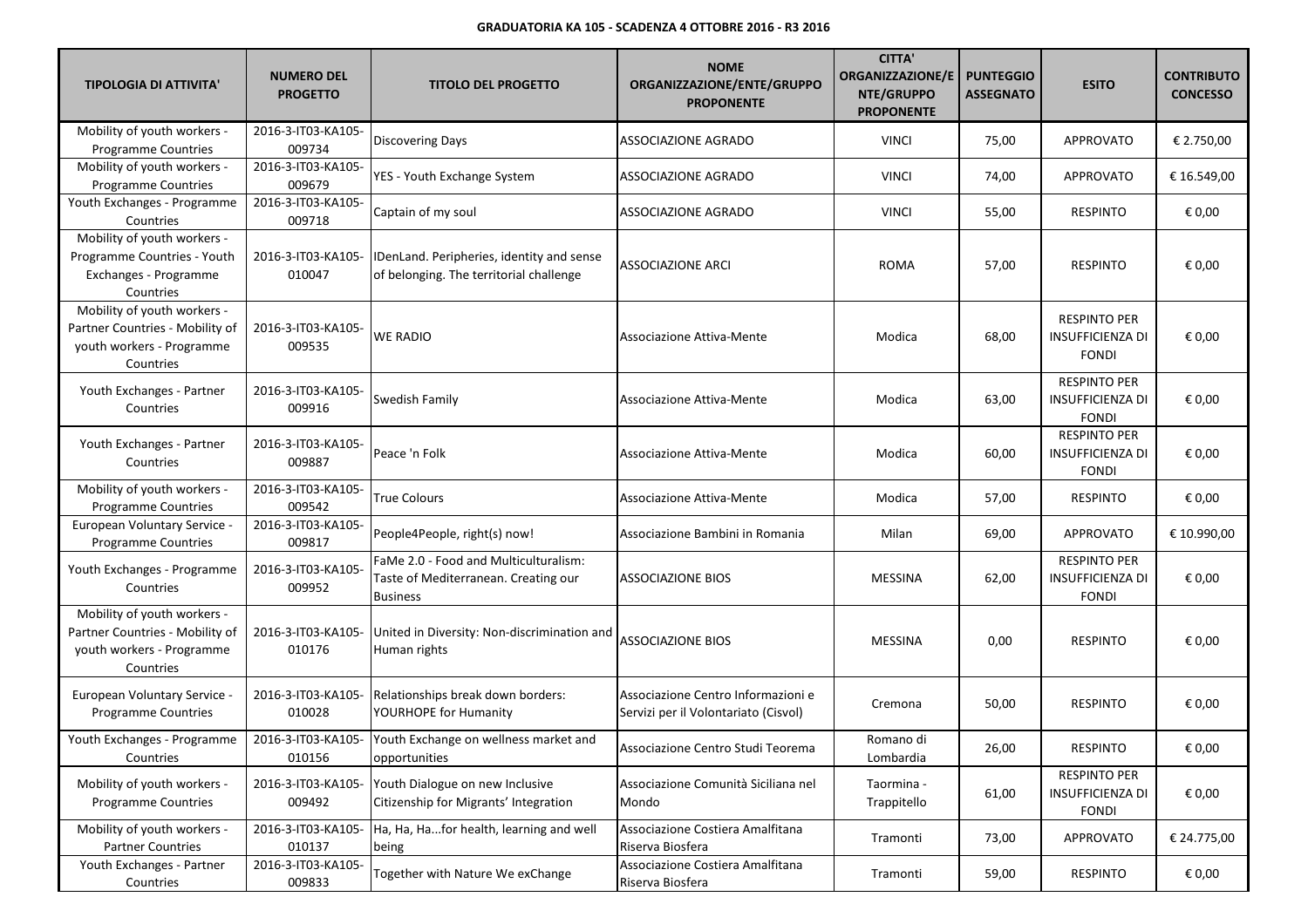| <b>TIPOLOGIA DI ATTIVITA'</b>                                                                            | <b>NUMERO DEL</b><br><b>PROGETTO</b> | <b>TITOLO DEL PROGETTO</b>                                                                       | <b>NOME</b><br>ORGANIZZAZIONE/ENTE/GRUPPO<br><b>PROPONENTE</b>             | <b>CITTA'</b><br><b>ORGANIZZAZIONE/E</b><br>NTE/GRUPPO<br><b>PROPONENTE</b> | <b>PUNTEGGIO</b><br><b>ASSEGNATO</b> | <b>ESITO</b>                                                   | <b>CONTRIBUTO</b><br><b>CONCESSO</b> |
|----------------------------------------------------------------------------------------------------------|--------------------------------------|--------------------------------------------------------------------------------------------------|----------------------------------------------------------------------------|-----------------------------------------------------------------------------|--------------------------------------|----------------------------------------------------------------|--------------------------------------|
| Mobility of youth workers -<br><b>Programme Countries</b>                                                | 2016-3-IT03-KA105-<br>009734         | <b>Discovering Days</b>                                                                          | ASSOCIAZIONE AGRADO                                                        | <b>VINCI</b>                                                                | 75,00                                | <b>APPROVATO</b>                                               | € 2.750,00                           |
| Mobility of youth workers -<br>Programme Countries                                                       | 2016-3-IT03-KA105-<br>009679         | YES - Youth Exchange System                                                                      | ASSOCIAZIONE AGRADO                                                        | <b>VINCI</b>                                                                | 74,00                                | <b>APPROVATO</b>                                               | € 16.549,00                          |
| Youth Exchanges - Programme<br>Countries                                                                 | 2016-3-IT03-KA105-<br>009718         | Captain of my soul                                                                               | <b>ASSOCIAZIONE AGRADO</b>                                                 | <b>VINCI</b>                                                                | 55,00                                | <b>RESPINTO</b>                                                | € 0,00                               |
| Mobility of youth workers -<br>Programme Countries - Youth<br>Exchanges - Programme<br>Countries         | 2016-3-IT03-KA105-<br>010047         | IDenLand. Peripheries, identity and sense<br>of belonging. The territorial challenge             | <b>ASSOCIAZIONE ARCI</b>                                                   | <b>ROMA</b>                                                                 | 57,00                                | <b>RESPINTO</b>                                                | € 0,00                               |
| Mobility of youth workers -<br>Partner Countries - Mobility of<br>youth workers - Programme<br>Countries | 2016-3-IT03-KA105-<br>009535         | <b>WE RADIO</b>                                                                                  | Associazione Attiva-Mente                                                  | Modica                                                                      | 68,00                                | <b>RESPINTO PER</b><br>INSUFFICIENZA DI<br><b>FONDI</b>        | € 0,00                               |
| Youth Exchanges - Partner<br>Countries                                                                   | 2016-3-IT03-KA105-<br>009916         | Swedish Family                                                                                   | Associazione Attiva-Mente                                                  | Modica                                                                      | 63,00                                | <b>RESPINTO PER</b><br><b>INSUFFICIENZA DI</b><br><b>FONDI</b> | € 0,00                               |
| Youth Exchanges - Partner<br>Countries                                                                   | 2016-3-IT03-KA105-<br>009887         | Peace 'n Folk                                                                                    | Associazione Attiva-Mente                                                  | Modica                                                                      | 60,00                                | <b>RESPINTO PER</b><br>INSUFFICIENZA DI<br><b>FONDI</b>        | € 0,00                               |
| Mobility of youth workers -<br>Programme Countries                                                       | 2016-3-IT03-KA105-<br>009542         | <b>True Colours</b>                                                                              | Associazione Attiva-Mente                                                  | Modica                                                                      | 57,00                                | <b>RESPINTO</b>                                                | € 0,00                               |
| European Voluntary Service -<br>Programme Countries                                                      | 2016-3-IT03-KA105-<br>009817         | People4People, right(s) now!                                                                     | Associazione Bambini in Romania                                            | Milan                                                                       | 69,00                                | <b>APPROVATO</b>                                               | € 10.990,00                          |
| Youth Exchanges - Programme<br>Countries                                                                 | 2016-3-IT03-KA105-<br>009952         | FaMe 2.0 - Food and Multiculturalism:<br>Taste of Mediterranean. Creating our<br><b>Business</b> | <b>ASSOCIAZIONE BIOS</b>                                                   | <b>MESSINA</b>                                                              | 62,00                                | <b>RESPINTO PER</b><br>INSUFFICIENZA DI<br><b>FONDI</b>        | € 0,00                               |
| Mobility of youth workers -<br>Partner Countries - Mobility of<br>youth workers - Programme<br>Countries | 2016-3-IT03-KA105-<br>010176         | United in Diversity: Non-discrimination and<br>Human rights                                      | <b>ASSOCIAZIONE BIOS</b>                                                   | <b>MESSINA</b>                                                              | 0,00                                 | <b>RESPINTO</b>                                                | € 0,00                               |
| <b>European Voluntary Service -</b><br><b>Programme Countries</b>                                        | 2016-3-IT03-KA105-<br>010028         | Relationships break down borders:<br>YOURHOPE for Humanity                                       | Associazione Centro Informazioni e<br>Servizi per il Volontariato (Cisvol) | Cremona                                                                     | 50,00                                | <b>RESPINTO</b>                                                | € 0,00                               |
| Youth Exchanges - Programme<br>Countries                                                                 | 010156                               | 2016-3-IT03-KA105- Youth Exchange on wellness market and<br>opportunities                        | Associazione Centro Studi Teorema                                          | Romano di<br>Lombardia                                                      | 26,00                                | <b>RESPINTO</b>                                                | $\in$ 0,00                           |
| Mobility of youth workers -<br>Programme Countries                                                       | 2016-3-IT03-KA105-<br>009492         | Youth Dialogue on new Inclusive<br>Citizenship for Migrants' Integration                         | Associazione Comunità Siciliana nel<br>Mondo                               | Taormina -<br>Trappitello                                                   | 61,00                                | <b>RESPINTO PER</b><br><b>INSUFFICIENZA DI</b><br><b>FONDI</b> | € 0,00                               |
| Mobility of youth workers -<br><b>Partner Countries</b>                                                  | 2016-3-IT03-KA105-<br>010137         | Ha, Ha, Hafor health, learning and well<br>being                                                 | Associazione Costiera Amalfitana<br>Riserva Biosfera                       | Tramonti                                                                    | 73,00                                | <b>APPROVATO</b>                                               | € 24.775,00                          |
| Youth Exchanges - Partner<br>Countries                                                                   | 2016-3-IT03-KA105-<br>009833         | Together with Nature We exChange                                                                 | Associazione Costiera Amalfitana<br>Riserva Biosfera                       | Tramonti                                                                    | 59,00                                | RESPINTO                                                       | € 0,00                               |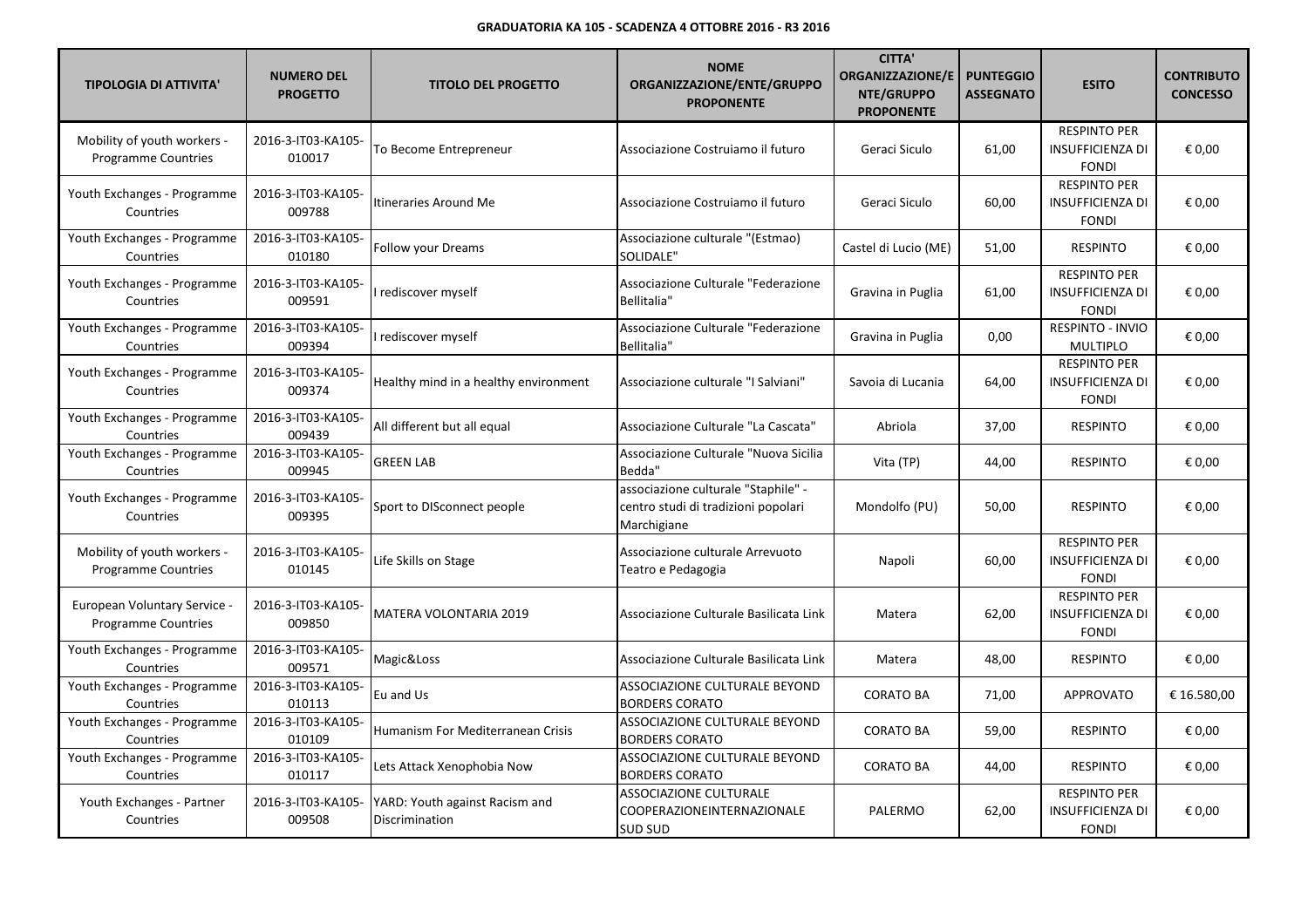| <b>TIPOLOGIA DI ATTIVITA'</b>                                   | <b>NUMERO DEL</b><br><b>PROGETTO</b> | <b>TITOLO DEL PROGETTO</b>                       | <b>NOME</b><br>ORGANIZZAZIONE/ENTE/GRUPPO<br><b>PROPONENTE</b>                            | <b>CITTA'</b><br><b>ORGANIZZAZIONE/E</b><br>NTE/GRUPPO<br><b>PROPONENTE</b> | <b>PUNTEGGIO</b><br><b>ASSEGNATO</b> | <b>ESITO</b>                                                   | <b>CONTRIBUTO</b><br><b>CONCESSO</b> |
|-----------------------------------------------------------------|--------------------------------------|--------------------------------------------------|-------------------------------------------------------------------------------------------|-----------------------------------------------------------------------------|--------------------------------------|----------------------------------------------------------------|--------------------------------------|
| Mobility of youth workers -<br><b>Programme Countries</b>       | 2016-3-IT03-KA105-<br>010017         | To Become Entrepreneur                           | Associazione Costruiamo il futuro                                                         | Geraci Siculo                                                               | 61,00                                | <b>RESPINTO PER</b><br><b>INSUFFICIENZA DI</b><br><b>FONDI</b> | € 0.00                               |
| Youth Exchanges - Programme<br>Countries                        | 2016-3-IT03-KA105-<br>009788         | Itineraries Around Me                            | Associazione Costruiamo il futuro                                                         | Geraci Siculo                                                               | 60,00                                | <b>RESPINTO PER</b><br><b>INSUFFICIENZA DI</b><br><b>FONDI</b> | € 0,00                               |
| Youth Exchanges - Programme<br>Countries                        | 2016-3-IT03-KA105-<br>010180         | <b>Follow your Dreams</b>                        | Associazione culturale "(Estmao)<br>SOLIDALE"                                             | Castel di Lucio (ME)                                                        | 51,00                                | <b>RESPINTO</b>                                                | € 0,00                               |
| Youth Exchanges - Programme<br>Countries                        | 2016-3-IT03-KA105-<br>009591         | I rediscover myself                              | Associazione Culturale "Federazione<br>Bellitalia"                                        | Gravina in Puglia                                                           | 61,00                                | <b>RESPINTO PER</b><br><b>INSUFFICIENZA DI</b><br><b>FONDI</b> | € 0,00                               |
| Youth Exchanges - Programme<br>Countries                        | 2016-3-IT03-KA105-<br>009394         | I rediscover myself                              | Associazione Culturale "Federazione<br>Bellitalia"                                        | Gravina in Puglia                                                           | 0,00                                 | <b>RESPINTO - INVIO</b><br><b>MULTIPLO</b>                     | € 0,00                               |
| Youth Exchanges - Programme<br>Countries                        | 2016-3-IT03-KA105-<br>009374         | Healthy mind in a healthy environment            | Associazione culturale "I Salviani"                                                       | Savoia di Lucania                                                           | 64,00                                | <b>RESPINTO PER</b><br><b>INSUFFICIENZA DI</b><br><b>FONDI</b> | € 0,00                               |
| Youth Exchanges - Programme<br>Countries                        | 2016-3-IT03-KA105-<br>009439         | All different but all equal                      | Associazione Culturale "La Cascata"                                                       | Abriola                                                                     | 37,00                                | <b>RESPINTO</b>                                                | € 0,00                               |
| Youth Exchanges - Programme<br>Countries                        | 2016-3-IT03-KA105-<br>009945         | <b>GREEN LAB</b>                                 | Associazione Culturale "Nuova Sicilia<br>Bedda"                                           | Vita (TP)                                                                   | 44,00                                | <b>RESPINTO</b>                                                | € 0,00                               |
| Youth Exchanges - Programme<br>Countries                        | 2016-3-IT03-KA105-<br>009395         | Sport to DISconnect people                       | associazione culturale "Staphile" -<br>centro studi di tradizioni popolari<br>Marchigiane | Mondolfo (PU)                                                               | 50,00                                | <b>RESPINTO</b>                                                | € 0,00                               |
| Mobility of youth workers -<br><b>Programme Countries</b>       | 2016-3-IT03-KA105-<br>010145         | Life Skills on Stage                             | Associazione culturale Arrevuoto<br>Teatro e Pedagogia                                    | Napoli                                                                      | 60,00                                | <b>RESPINTO PER</b><br><b>INSUFFICIENZA DI</b><br><b>FONDI</b> | € 0,00                               |
| <b>European Voluntary Service</b><br><b>Programme Countries</b> | 2016-3-IT03-KA105-<br>009850         | MATERA VOLONTARIA 2019                           | Associazione Culturale Basilicata Link                                                    | Matera                                                                      | 62,00                                | <b>RESPINTO PER</b><br><b>INSUFFICIENZA DI</b><br><b>FONDI</b> | € 0,00                               |
| Youth Exchanges - Programme<br>Countries                        | 2016-3-IT03-KA105-<br>009571         | Magic&Loss                                       | Associazione Culturale Basilicata Link                                                    | Matera                                                                      | 48,00                                | <b>RESPINTO</b>                                                | € 0,00                               |
| Youth Exchanges - Programme<br>Countries                        | 2016-3-IT03-KA105-<br>010113         | Eu and Us                                        | ASSOCIAZIONE CULTURALE BEYOND<br><b>BORDERS CORATO</b>                                    | <b>CORATO BA</b>                                                            | 71,00                                | <b>APPROVATO</b>                                               | € 16.580,00                          |
| Youth Exchanges - Programme<br>Countries                        | 2016-3-IT03-KA105-<br>010109         | Humanism For Mediterranean Crisis                | ASSOCIAZIONE CULTURALE BEYOND<br><b>BORDERS CORATO</b>                                    | <b>CORATO BA</b>                                                            | 59,00                                | <b>RESPINTO</b>                                                | € 0,00                               |
| Youth Exchanges - Programme<br>Countries                        | 2016-3-IT03-KA105-<br>010117         | Lets Attack Xenophobia Now                       | ASSOCIAZIONE CULTURALE BEYOND<br><b>BORDERS CORATO</b>                                    | <b>CORATO BA</b>                                                            | 44,00                                | <b>RESPINTO</b>                                                | € 0,00                               |
| Youth Exchanges - Partner<br>Countries                          | 2016-3-IT03-KA105-<br>009508         | YARD: Youth against Racism and<br>Discrimination | <b>ASSOCIAZIONE CULTURALE</b><br>COOPERAZIONEINTERNAZIONALE<br><b>SUD SUD</b>             | PALERMO                                                                     | 62,00                                | <b>RESPINTO PER</b><br><b>INSUFFICIENZA DI</b><br><b>FONDI</b> | € 0,00                               |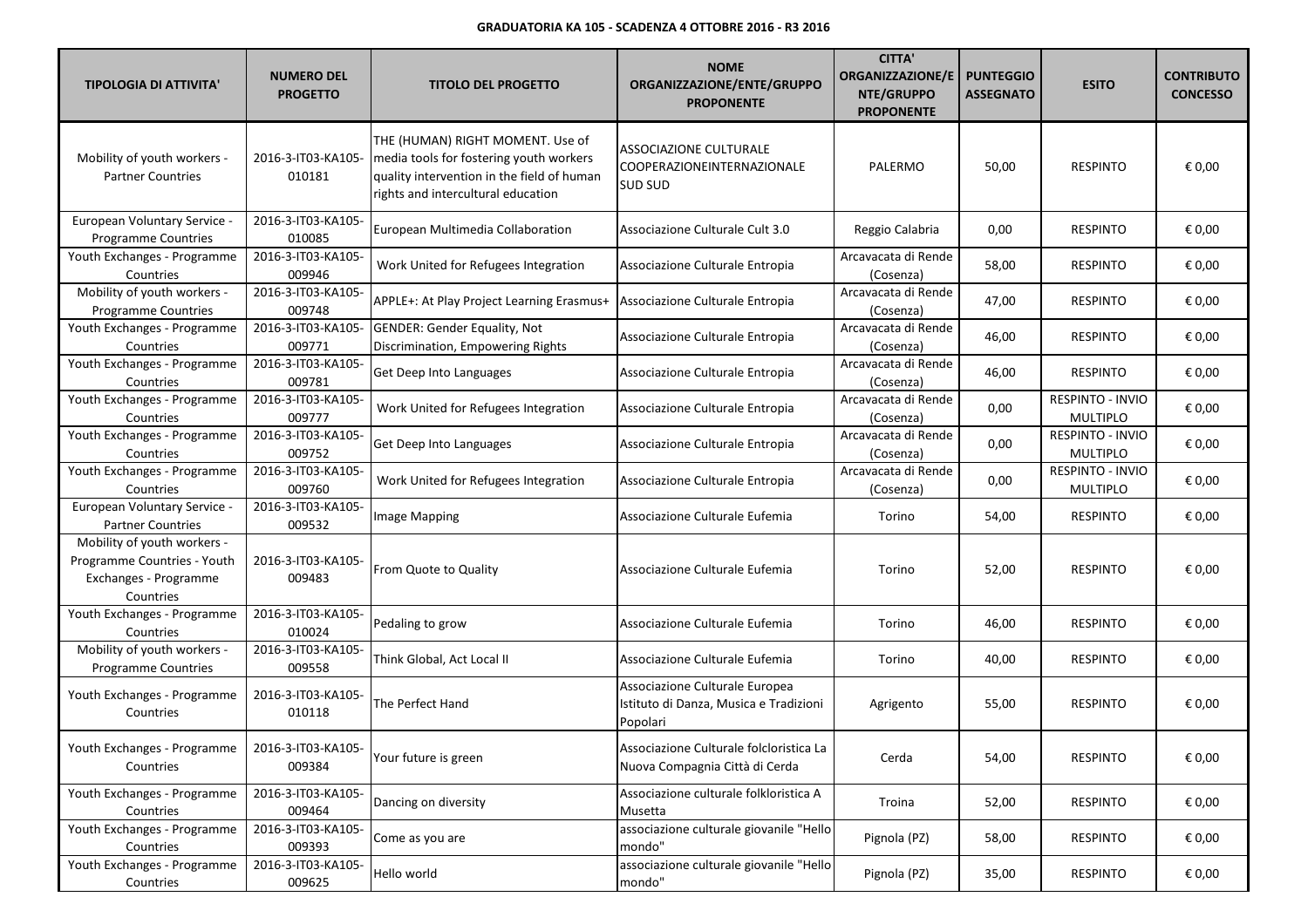| <b>TIPOLOGIA DI ATTIVITA'</b>                                                                    | <b>NUMERO DEL</b><br><b>PROGETTO</b> | <b>TITOLO DEL PROGETTO</b>                                                                                                                                      | <b>NOME</b><br>ORGANIZZAZIONE/ENTE/GRUPPO<br><b>PROPONENTE</b>                       | <b>CITTA'</b><br><b>ORGANIZZAZIONE/E</b><br>NTE/GRUPPO<br><b>PROPONENTE</b> | <b>PUNTEGGIO</b><br><b>ASSEGNATO</b> | <b>ESITO</b>                               | <b>CONTRIBUTO</b><br><b>CONCESSO</b> |
|--------------------------------------------------------------------------------------------------|--------------------------------------|-----------------------------------------------------------------------------------------------------------------------------------------------------------------|--------------------------------------------------------------------------------------|-----------------------------------------------------------------------------|--------------------------------------|--------------------------------------------|--------------------------------------|
| Mobility of youth workers -<br><b>Partner Countries</b>                                          | 2016-3-IT03-KA105-<br>010181         | THE (HUMAN) RIGHT MOMENT. Use of<br>media tools for fostering youth workers<br>quality intervention in the field of human<br>rights and intercultural education | <b>ASSOCIAZIONE CULTURALE</b><br> COOPERAZIONEINTERNAZIONALE<br><b>SUD SUD</b>       | PALERMO                                                                     | 50,00                                | <b>RESPINTO</b>                            | € 0,00                               |
| European Voluntary Service -<br><b>Programme Countries</b>                                       | 2016-3-IT03-KA105-<br>010085         | European Multimedia Collaboration                                                                                                                               | Associazione Culturale Cult 3.0                                                      | Reggio Calabria                                                             | 0,00                                 | <b>RESPINTO</b>                            | € 0,00                               |
| Youth Exchanges - Programme<br>Countries                                                         | 2016-3-IT03-KA105-<br>009946         | Work United for Refugees Integration                                                                                                                            | Associazione Culturale Entropia                                                      | Arcavacata di Rende<br>(Cosenza)                                            | 58,00                                | <b>RESPINTO</b>                            | € 0,00                               |
| Mobility of youth workers -<br>Programme Countries                                               | 2016-3-IT03-KA105-<br>009748         | APPLE+: At Play Project Learning Erasmus+                                                                                                                       | Associazione Culturale Entropia                                                      | Arcavacata di Rende<br>(Cosenza)                                            | 47,00                                | <b>RESPINTO</b>                            | € 0,00                               |
| Youth Exchanges - Programme<br>Countries                                                         | 2016-3-IT03-KA105-<br>009771         | GENDER: Gender Equality, Not<br>Discrimination, Empowering Rights                                                                                               | Associazione Culturale Entropia                                                      | Arcavacata di Rende<br>(Cosenza)                                            | 46,00                                | <b>RESPINTO</b>                            | € 0,00                               |
| Youth Exchanges - Programme<br>Countries                                                         | 2016-3-IT03-KA105-<br>009781         | Get Deep Into Languages                                                                                                                                         | Associazione Culturale Entropia                                                      | Arcavacata di Rende<br>(Cosenza)                                            | 46,00                                | <b>RESPINTO</b>                            | € 0,00                               |
| Youth Exchanges - Programme<br>Countries                                                         | 2016-3-IT03-KA105-<br>009777         | Work United for Refugees Integration                                                                                                                            | Associazione Culturale Entropia                                                      | Arcavacata di Rende<br>(Cosenza)                                            | 0,00                                 | RESPINTO - INVIO<br><b>MULTIPLO</b>        | € 0,00                               |
| Youth Exchanges - Programme<br>Countries                                                         | 2016-3-IT03-KA105-<br>009752         | Get Deep Into Languages                                                                                                                                         | Associazione Culturale Entropia                                                      | Arcavacata di Rende<br>(Cosenza)                                            | 0,00                                 | RESPINTO - INVIO<br><b>MULTIPLO</b>        | € 0,00                               |
| Youth Exchanges - Programme<br>Countries                                                         | 2016-3-IT03-KA105-<br>009760         | Work United for Refugees Integration                                                                                                                            | Associazione Culturale Entropia                                                      | Arcavacata di Rende<br>(Cosenza)                                            | 0,00                                 | <b>RESPINTO - INVIO</b><br><b>MULTIPLO</b> | € 0,00                               |
| European Voluntary Service -<br><b>Partner Countries</b>                                         | 2016-3-IT03-KA105-<br>009532         | Image Mapping                                                                                                                                                   | Associazione Culturale Eufemia                                                       | Torino                                                                      | 54,00                                | <b>RESPINTO</b>                            | € 0,00                               |
| Mobility of youth workers -<br>Programme Countries - Youth<br>Exchanges - Programme<br>Countries | 2016-3-IT03-KA105-<br>009483         | From Quote to Quality                                                                                                                                           | Associazione Culturale Eufemia                                                       | Torino                                                                      | 52,00                                | <b>RESPINTO</b>                            | € 0,00                               |
| Youth Exchanges - Programme<br>Countries                                                         | 2016-3-IT03-KA105-<br>010024         | Pedaling to grow                                                                                                                                                | Associazione Culturale Eufemia                                                       | Torino                                                                      | 46,00                                | <b>RESPINTO</b>                            | € 0,00                               |
| Mobility of youth workers -<br><b>Programme Countries</b>                                        | 2016-3-IT03-KA105-<br>009558         | Think Global, Act Local II                                                                                                                                      | Associazione Culturale Eufemia                                                       | Torino                                                                      | 40,00                                | <b>RESPINTO</b>                            | € 0,00                               |
| Youth Exchanges - Programme<br>Countries                                                         | 2016-3-IT03-KA105-<br>010118         | The Perfect Hand                                                                                                                                                | Associazione Culturale Europea<br>Istituto di Danza, Musica e Tradizioni<br>Popolari | Agrigento                                                                   | 55,00                                | <b>RESPINTO</b>                            | € 0,00                               |
| Youth Exchanges - Programme<br>Countries                                                         | 2016-3-IT03-KA105-<br>009384         | Your future is green                                                                                                                                            | Associazione Culturale folcloristica La<br>Nuova Compagnia Città di Cerda            | Cerda                                                                       | 54,00                                | <b>RESPINTO</b>                            | € 0,00                               |
| Youth Exchanges - Programme<br>Countries                                                         | 2016-3-IT03-KA105-<br>009464         | Dancing on diversity                                                                                                                                            | Associazione culturale folkloristica A<br>Musetta                                    | Troina                                                                      | 52,00                                | <b>RESPINTO</b>                            | € 0,00                               |
| Youth Exchanges - Programme<br>Countries                                                         | 2016-3-IT03-KA105-<br>009393         | Come as you are                                                                                                                                                 | associazione culturale giovanile "Hello<br>mondo"                                    | Pignola (PZ)                                                                | 58,00                                | <b>RESPINTO</b>                            | € 0,00                               |
| Youth Exchanges - Programme<br>Countries                                                         | 2016-3-IT03-KA105-<br>009625         | Hello world                                                                                                                                                     | associazione culturale giovanile "Hello<br>mondo"                                    | Pignola (PZ)                                                                | 35,00                                | <b>RESPINTO</b>                            | € 0,00                               |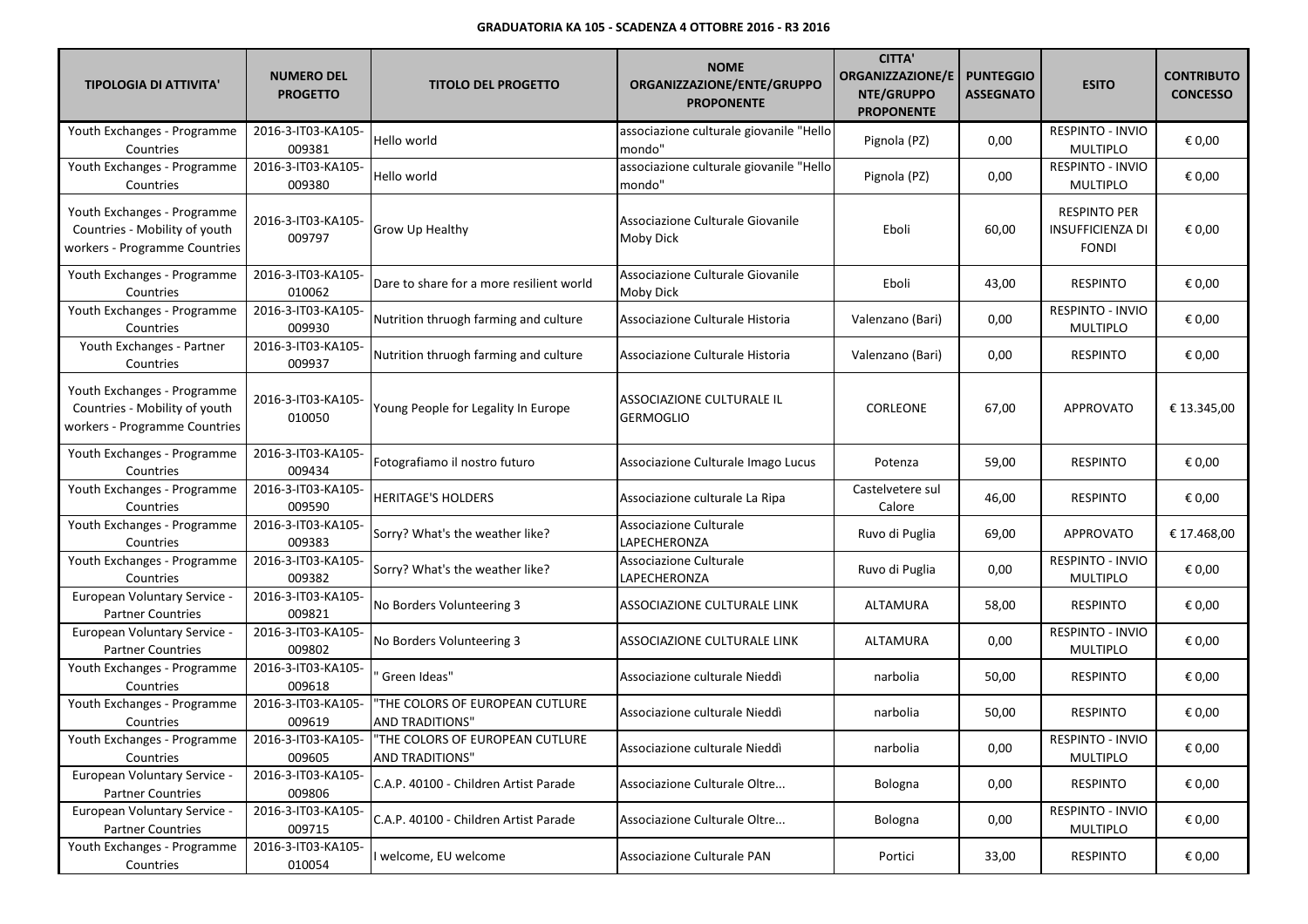| <b>TIPOLOGIA DI ATTIVITA'</b>                                                                 | <b>NUMERO DEL</b><br><b>PROGETTO</b> | <b>TITOLO DEL PROGETTO</b>                                | <b>NOME</b><br>ORGANIZZAZIONE/ENTE/GRUPPO<br><b>PROPONENTE</b> | <b>CITTA'</b><br><b>ORGANIZZAZIONE/E</b><br>NTE/GRUPPO<br><b>PROPONENTE</b> | <b>PUNTEGGIO</b><br><b>ASSEGNATO</b> | <b>ESITO</b>                                                   | <b>CONTRIBUTO</b><br><b>CONCESSO</b> |
|-----------------------------------------------------------------------------------------------|--------------------------------------|-----------------------------------------------------------|----------------------------------------------------------------|-----------------------------------------------------------------------------|--------------------------------------|----------------------------------------------------------------|--------------------------------------|
| Youth Exchanges - Programme<br>Countries                                                      | 2016-3-IT03-KA105-<br>009381         | Hello world                                               | associazione culturale giovanile "Hello<br>mondo"              | Pignola (PZ)                                                                | 0,00                                 | RESPINTO - INVIO<br><b>MULTIPLO</b>                            | € 0,00                               |
| Youth Exchanges - Programme<br>Countries                                                      | 2016-3-IT03-KA105-<br>009380         | Hello world                                               | associazione culturale giovanile "Hello<br>mondo"              | Pignola (PZ)                                                                | 0,00                                 | RESPINTO - INVIO<br><b>MULTIPLO</b>                            | € 0,00                               |
| Youth Exchanges - Programme<br>Countries - Mobility of youth<br>workers - Programme Countries | 2016-3-IT03-KA105-<br>009797         | Grow Up Healthy                                           | Associazione Culturale Giovanile<br>Moby Dick                  | Eboli                                                                       | 60,00                                | <b>RESPINTO PER</b><br><b>INSUFFICIENZA DI</b><br><b>FONDI</b> | € 0,00                               |
| Youth Exchanges - Programme<br>Countries                                                      | 2016-3-IT03-KA105-<br>010062         | Dare to share for a more resilient world                  | Associazione Culturale Giovanile<br><b>Moby Dick</b>           | Eboli                                                                       | 43,00                                | <b>RESPINTO</b>                                                | € 0,00                               |
| Youth Exchanges - Programme<br>Countries                                                      | 2016-3-IT03-KA105-<br>009930         | Nutrition thruogh farming and culture                     | Associazione Culturale Historia                                | Valenzano (Bari)                                                            | 0,00                                 | RESPINTO - INVIO<br><b>MULTIPLO</b>                            | € 0,00                               |
| Youth Exchanges - Partner<br>Countries                                                        | 2016-3-IT03-KA105-<br>009937         | Nutrition thruogh farming and culture                     | Associazione Culturale Historia                                | Valenzano (Bari)                                                            | 0,00                                 | <b>RESPINTO</b>                                                | € 0,00                               |
| Youth Exchanges - Programme<br>Countries - Mobility of youth<br>workers - Programme Countries | 2016-3-IT03-KA105-<br>010050         | Young People for Legality In Europe                       | ASSOCIAZIONE CULTURALE IL<br><b>GERMOGLIO</b>                  | CORLEONE                                                                    | 67,00                                | <b>APPROVATO</b>                                               | € 13.345,00                          |
| Youth Exchanges - Programme<br>Countries                                                      | 2016-3-IT03-KA105-<br>009434         | Fotografiamo il nostro futuro                             | Associazione Culturale Imago Lucus                             | Potenza                                                                     | 59,00                                | <b>RESPINTO</b>                                                | € 0,00                               |
| Youth Exchanges - Programme<br>Countries                                                      | 2016-3-IT03-KA105-<br>009590         | <b>HERITAGE'S HOLDERS</b>                                 | Associazione culturale La Ripa                                 | Castelvetere sul<br>Calore                                                  | 46,00                                | <b>RESPINTO</b>                                                | € 0,00                               |
| Youth Exchanges - Programme<br>Countries                                                      | 2016-3-IT03-KA105-<br>009383         | Sorry? What's the weather like?                           | Associazione Culturale<br>LAPECHERONZA                         | Ruvo di Puglia                                                              | 69,00                                | APPROVATO                                                      | € 17.468,00                          |
| Youth Exchanges - Programme<br>Countries                                                      | 2016-3-IT03-KA105-<br>009382         | Sorry? What's the weather like?                           | Associazione Culturale<br>LAPECHERONZA                         | Ruvo di Puglia                                                              | 0,00                                 | RESPINTO - INVIO<br><b>MULTIPLO</b>                            | € 0,00                               |
| European Voluntary Service -<br><b>Partner Countries</b>                                      | 2016-3-IT03-KA105-<br>009821         | No Borders Volunteering 3                                 | ASSOCIAZIONE CULTURALE LINK                                    | ALTAMURA                                                                    | 58,00                                | <b>RESPINTO</b>                                                | € 0,00                               |
| European Voluntary Service -<br><b>Partner Countries</b>                                      | 2016-3-IT03-KA105-<br>009802         | No Borders Volunteering 3                                 | ASSOCIAZIONE CULTURALE LINK                                    | ALTAMURA                                                                    | 0,00                                 | RESPINTO - INVIO<br><b>MULTIPLO</b>                            | € 0,00                               |
| Youth Exchanges - Programme<br>Countries                                                      | 2016-3-IT03-KA105-<br>009618         | Green Ideas"                                              | Associazione culturale Nieddì                                  | narbolia                                                                    | 50,00                                | RESPINTO                                                       | € 0,00                               |
| Youth Exchanges - Programme<br>Countries                                                      | 2016-3-IT03-KA105-<br>009619         | "THE COLORS OF EUROPEAN CUTLURE<br><b>AND TRADITIONS"</b> | Associazione culturale Nieddì                                  | narbolia                                                                    | 50,00                                | <b>RESPINTO</b>                                                | € 0,00                               |
| Youth Exchanges - Programme<br>Countries                                                      | 2016-3-IT03-KA105-<br>009605         | "THE COLORS OF EUROPEAN CUTLURE<br>AND TRADITIONS"        | Associazione culturale Nieddì                                  | narbolia                                                                    | 0,00                                 | <b>RESPINTO - INVIO</b><br>MULTIPLO                            | $\in$ 0,00                           |
| European Voluntary Service -<br><b>Partner Countries</b>                                      | 2016-3-IT03-KA105-<br>009806         | C.A.P. 40100 - Children Artist Parade                     | Associazione Culturale Oltre                                   | Bologna                                                                     | 0,00                                 | <b>RESPINTO</b>                                                | € 0,00                               |
| European Voluntary Service -<br><b>Partner Countries</b>                                      | 2016-3-IT03-KA105-<br>009715         | C.A.P. 40100 - Children Artist Parade                     | Associazione Culturale Oltre                                   | Bologna                                                                     | 0,00                                 | RESPINTO - INVIO<br><b>MULTIPLO</b>                            | € 0,00                               |
| Youth Exchanges - Programme<br>Countries                                                      | 2016-3-IT03-KA105-<br>010054         | I welcome, EU welcome                                     | Associazione Culturale PAN                                     | Portici                                                                     | 33,00                                | RESPINTO                                                       | € 0,00                               |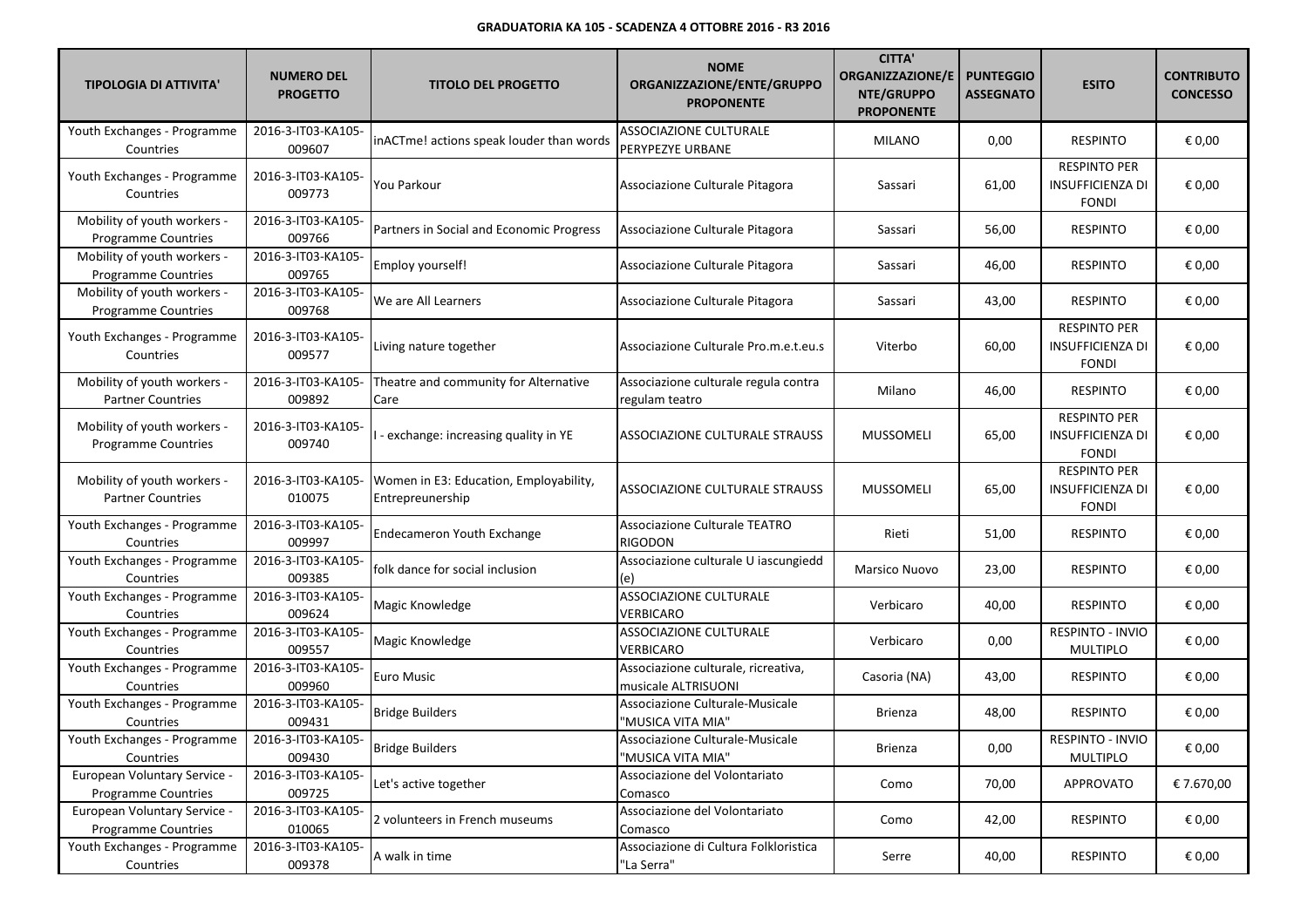| <b>TIPOLOGIA DI ATTIVITA'</b>                              | <b>NUMERO DEL</b><br><b>PROGETTO</b> | <b>TITOLO DEL PROGETTO</b>                                 | <b>NOME</b><br>ORGANIZZAZIONE/ENTE/GRUPPO<br><b>PROPONENTE</b> | <b>CITTA'</b><br><b>ORGANIZZAZIONE/E</b><br>NTE/GRUPPO<br><b>PROPONENTE</b> | <b>PUNTEGGIO</b><br><b>ASSEGNATO</b> | <b>ESITO</b>                                                   | <b>CONTRIBUTO</b><br><b>CONCESSO</b> |
|------------------------------------------------------------|--------------------------------------|------------------------------------------------------------|----------------------------------------------------------------|-----------------------------------------------------------------------------|--------------------------------------|----------------------------------------------------------------|--------------------------------------|
| Youth Exchanges - Programme<br>Countries                   | 2016-3-IT03-KA105-<br>009607         | inACTme! actions speak louder than words                   | ASSOCIAZIONE CULTURALE<br>PERYPEZYE URBANE                     | <b>MILANO</b>                                                               | 0,00                                 | <b>RESPINTO</b>                                                | € 0,00                               |
| Youth Exchanges - Programme<br>Countries                   | 2016-3-IT03-KA105-<br>009773         | You Parkour                                                | Associazione Culturale Pitagora                                | Sassari                                                                     | 61,00                                | <b>RESPINTO PER</b><br><b>INSUFFICIENZA DI</b><br><b>FONDI</b> | € 0,00                               |
| Mobility of youth workers -<br><b>Programme Countries</b>  | 2016-3-IT03-KA105-<br>009766         | Partners in Social and Economic Progress                   | Associazione Culturale Pitagora                                | Sassari                                                                     | 56,00                                | <b>RESPINTO</b>                                                | € 0,00                               |
| Mobility of youth workers -<br>Programme Countries         | 2016-3-IT03-KA105-<br>009765         | Employ yourself!                                           | Associazione Culturale Pitagora                                | Sassari                                                                     | 46,00                                | <b>RESPINTO</b>                                                | € 0,00                               |
| Mobility of youth workers -<br><b>Programme Countries</b>  | 2016-3-IT03-KA105-<br>009768         | We are All Learners                                        | Associazione Culturale Pitagora                                | Sassari                                                                     | 43,00                                | <b>RESPINTO</b>                                                | € 0,00                               |
| Youth Exchanges - Programme<br>Countries                   | 2016-3-IT03-KA105-<br>009577         | Living nature together                                     | Associazione Culturale Pro.m.e.t.eu.s                          | Viterbo                                                                     | 60,00                                | <b>RESPINTO PER</b><br><b>INSUFFICIENZA DI</b><br><b>FONDI</b> | € 0,00                               |
| Mobility of youth workers -<br><b>Partner Countries</b>    | 2016-3-IT03-KA105-<br>009892         | Theatre and community for Alternative<br>Care              | Associazione culturale regula contra<br>regulam teatro         | Milano                                                                      | 46,00                                | <b>RESPINTO</b>                                                | € 0,00                               |
| Mobility of youth workers -<br><b>Programme Countries</b>  | 2016-3-IT03-KA105-<br>009740         | I-exchange: increasing quality in YE                       | ASSOCIAZIONE CULTURALE STRAUSS                                 | <b>MUSSOMELI</b>                                                            | 65,00                                | <b>RESPINTO PER</b><br><b>INSUFFICIENZA DI</b><br><b>FONDI</b> | € 0,00                               |
| Mobility of youth workers -<br><b>Partner Countries</b>    | 2016-3-IT03-KA105-<br>010075         | Women in E3: Education, Employability,<br>Entrepreunership | ASSOCIAZIONE CULTURALE STRAUSS                                 | <b>MUSSOMELI</b>                                                            | 65,00                                | <b>RESPINTO PER</b><br><b>INSUFFICIENZA DI</b><br><b>FONDI</b> | € 0,00                               |
| Youth Exchanges - Programme<br>Countries                   | 2016-3-IT03-KA105-<br>009997         | Endecameron Youth Exchange                                 | <b>Associazione Culturale TEATRO</b><br>RIGODON                | Rieti                                                                       | 51,00                                | <b>RESPINTO</b>                                                | € 0,00                               |
| Youth Exchanges - Programme<br>Countries                   | 2016-3-IT03-KA105-<br>009385         | folk dance for social inclusion                            | Associazione culturale U iascungiedd                           | Marsico Nuovo                                                               | 23,00                                | <b>RESPINTO</b>                                                | € 0,00                               |
| Youth Exchanges - Programme<br>Countries                   | 2016-3-IT03-KA105-<br>009624         | Magic Knowledge                                            | ASSOCIAZIONE CULTURALE<br>VERBICARO                            | Verbicaro                                                                   | 40,00                                | <b>RESPINTO</b>                                                | € 0,00                               |
| Youth Exchanges - Programme<br>Countries                   | 2016-3-IT03-KA105-<br>009557         | Magic Knowledge                                            | ASSOCIAZIONE CULTURALE<br>VERBICARO                            | Verbicaro                                                                   | 0,00                                 | RESPINTO - INVIO<br><b>MULTIPLO</b>                            | € 0,00                               |
| Youth Exchanges - Programme<br>Countries                   | 2016-3-IT03-KA105-<br>009960         | Euro Music                                                 | Associazione culturale, ricreativa,<br>musicale ALTRISUONI     | Casoria (NA)                                                                | 43,00                                | <b>RESPINTO</b>                                                | € 0,00                               |
| Youth Exchanges - Programme<br>Countries                   | 2016-3-IT03-KA105-<br>009431         | <b>Bridge Builders</b>                                     | Associazione Culturale-Musicale<br>'MUSICA VITA MIA"           | Brienza                                                                     | 48,00                                | <b>RESPINTO</b>                                                | € 0,00                               |
| Youth Exchanges - Programme<br>Countries                   | 2016-3-IT03-KA105-<br>009430         | <b>Bridge Builders</b>                                     | Associazione Culturale-Musicale<br>"MUSICA VITA MIA"           | Brienza                                                                     | 0,00                                 | <b>RESPINTO - INVIO</b><br>MULTIPLO                            | $\in$ 0,00                           |
| European Voluntary Service -<br><b>Programme Countries</b> | 2016-3-IT03-KA105-<br>009725         | Let's active together                                      | Associazione del Volontariato<br>Comasco                       | Como                                                                        | 70,00                                | <b>APPROVATO</b>                                               | € 7.670,00                           |
| European Voluntary Service -<br><b>Programme Countries</b> | 2016-3-IT03-KA105-<br>010065         | 2 volunteers in French museums                             | Associazione del Volontariato<br>Comasco                       | Como                                                                        | 42,00                                | <b>RESPINTO</b>                                                | € 0,00                               |
| Youth Exchanges - Programme<br>Countries                   | 2016-3-IT03-KA105-<br>009378         | A walk in time                                             | Associazione di Cultura Folkloristica<br>"La Serra"            | Serre                                                                       | 40,00                                | RESPINTO                                                       | € 0,00                               |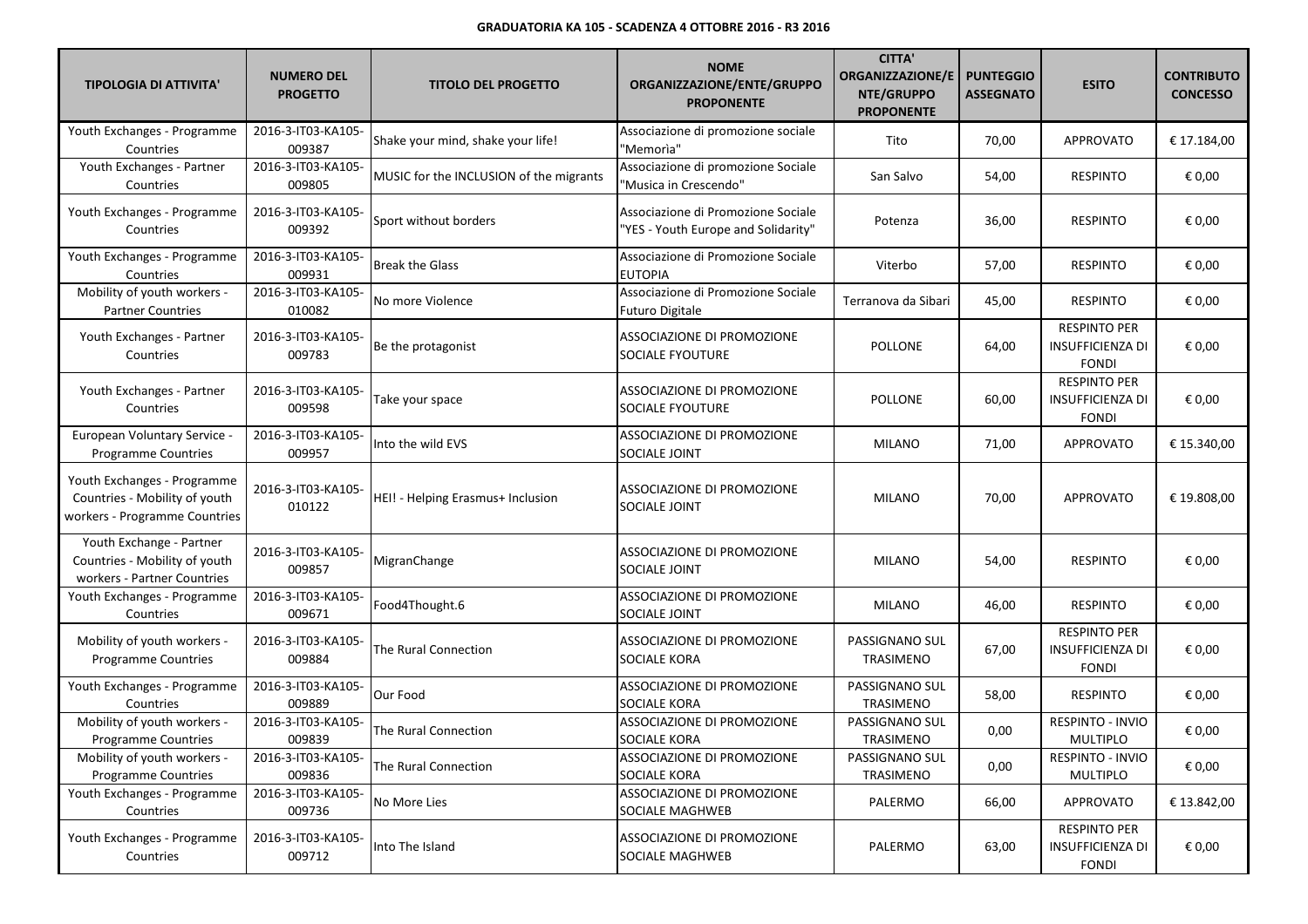| <b>TIPOLOGIA DI ATTIVITA'</b>                                                                 | <b>NUMERO DEL</b><br><b>PROGETTO</b> | <b>TITOLO DEL PROGETTO</b>              | <b>NOME</b><br>ORGANIZZAZIONE/ENTE/GRUPPO<br><b>PROPONENTE</b>            | <b>CITTA'</b><br><b>ORGANIZZAZIONE/E</b><br>NTE/GRUPPO<br><b>PROPONENTE</b> | <b>PUNTEGGIO</b><br><b>ASSEGNATO</b> | <b>ESITO</b>                                                   | <b>CONTRIBUTO</b><br><b>CONCESSO</b> |
|-----------------------------------------------------------------------------------------------|--------------------------------------|-----------------------------------------|---------------------------------------------------------------------------|-----------------------------------------------------------------------------|--------------------------------------|----------------------------------------------------------------|--------------------------------------|
| Youth Exchanges - Programme<br>Countries                                                      | 2016-3-IT03-KA105-<br>009387         | Shake your mind, shake your life!       | Associazione di promozione sociale<br>"Memorìa"                           | Tito                                                                        | 70,00                                | <b>APPROVATO</b>                                               | € 17.184,00                          |
| Youth Exchanges - Partner<br>Countries                                                        | 2016-3-IT03-KA105-<br>009805         | MUSIC for the INCLUSION of the migrants | Associazione di promozione Sociale<br>"Musica in Crescendo"               | San Salvo                                                                   | 54,00                                | <b>RESPINTO</b>                                                | € 0,00                               |
| Youth Exchanges - Programme<br>Countries                                                      | 2016-3-IT03-KA105-<br>009392         | Sport without borders                   | Associazione di Promozione Sociale<br>"YES - Youth Europe and Solidarity" | Potenza                                                                     | 36,00                                | <b>RESPINTO</b>                                                | € 0,00                               |
| Youth Exchanges - Programme<br>Countries                                                      | 2016-3-IT03-KA105-<br>009931         | <b>Break the Glass</b>                  | Associazione di Promozione Sociale<br><b>EUTOPIA</b>                      | Viterbo                                                                     | 57,00                                | <b>RESPINTO</b>                                                | € 0,00                               |
| Mobility of youth workers -<br><b>Partner Countries</b>                                       | 2016-3-IT03-KA105-<br>010082         | No more Violence                        | Associazione di Promozione Sociale<br><b>Futuro Digitale</b>              | Terranova da Sibari                                                         | 45,00                                | <b>RESPINTO</b>                                                | € 0,00                               |
| Youth Exchanges - Partner<br>Countries                                                        | 2016-3-IT03-KA105-<br>009783         | Be the protagonist                      | ASSOCIAZIONE DI PROMOZIONE<br>SOCIALE FYOUTURE                            | <b>POLLONE</b>                                                              | 64,00                                | <b>RESPINTO PER</b><br><b>INSUFFICIENZA DI</b><br><b>FONDI</b> | € 0,00                               |
| Youth Exchanges - Partner<br>Countries                                                        | 2016-3-IT03-KA105-<br>009598         | Take your space                         | ASSOCIAZIONE DI PROMOZIONE<br>SOCIALE FYOUTURE                            | <b>POLLONE</b>                                                              | 60,00                                | <b>RESPINTO PER</b><br><b>INSUFFICIENZA DI</b><br><b>FONDI</b> | € 0,00                               |
| European Voluntary Service -<br><b>Programme Countries</b>                                    | 2016-3-IT03-KA105-<br>009957         | Into the wild EVS                       | ASSOCIAZIONE DI PROMOZIONE<br>SOCIALE JOINT                               | <b>MILANO</b>                                                               | 71,00                                | <b>APPROVATO</b>                                               | € 15.340,00                          |
| Youth Exchanges - Programme<br>Countries - Mobility of youth<br>workers - Programme Countries | 2016-3-IT03-KA105-<br>010122         | HEI! - Helping Erasmus+ Inclusion       | ASSOCIAZIONE DI PROMOZIONE<br>SOCIALE JOINT                               | <b>MILANO</b>                                                               | 70,00                                | <b>APPROVATO</b>                                               | € 19.808,00                          |
| Youth Exchange - Partner<br>Countries - Mobility of youth<br>workers - Partner Countries      | 2016-3-IT03-KA105-<br>009857         | MigranChange                            | ASSOCIAZIONE DI PROMOZIONE<br>SOCIALE JOINT                               | <b>MILANO</b>                                                               | 54,00                                | <b>RESPINTO</b>                                                | € 0,00                               |
| Youth Exchanges - Programme<br>Countries                                                      | 2016-3-IT03-KA105-<br>009671         | Food4Thought.6                          | ASSOCIAZIONE DI PROMOZIONE<br>SOCIALE JOINT                               | <b>MILANO</b>                                                               | 46,00                                | <b>RESPINTO</b>                                                | € 0,00                               |
| Mobility of youth workers -<br><b>Programme Countries</b>                                     | 2016-3-IT03-KA105-<br>009884         | The Rural Connection                    | ASSOCIAZIONE DI PROMOZIONE<br><b>SOCIALE KORA</b>                         | PASSIGNANO SUL<br>TRASIMENO                                                 | 67,00                                | <b>RESPINTO PER</b><br>INSUFFICIENZA DI<br><b>FONDI</b>        | € 0,00                               |
| Youth Exchanges - Programme<br>Countries                                                      | 2016-3-IT03-KA105-<br>009889         | Our Food                                | <b>ASSOCIAZIONE DI PROMOZIONE</b><br>SOCIALE KORA                         | PASSIGNANO SUL<br><b>TRASIMENO</b>                                          | 58,00                                | <b>RESPINTO</b>                                                | € 0,00                               |
| Mobility of youth workers -<br><b>Programme Countries</b>                                     | 2016-3-IT03-KA105-<br>009839         | The Rural Connection                    | ASSOCIAZIONE DI PROMOZIONE<br>SOCIALE KORA                                | PASSIGNANO SUL<br><b>TRASIMENO</b>                                          | 0,00                                 | RESPINTO - INVIO<br><b>MULTIPLO</b>                            | € 0,00                               |
| Mobility of youth workers -<br>Programme Countries                                            | 2016-3-IT03-KA105-<br>009836         | The Rural Connection                    | ASSOCIAZIONE DI PROMOZIONE<br>SOCIALE KORA                                | PASSIGNANO SUL<br>TRASIMENO                                                 | 0,00                                 | RESPINTO - INVIO<br>MULTIPLO                                   | € 0,00                               |
| Youth Exchanges - Programme<br>Countries                                                      | 2016-3-IT03-KA105-<br>009736         | No More Lies                            | ASSOCIAZIONE DI PROMOZIONE<br><b>SOCIALE MAGHWEB</b>                      | PALERMO                                                                     | 66,00                                | APPROVATO                                                      | € 13.842,00                          |
| Youth Exchanges - Programme<br>Countries                                                      | 2016-3-IT03-KA105-<br>009712         | Into The Island                         | ASSOCIAZIONE DI PROMOZIONE<br>SOCIALE MAGHWEB                             | PALERMO                                                                     | 63,00                                | <b>RESPINTO PER</b><br><b>INSUFFICIENZA DI</b><br><b>FONDI</b> | € 0,00                               |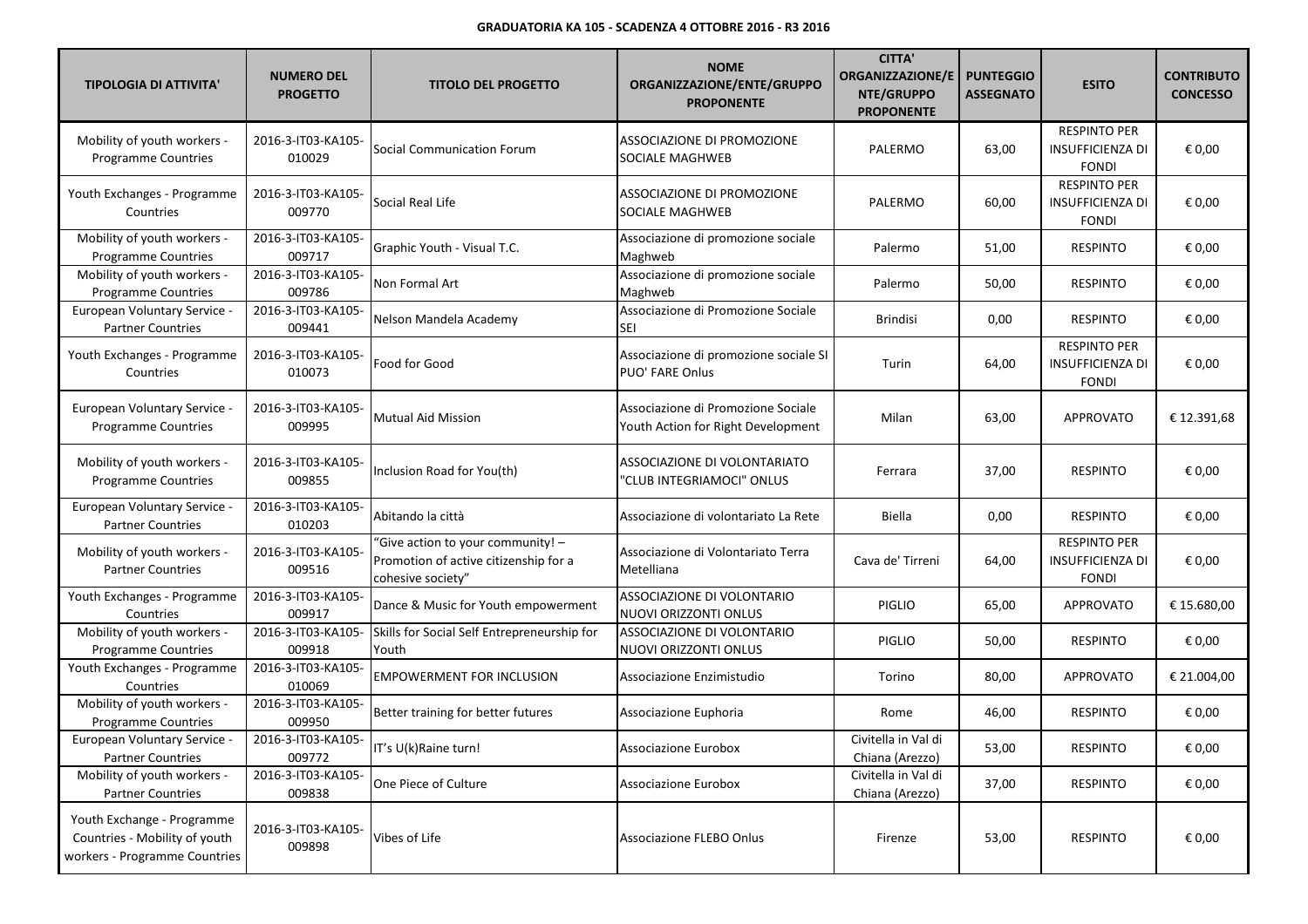| <b>TIPOLOGIA DI ATTIVITA'</b>                                                                | <b>NUMERO DEL</b><br><b>PROGETTO</b> | <b>TITOLO DEL PROGETTO</b>                                                                      | <b>NOME</b><br>ORGANIZZAZIONE/ENTE/GRUPPO<br><b>PROPONENTE</b>           | <b>CITTA'</b><br><b>ORGANIZZAZIONE/E</b><br>NTE/GRUPPO<br><b>PROPONENTE</b> | <b>PUNTEGGIO</b><br><b>ASSEGNATO</b> | <b>ESITO</b>                                                   | <b>CONTRIBUTO</b><br><b>CONCESSO</b> |
|----------------------------------------------------------------------------------------------|--------------------------------------|-------------------------------------------------------------------------------------------------|--------------------------------------------------------------------------|-----------------------------------------------------------------------------|--------------------------------------|----------------------------------------------------------------|--------------------------------------|
| Mobility of youth workers -<br>Programme Countries                                           | 2016-3-IT03-KA105-<br>010029         | Social Communication Forum                                                                      | ASSOCIAZIONE DI PROMOZIONE<br>SOCIALE MAGHWEB                            | PALERMO                                                                     | 63,00                                | <b>RESPINTO PER</b><br><b>INSUFFICIENZA DI</b><br><b>FONDI</b> | € 0,00                               |
| Youth Exchanges - Programme<br>Countries                                                     | 2016-3-IT03-KA105-<br>009770         | Social Real Life                                                                                | ASSOCIAZIONE DI PROMOZIONE<br>SOCIALE MAGHWEB                            | PALERMO                                                                     | 60,00                                | <b>RESPINTO PER</b><br><b>INSUFFICIENZA DI</b><br><b>FONDI</b> | € 0,00                               |
| Mobility of youth workers -<br><b>Programme Countries</b>                                    | 2016-3-IT03-KA105-<br>009717         | Graphic Youth - Visual T.C.                                                                     | Associazione di promozione sociale<br>Maghweb                            | Palermo                                                                     | 51,00                                | <b>RESPINTO</b>                                                | € 0,00                               |
| Mobility of youth workers -<br>Programme Countries                                           | 2016-3-IT03-KA105-<br>009786         | Non Formal Art                                                                                  | Associazione di promozione sociale<br>Maghweb                            | Palermo                                                                     | 50,00                                | <b>RESPINTO</b>                                                | € 0,00                               |
| European Voluntary Service -<br><b>Partner Countries</b>                                     | 2016-3-IT03-KA105-<br>009441         | Nelson Mandela Academy                                                                          | Associazione di Promozione Sociale<br>SEI                                | <b>Brindisi</b>                                                             | 0,00                                 | <b>RESPINTO</b>                                                | € 0,00                               |
| Youth Exchanges - Programme<br>Countries                                                     | 2016-3-IT03-KA105-<br>010073         | Food for Good                                                                                   | Associazione di promozione sociale SI<br><b>PUO' FARE Onlus</b>          | Turin                                                                       | 64,00                                | <b>RESPINTO PER</b><br><b>INSUFFICIENZA DI</b><br><b>FONDI</b> | € 0,00                               |
| <b>European Voluntary Service -</b><br><b>Programme Countries</b>                            | 2016-3-IT03-KA105-<br>009995         | <b>Mutual Aid Mission</b>                                                                       | Associazione di Promozione Sociale<br>Youth Action for Right Development | Milan                                                                       | 63,00                                | APPROVATO                                                      | € 12.391,68                          |
| Mobility of youth workers -<br><b>Programme Countries</b>                                    | 2016-3-IT03-KA105-<br>009855         | Inclusion Road for You(th)                                                                      | ASSOCIAZIONE DI VOLONTARIATO<br>"CLUB INTEGRIAMOCI" ONLUS                | Ferrara                                                                     | 37,00                                | <b>RESPINTO</b>                                                | € 0,00                               |
| European Voluntary Service -<br><b>Partner Countries</b>                                     | 2016-3-IT03-KA105-<br>010203         | Abitando la città                                                                               | Associazione di volontariato La Rete                                     | Biella                                                                      | 0,00                                 | <b>RESPINTO</b>                                                | € 0,00                               |
| Mobility of youth workers -<br><b>Partner Countries</b>                                      | 2016-3-IT03-KA105-<br>009516         | "Give action to your community! -<br>Promotion of active citizenship for a<br>cohesive society" | Associazione di Volontariato Terra<br>Metelliana                         | Cava de' Tirreni                                                            | 64,00                                | <b>RESPINTO PER</b><br>INSUFFICIENZA DI<br><b>FONDI</b>        | € 0,00                               |
| Youth Exchanges - Programme<br>Countries                                                     | 2016-3-IT03-KA105-<br>009917         | Dance & Music for Youth empowerment                                                             | ASSOCIAZIONE DI VOLONTARIO<br>NUOVI ORIZZONTI ONLUS                      | PIGLIO                                                                      | 65,00                                | APPROVATO                                                      | € 15.680,00                          |
| Mobility of youth workers -<br>Programme Countries                                           | 2016-3-IT03-KA105-<br>009918         | Skills for Social Self Entrepreneurship for<br>Youth                                            | ASSOCIAZIONE DI VOLONTARIO<br>NUOVI ORIZZONTI ONLUS                      | <b>PIGLIO</b>                                                               | 50,00                                | <b>RESPINTO</b>                                                | € 0,00                               |
| Youth Exchanges - Programme<br>Countries                                                     | 2016-3-IT03-KA105-<br>010069         | <b>EMPOWERMENT FOR INCLUSION</b>                                                                | Associazione Enzimistudio                                                | Torino                                                                      | 80,00                                | APPROVATO                                                      | € 21.004,00                          |
| Mobility of youth workers -<br>Programme Countries                                           | 2016-3-IT03-KA105-<br>009950         | Better training for better futures                                                              | Associazione Euphoria                                                    | Rome                                                                        | 46,00                                | <b>RESPINTO</b>                                                | € 0,00                               |
| <b>European Voluntary Service -</b><br><b>Partner Countries</b>                              | 2016-3-IT03-KA105-<br>009772         | IT's U(k)Raine turn!                                                                            | Associazione Eurobox                                                     | Civitella in Val di<br>Chiana (Arezzo)                                      | 53,00                                | <b>RESPINTO</b>                                                | $\epsilon$ 0,00                      |
| Mobility of youth workers -<br><b>Partner Countries</b>                                      | 2016-3-IT03-KA105-<br>009838         | One Piece of Culture                                                                            | <b>Associazione Eurobox</b>                                              | Civitella in Val di<br>Chiana (Arezzo)                                      | 37,00                                | RESPINTO                                                       | € 0,00                               |
| Youth Exchange - Programme<br>Countries - Mobility of youth<br>workers - Programme Countries | 2016-3-IT03-KA105-<br>009898         | Vibes of Life                                                                                   | Associazione FLEBO Onlus                                                 | Firenze                                                                     | 53,00                                | <b>RESPINTO</b>                                                | € 0,00                               |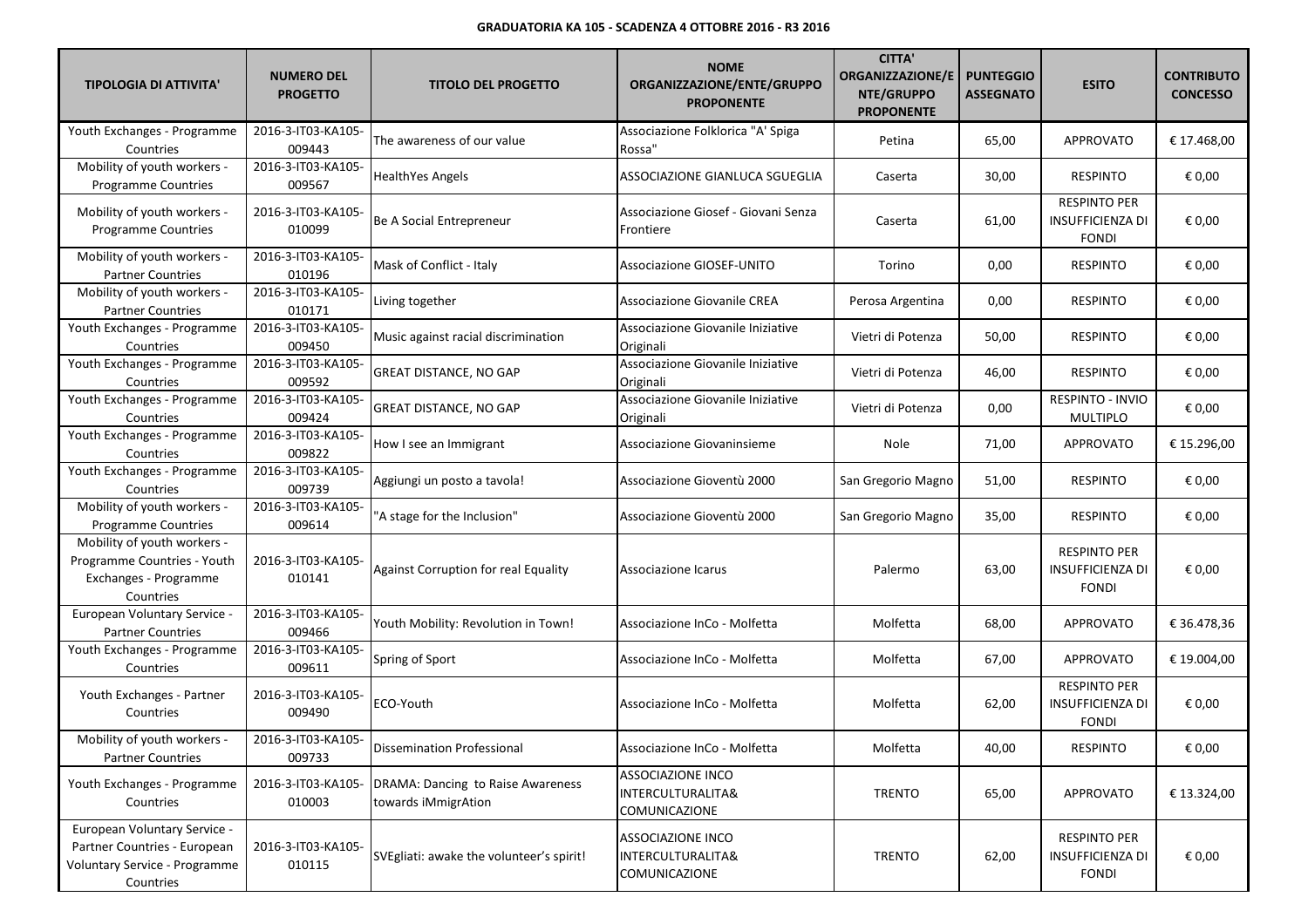| <b>TIPOLOGIA DI ATTIVITA'</b>                                                                                     | <b>NUMERO DEL</b><br><b>PROGETTO</b> | <b>TITOLO DEL PROGETTO</b>                               | <b>NOME</b><br>ORGANIZZAZIONE/ENTE/GRUPPO<br><b>PROPONENTE</b> | <b>CITTA'</b><br><b>ORGANIZZAZIONE/E</b><br>NTE/GRUPPO<br><b>PROPONENTE</b> | <b>PUNTEGGIO</b><br><b>ASSEGNATO</b> | <b>ESITO</b>                                                   | <b>CONTRIBUTO</b><br><b>CONCESSO</b> |
|-------------------------------------------------------------------------------------------------------------------|--------------------------------------|----------------------------------------------------------|----------------------------------------------------------------|-----------------------------------------------------------------------------|--------------------------------------|----------------------------------------------------------------|--------------------------------------|
| Youth Exchanges - Programme<br>Countries                                                                          | 2016-3-IT03-KA105-<br>009443         | The awareness of our value                               | Associazione Folklorica "A' Spiga<br>Rossa"                    | Petina                                                                      | 65,00                                | <b>APPROVATO</b>                                               | € 17.468,00                          |
| Mobility of youth workers -<br>Programme Countries                                                                | 2016-3-IT03-KA105-<br>009567         | HealthYes Angels                                         | ASSOCIAZIONE GIANLUCA SGUEGLIA                                 | Caserta                                                                     | 30,00                                | <b>RESPINTO</b>                                                | € 0,00                               |
| Mobility of youth workers -<br><b>Programme Countries</b>                                                         | 2016-3-IT03-KA105-<br>010099         | Be A Social Entrepreneur                                 | Associazione Giosef - Giovani Senza<br>Frontiere               | Caserta                                                                     | 61,00                                | <b>RESPINTO PER</b><br>INSUFFICIENZA DI<br><b>FONDI</b>        | € 0,00                               |
| Mobility of youth workers -<br><b>Partner Countries</b>                                                           | 2016-3-IT03-KA105-<br>010196         | Mask of Conflict - Italy                                 | <b>Associazione GIOSEF-UNITO</b>                               | Torino                                                                      | 0,00                                 | <b>RESPINTO</b>                                                | € 0,00                               |
| Mobility of youth workers -<br><b>Partner Countries</b>                                                           | 2016-3-IT03-KA105-<br>010171         | Living together                                          | Associazione Giovanile CREA                                    | Perosa Argentina                                                            | 0,00                                 | <b>RESPINTO</b>                                                | € 0,00                               |
| Youth Exchanges - Programme<br>Countries                                                                          | 2016-3-IT03-KA105-<br>009450         | Music against racial discrimination                      | Associazione Giovanile Iniziative<br>Originali                 | Vietri di Potenza                                                           | 50,00                                | <b>RESPINTO</b>                                                | € 0,00                               |
| Youth Exchanges - Programme<br>Countries                                                                          | 2016-3-IT03-KA105-<br>009592         | <b>GREAT DISTANCE, NO GAP</b>                            | Associazione Giovanile Iniziative<br>Originali                 | Vietri di Potenza                                                           | 46,00                                | <b>RESPINTO</b>                                                | € 0,00                               |
| Youth Exchanges - Programme<br>Countries                                                                          | 2016-3-IT03-KA105-<br>009424         | <b>GREAT DISTANCE, NO GAP</b>                            | Associazione Giovanile Iniziative<br>Originali                 | Vietri di Potenza                                                           | 0,00                                 | RESPINTO - INVIO<br><b>MULTIPLO</b>                            | € 0,00                               |
| Youth Exchanges - Programme<br>Countries                                                                          | 2016-3-IT03-KA105-<br>009822         | How I see an Immigrant                                   | Associazione Giovaninsieme                                     | Nole                                                                        | 71,00                                | APPROVATO                                                      | € 15.296,00                          |
| Youth Exchanges - Programme<br>Countries                                                                          | 2016-3-IT03-KA105-<br>009739         | Aggiungi un posto a tavola!                              | Associazione Gioventù 2000                                     | San Gregorio Magno                                                          | 51,00                                | <b>RESPINTO</b>                                                | € 0,00                               |
| Mobility of youth workers -<br><b>Programme Countries</b>                                                         | 2016-3-IT03-KA105-<br>009614         | 'A stage for the Inclusion"                              | Associazione Gioventù 2000                                     | San Gregorio Magno                                                          | 35,00                                | <b>RESPINTO</b>                                                | € 0,00                               |
| Mobility of youth workers -<br>Programme Countries - Youth<br>Exchanges - Programme<br>Countries                  | 2016-3-IT03-KA105-<br>010141         | <b>Against Corruption for real Equality</b>              | Associazione Icarus                                            | Palermo                                                                     | 63,00                                | <b>RESPINTO PER</b><br><b>INSUFFICIENZA DI</b><br><b>FONDI</b> | € 0,00                               |
| European Voluntary Service -<br><b>Partner Countries</b>                                                          | 2016-3-IT03-KA105-<br>009466         | Youth Mobility: Revolution in Town!                      | Associazione InCo - Molfetta                                   | Molfetta                                                                    | 68,00                                | APPROVATO                                                      | € 36.478,36                          |
| Youth Exchanges - Programme<br>Countries                                                                          | 2016-3-IT03-KA105-<br>009611         | Spring of Sport                                          | Associazione InCo - Molfetta                                   | Molfetta                                                                    | 67,00                                | APPROVATO                                                      | € 19.004,00                          |
| Youth Exchanges - Partner<br>Countries                                                                            | 2016-3-IT03-KA105-<br>009490         | ECO-Youth                                                | Associazione InCo - Molfetta                                   | Molfetta                                                                    | 62,00                                | <b>RESPINTO PER</b><br>INSUFFICIENZA DI<br><b>FONDI</b>        | € 0,00                               |
| Mobility of youth workers -<br><b>Partner Countries</b>                                                           | 2016-3-IT03-KA105-<br>009733         | Dissemination Professional                               | Associazione InCo - Molfetta                                   | Molfetta                                                                    | 40,00                                | <b>RESPINTO</b>                                                | € 0,00                               |
| Youth Exchanges - Programme<br>Countries                                                                          | 2016-3-IT03-KA105-<br>010003         | DRAMA: Dancing to Raise Awareness<br>towards iMmigrAtion | <b>ASSOCIAZIONE INCO</b><br>INTERCULTURALITA&<br>COMUNICAZIONE | <b>TRENTO</b>                                                               | 65,00                                | APPROVATO                                                      | € 13.324,00                          |
| European Voluntary Service -<br>Partner Countries - European<br><b>Voluntary Service - Programme</b><br>Countries | 2016-3-IT03-KA105-<br>010115         | SVEgliati: awake the volunteer's spirit!                 | <b>ASSOCIAZIONE INCO</b><br>INTERCULTURALITA&<br>COMUNICAZIONE | <b>TRENTO</b>                                                               | 62,00                                | <b>RESPINTO PER</b><br><b>INSUFFICIENZA DI</b><br><b>FONDI</b> | € 0,00                               |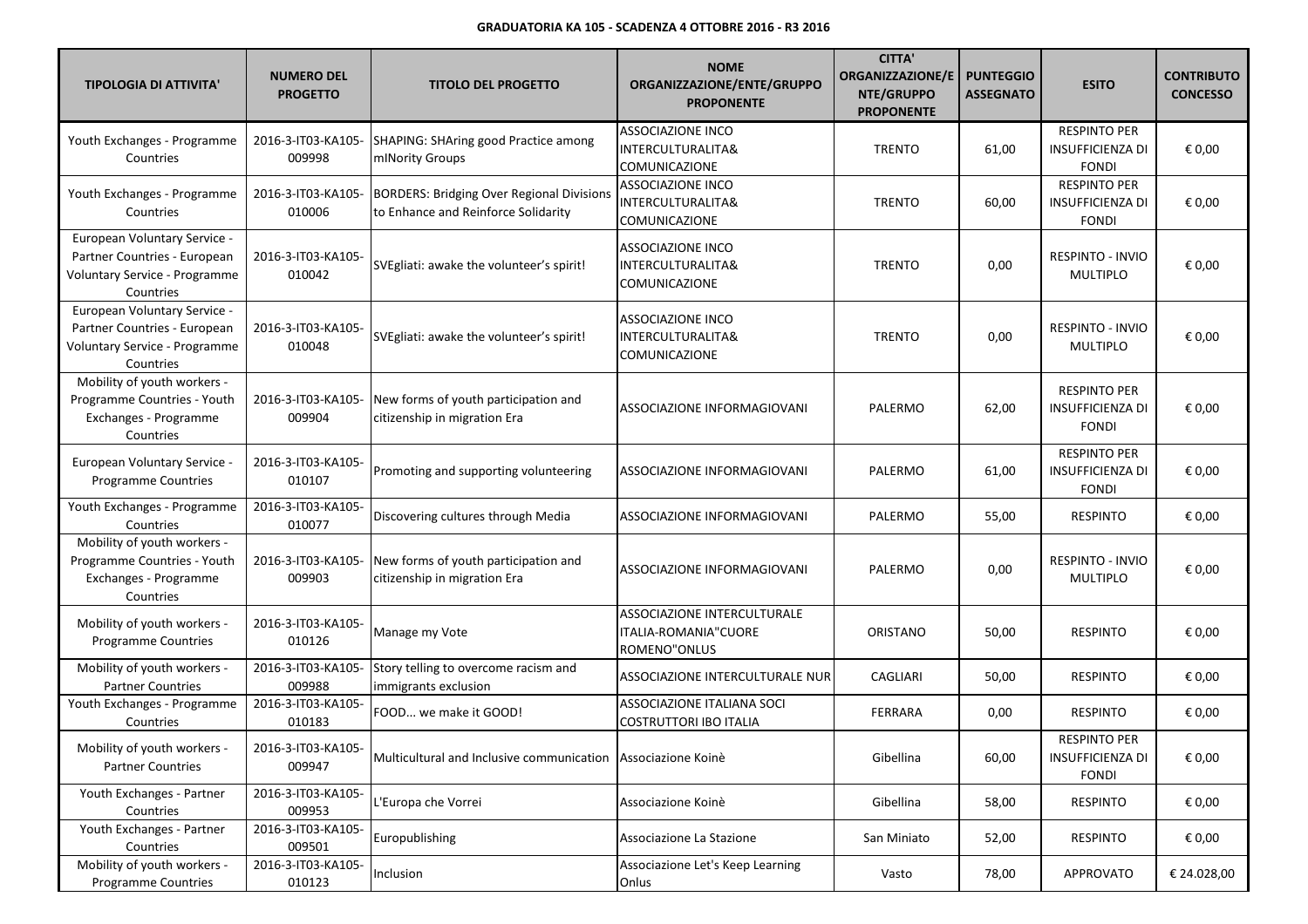| <b>TIPOLOGIA DI ATTIVITA'</b>                                                                              | <b>NUMERO DEL</b><br><b>PROGETTO</b> | <b>TITOLO DEL PROGETTO</b>                                                              | <b>NOME</b><br>ORGANIZZAZIONE/ENTE/GRUPPO<br><b>PROPONENTE</b>      | <b>CITTA'</b><br><b>ORGANIZZAZIONE/E</b><br>NTE/GRUPPO<br><b>PROPONENTE</b> | <b>PUNTEGGIO</b><br><b>ASSEGNATO</b> | <b>ESITO</b>                                                   | <b>CONTRIBUTO</b><br><b>CONCESSO</b> |
|------------------------------------------------------------------------------------------------------------|--------------------------------------|-----------------------------------------------------------------------------------------|---------------------------------------------------------------------|-----------------------------------------------------------------------------|--------------------------------------|----------------------------------------------------------------|--------------------------------------|
| Youth Exchanges - Programme<br>Countries                                                                   | 2016-3-IT03-KA105-<br>009998         | <b>SHAPING: SHAring good Practice among</b><br>mINority Groups                          | <b>ASSOCIAZIONE INCO</b><br>INTERCULTURALITA&<br>COMUNICAZIONE      | <b>TRENTO</b>                                                               | 61,00                                | <b>RESPINTO PER</b><br><b>INSUFFICIENZA DI</b><br><b>FONDI</b> | € 0,00                               |
| Youth Exchanges - Programme<br>Countries                                                                   | 2016-3-IT03-KA105-<br>010006         | <b>BORDERS: Bridging Over Regional Divisions</b><br>to Enhance and Reinforce Solidarity | <b>ASSOCIAZIONE INCO</b><br>INTERCULTURALITA&<br>COMUNICAZIONE      | <b>TRENTO</b>                                                               | 60,00                                | <b>RESPINTO PER</b><br>INSUFFICIENZA DI<br><b>FONDI</b>        | € 0,00                               |
| European Voluntary Service -<br>Partner Countries - European<br>Voluntary Service - Programme<br>Countries | 2016-3-IT03-KA105-<br>010042         | SVEgliati: awake the volunteer's spirit!                                                | ASSOCIAZIONE INCO<br>INTERCULTURALITA&<br>COMUNICAZIONE             | <b>TRENTO</b>                                                               | 0,00                                 | <b>RESPINTO - INVIO</b><br><b>MULTIPLO</b>                     | € 0,00                               |
| European Voluntary Service -<br>Partner Countries - European<br>Voluntary Service - Programme<br>Countries | 2016-3-IT03-KA105-<br>010048         | SVEgliati: awake the volunteer's spirit!                                                | <b>ASSOCIAZIONE INCO</b><br>INTERCULTURALITA&<br>COMUNICAZIONE      | <b>TRENTO</b>                                                               | 0,00                                 | <b>RESPINTO - INVIO</b><br><b>MULTIPLO</b>                     | € 0,00                               |
| Mobility of youth workers -<br>Programme Countries - Youth<br>Exchanges - Programme<br>Countries           | 2016-3-IT03-KA105-<br>009904         | New forms of youth participation and<br>citizenship in migration Era                    | ASSOCIAZIONE INFORMAGIOVANI                                         | PALERMO                                                                     | 62,00                                | <b>RESPINTO PER</b><br>INSUFFICIENZA DI<br><b>FONDI</b>        | € 0,00                               |
| European Voluntary Service -<br>Programme Countries                                                        | 2016-3-IT03-KA105-<br>010107         | Promoting and supporting volunteering                                                   | ASSOCIAZIONE INFORMAGIOVANI                                         | PALERMO                                                                     | 61,00                                | <b>RESPINTO PER</b><br><b>INSUFFICIENZA DI</b><br><b>FONDI</b> | € 0,00                               |
| Youth Exchanges - Programme<br>Countries                                                                   | 2016-3-IT03-KA105-<br>010077         | Discovering cultures through Media                                                      | ASSOCIAZIONE INFORMAGIOVANI                                         | PALERMO                                                                     | 55,00                                | <b>RESPINTO</b>                                                | € 0,00                               |
| Mobility of youth workers -<br>Programme Countries - Youth<br>Exchanges - Programme<br>Countries           | 2016-3-IT03-KA105-<br>009903         | New forms of youth participation and<br>citizenship in migration Era                    | ASSOCIAZIONE INFORMAGIOVANI                                         | PALERMO                                                                     | 0,00                                 | <b>RESPINTO - INVIO</b><br><b>MULTIPLO</b>                     | € 0,00                               |
| Mobility of youth workers -<br><b>Programme Countries</b>                                                  | 2016-3-IT03-KA105-<br>010126         | Manage my Vote                                                                          | ASSOCIAZIONE INTERCULTURALE<br>ITALIA-ROMANIA"CUORE<br>ROMENO"ONLUS | <b>ORISTANO</b>                                                             | 50,00                                | <b>RESPINTO</b>                                                | € 0,00                               |
| Mobility of youth workers -<br><b>Partner Countries</b>                                                    | 2016-3-IT03-KA105-<br>009988         | Story telling to overcome racism and<br>immigrants exclusion                            | ASSOCIAZIONE INTERCULTURALE NUR                                     | CAGLIARI                                                                    | 50,00                                | <b>RESPINTO</b>                                                | € 0,00                               |
| Youth Exchanges - Programme<br>Countries                                                                   | 2016-3-IT03-KA105-<br>010183         | FOOD we make it GOOD!                                                                   | ASSOCIAZIONE ITALIANA SOCI<br><b>COSTRUTTORI IBO ITALIA</b>         | FERRARA                                                                     | 0,00                                 | <b>RESPINTO</b>                                                | € 0,00                               |
| Mobility of youth workers -<br><b>Partner Countries</b>                                                    | 2016-3-IT03-KA105-<br>009947         | Multicultural and Inclusive communication Associazione Koinè                            |                                                                     | Gibellina                                                                   | 60,00                                | <b>RESPINTO PER</b><br><b>INSUFFICIENZA DI</b><br><b>FONDI</b> | € 0,00                               |
| Youth Exchanges - Partner<br>Countries                                                                     | 2016-3-IT03-KA105-<br>009953         | L'Europa che Vorrei                                                                     | Associazione Koinè                                                  | Gibellina                                                                   | 58,00                                | <b>RESPINTO</b>                                                | € 0,00                               |
| Youth Exchanges - Partner<br>Countries                                                                     | 2016-3-IT03-KA105-<br>009501         | Europublishing                                                                          | Associazione La Stazione                                            | San Miniato                                                                 | 52,00                                | RESPINTO                                                       | € 0,00                               |
| Mobility of youth workers -<br>Programme Countries                                                         | 2016-3-IT03-KA105-<br>010123         | Inclusion                                                                               | Associazione Let's Keep Learning<br>Onlus                           | Vasto                                                                       | 78,00                                | <b>APPROVATO</b>                                               | € 24.028,00                          |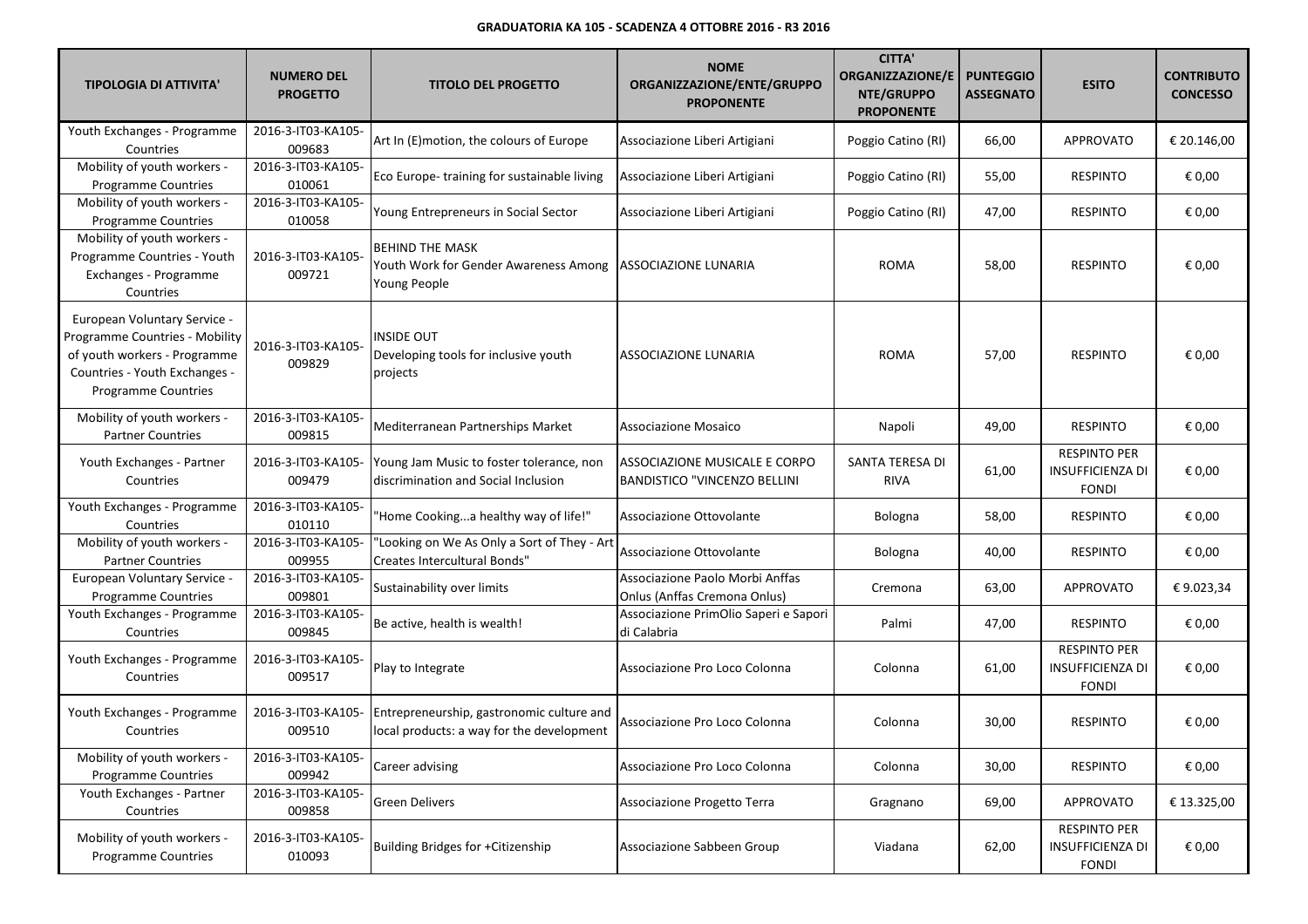| <b>TIPOLOGIA DI ATTIVITA'</b>                                                                                                                          | <b>NUMERO DEL</b><br><b>PROGETTO</b> | <b>TITOLO DEL PROGETTO</b>                                                             | <b>NOME</b><br>ORGANIZZAZIONE/ENTE/GRUPPO<br><b>PROPONENTE</b>       | <b>CITTA'</b><br><b>ORGANIZZAZIONE/E</b><br>NTE/GRUPPO<br><b>PROPONENTE</b> | <b>PUNTEGGIO</b><br><b>ASSEGNATO</b> | <b>ESITO</b>                                                   | <b>CONTRIBUTO</b><br><b>CONCESSO</b> |
|--------------------------------------------------------------------------------------------------------------------------------------------------------|--------------------------------------|----------------------------------------------------------------------------------------|----------------------------------------------------------------------|-----------------------------------------------------------------------------|--------------------------------------|----------------------------------------------------------------|--------------------------------------|
| Youth Exchanges - Programme<br>Countries                                                                                                               | 2016-3-IT03-KA105-<br>009683         | Art In (E)motion, the colours of Europe                                                | Associazione Liberi Artigiani                                        | Poggio Catino (RI)                                                          | 66,00                                | <b>APPROVATO</b>                                               | € 20.146,00                          |
| Mobility of youth workers -<br>Programme Countries                                                                                                     | 2016-3-IT03-KA105-<br>010061         | Eco Europe-training for sustainable living                                             | Associazione Liberi Artigiani                                        | Poggio Catino (RI)                                                          | 55,00                                | <b>RESPINTO</b>                                                | € 0,00                               |
| Mobility of youth workers -<br>Programme Countries                                                                                                     | 2016-3-IT03-KA105-<br>010058         | Young Entrepreneurs in Social Sector                                                   | Associazione Liberi Artigiani                                        | Poggio Catino (RI)                                                          | 47,00                                | <b>RESPINTO</b>                                                | € 0,00                               |
| Mobility of youth workers -<br>Programme Countries - Youth<br>Exchanges - Programme<br>Countries                                                       | 2016-3-IT03-KA105-<br>009721         | <b>BEHIND THE MASK</b><br>Youth Work for Gender Awareness Among<br>Young People        | ASSOCIAZIONE LUNARIA                                                 | <b>ROMA</b>                                                                 | 58,00                                | <b>RESPINTO</b>                                                | € 0,00                               |
| European Voluntary Service -<br>Programme Countries - Mobility<br>of youth workers - Programme<br>Countries - Youth Exchanges -<br>Programme Countries | 2016-3-IT03-KA105-<br>009829         | <b>INSIDE OUT</b><br>Developing tools for inclusive youth<br>projects                  | ASSOCIAZIONE LUNARIA                                                 | <b>ROMA</b>                                                                 | 57,00                                | <b>RESPINTO</b>                                                | € 0,00                               |
| Mobility of youth workers -<br><b>Partner Countries</b>                                                                                                | 2016-3-IT03-KA105-<br>009815         | Mediterranean Partnerships Market                                                      | Associazione Mosaico                                                 | Napoli                                                                      | 49,00                                | <b>RESPINTO</b>                                                | € 0,00                               |
| Youth Exchanges - Partner<br>Countries                                                                                                                 | 2016-3-IT03-KA105-<br>009479         | Young Jam Music to foster tolerance, non<br>discrimination and Social Inclusion        | ASSOCIAZIONE MUSICALE E CORPO<br><b>BANDISTICO "VINCENZO BELLINI</b> | SANTA TERESA DI<br><b>RIVA</b>                                              | 61,00                                | <b>RESPINTO PER</b><br><b>INSUFFICIENZA DI</b><br><b>FONDI</b> | € 0,00                               |
| Youth Exchanges - Programme<br>Countries                                                                                                               | 2016-3-IT03-KA105-<br>010110         | 'Home Cookinga healthy way of life!"                                                   | Associazione Ottovolante                                             | Bologna                                                                     | 58,00                                | <b>RESPINTO</b>                                                | € 0,00                               |
| Mobility of youth workers -<br><b>Partner Countries</b>                                                                                                | 2016-3-IT03-KA105-<br>009955         | "Looking on We As Only a Sort of They - Art<br><b>Creates Intercultural Bonds"</b>     | Associazione Ottovolante                                             | Bologna                                                                     | 40,00                                | <b>RESPINTO</b>                                                | € 0,00                               |
| <b>European Voluntary Service -</b><br><b>Programme Countries</b>                                                                                      | 2016-3-IT03-KA105-<br>009801         | Sustainability over limits                                                             | Associazione Paolo Morbi Anffas<br>Onlus (Anffas Cremona Onlus)      | Cremona                                                                     | 63,00                                | <b>APPROVATO</b>                                               | €9.023,34                            |
| Youth Exchanges - Programme<br>Countries                                                                                                               | 2016-3-IT03-KA105-<br>009845         | Be active, health is wealth!                                                           | Associazione PrimOlio Saperi e Sapori<br>di Calabria                 | Palmi                                                                       | 47,00                                | <b>RESPINTO</b>                                                | € 0,00                               |
| Youth Exchanges - Programme<br>Countries                                                                                                               | 2016-3-IT03-KA105-<br>009517         | Play to Integrate                                                                      | Associazione Pro Loco Colonna                                        | Colonna                                                                     | 61,00                                | <b>RESPINTO PER</b><br><b>INSUFFICIENZA DI</b><br><b>FONDI</b> | € 0,00                               |
| Youth Exchanges - Programme<br>Countries                                                                                                               | 2016-3-IT03-KA105-<br>009510         | Entrepreneurship, gastronomic culture and<br>local products: a way for the development | Associazione Pro Loco Colonna                                        | Colonna                                                                     | 30,00                                | <b>RESPINTO</b>                                                | € 0,00                               |
| Mobility of youth workers -<br>Programme Countries                                                                                                     | 2016-3-IT03-KA105-<br>009942         | Career advising                                                                        | Associazione Pro Loco Colonna                                        | Colonna                                                                     | 30,00                                | <b>RESPINTO</b>                                                | € 0,00                               |
| Youth Exchanges - Partner<br>Countries                                                                                                                 | 2016-3-IT03-KA105-<br>009858         | <b>Green Delivers</b>                                                                  | Associazione Progetto Terra                                          | Gragnano                                                                    | 69,00                                | APPROVATO                                                      | € 13.325,00                          |
| Mobility of youth workers -<br><b>Programme Countries</b>                                                                                              | 2016-3-IT03-KA105-<br>010093         | Building Bridges for +Citizenship                                                      | Associazione Sabbeen Group                                           | Viadana                                                                     | 62,00                                | <b>RESPINTO PER</b><br><b>INSUFFICIENZA DI</b><br>FONDI        | € 0,00                               |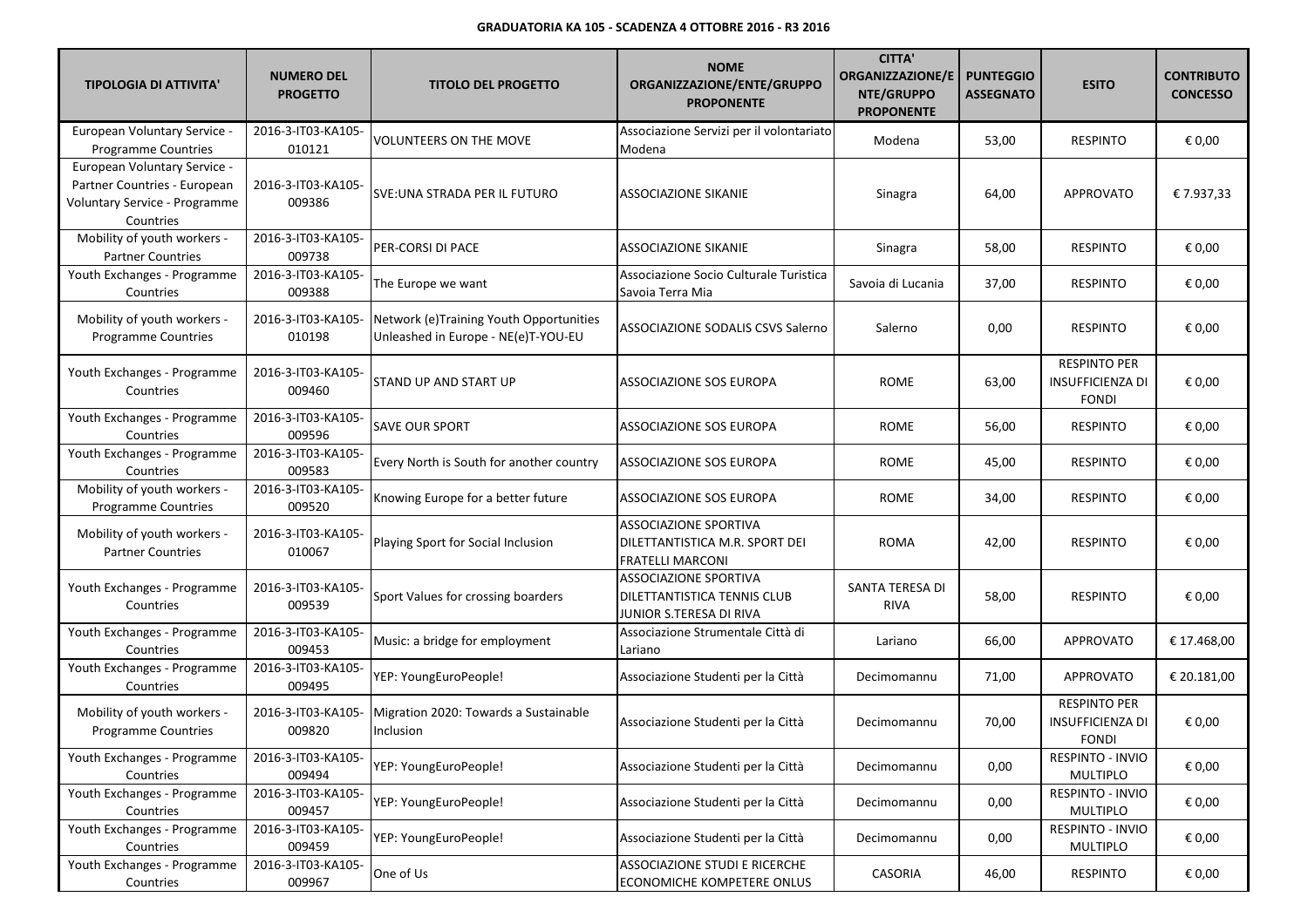| <b>TIPOLOGIA DI ATTIVITA'</b>                                                                              | <b>NUMERO DEL</b><br><b>PROGETTO</b> | <b>TITOLO DEL PROGETTO</b>                                                     | <b>NOME</b><br>ORGANIZZAZIONE/ENTE/GRUPPO<br><b>PROPONENTE</b>                                | <b>CITTA'</b><br><b>ORGANIZZAZIONE/E</b><br>NTE/GRUPPO<br><b>PROPONENTE</b> | <b>PUNTEGGIO</b><br><b>ASSEGNATO</b> | <b>ESITO</b>                                                   | <b>CONTRIBUTO</b><br><b>CONCESSO</b> |
|------------------------------------------------------------------------------------------------------------|--------------------------------------|--------------------------------------------------------------------------------|-----------------------------------------------------------------------------------------------|-----------------------------------------------------------------------------|--------------------------------------|----------------------------------------------------------------|--------------------------------------|
| European Voluntary Service -<br><b>Programme Countries</b>                                                 | 2016-3-IT03-KA105-<br>010121         | VOLUNTEERS ON THE MOVE                                                         | Associazione Servizi per il volontariato<br>Modena                                            | Modena                                                                      | 53,00                                | <b>RESPINTO</b>                                                | € 0,00                               |
| European Voluntary Service -<br>Partner Countries - European<br>Voluntary Service - Programme<br>Countries | 2016-3-IT03-KA105-<br>009386         | SVE:UNA STRADA PER IL FUTURO                                                   | ASSOCIAZIONE SIKANIE                                                                          | Sinagra                                                                     | 64,00                                | <b>APPROVATO</b>                                               | €7.937,33                            |
| Mobility of youth workers -<br><b>Partner Countries</b>                                                    | 2016-3-IT03-KA105-<br>009738         | PER-CORSI DI PACE                                                              | <b>ASSOCIAZIONE SIKANIE</b>                                                                   | Sinagra                                                                     | 58,00                                | <b>RESPINTO</b>                                                | € 0,00                               |
| Youth Exchanges - Programme<br>Countries                                                                   | 2016-3-IT03-KA105-<br>009388         | The Europe we want                                                             | Associazione Socio Culturale Turistica<br>Savoia Terra Mia                                    | Savoia di Lucania                                                           | 37,00                                | <b>RESPINTO</b>                                                | € 0,00                               |
| Mobility of youth workers -<br><b>Programme Countries</b>                                                  | 2016-3-IT03-KA105-<br>010198         | Network (e)Training Youth Opportunities<br>Unleashed in Europe - NE(e)T-YOU-EU | <b>ASSOCIAZIONE SODALIS CSVS Salerno</b>                                                      | Salerno                                                                     | 0,00                                 | <b>RESPINTO</b>                                                | € 0,00                               |
| Youth Exchanges - Programme<br>Countries                                                                   | 2016-3-IT03-KA105-<br>009460         | <b>STAND UP AND START UP</b>                                                   | ASSOCIAZIONE SOS EUROPA                                                                       | <b>ROME</b>                                                                 | 63,00                                | <b>RESPINTO PER</b><br><b>INSUFFICIENZA DI</b><br><b>FONDI</b> | € 0,00                               |
| Youth Exchanges - Programme<br>Countries                                                                   | 2016-3-IT03-KA105-<br>009596         | <b>SAVE OUR SPORT</b>                                                          | <b>ASSOCIAZIONE SOS EUROPA</b>                                                                | <b>ROME</b>                                                                 | 56,00                                | <b>RESPINTO</b>                                                | € 0,00                               |
| Youth Exchanges - Programme<br>Countries                                                                   | 2016-3-IT03-KA105-<br>009583         | Every North is South for another country                                       | ASSOCIAZIONE SOS EUROPA                                                                       | <b>ROME</b>                                                                 | 45,00                                | <b>RESPINTO</b>                                                | € 0,00                               |
| Mobility of youth workers -<br><b>Programme Countries</b>                                                  | 2016-3-IT03-KA105-<br>009520         | Knowing Europe for a better future                                             | <b>ASSOCIAZIONE SOS EUROPA</b>                                                                | <b>ROME</b>                                                                 | 34,00                                | <b>RESPINTO</b>                                                | € 0,00                               |
| Mobility of youth workers -<br><b>Partner Countries</b>                                                    | 2016-3-IT03-KA105-<br>010067         | Playing Sport for Social Inclusion                                             | <b>ASSOCIAZIONE SPORTIVA</b><br>DILETTANTISTICA M.R. SPORT DEI<br><b>FRATELLI MARCONI</b>     | ROMA                                                                        | 42,00                                | <b>RESPINTO</b>                                                | € 0,00                               |
| Youth Exchanges - Programme<br>Countries                                                                   | 2016-3-IT03-KA105-<br>009539         | Sport Values for crossing boarders                                             | <b>ASSOCIAZIONE SPORTIVA</b><br><b>DILETTANTISTICA TENNIS CLUB</b><br>JUNIOR S.TERESA DI RIVA | SANTA TERESA DI<br><b>RIVA</b>                                              | 58,00                                | <b>RESPINTO</b>                                                | € 0,00                               |
| Youth Exchanges - Programme<br>Countries                                                                   | 2016-3-IT03-KA105-<br>009453         | Music: a bridge for employment                                                 | Associazione Strumentale Città di<br>Lariano                                                  | Lariano                                                                     | 66,00                                | <b>APPROVATO</b>                                               | € 17.468,00                          |
| Youth Exchanges - Programme<br>Countries                                                                   | 2016-3-IT03-KA105-<br>009495         | YEP: YoungEuroPeople!                                                          | Associazione Studenti per la Città                                                            | Decimomannu                                                                 | 71,00                                | <b>APPROVATO</b>                                               | € 20.181,00                          |
| Mobility of youth workers -<br><b>Programme Countries</b>                                                  | 2016-3-IT03-KA105-<br>009820         | Migration 2020: Towards a Sustainable<br>Inclusion                             | Associazione Studenti per la Città                                                            | Decimomannu                                                                 | 70,00                                | <b>RESPINTO PER</b><br><b>INSUFFICIENZA DI</b><br><b>FONDI</b> | € 0,00                               |
| Youth Exchanges - Programme<br>Countries                                                                   | 2016-3-IT03-KA105-<br>009494         | YEP: YoungEuroPeople!                                                          | Associazione Studenti per la Città                                                            | Decimomannu                                                                 | 0,00                                 | RESPINTO - INVIO<br>MULTIPLO                                   | € 0,00                               |
| Youth Exchanges - Programme<br>Countries                                                                   | 2016-3-IT03-KA105-<br>009457         | YEP: YoungEuroPeople!                                                          | Associazione Studenti per la Città                                                            | Decimomannu                                                                 | 0,00                                 | RESPINTO - INVIO<br><b>MULTIPLO</b>                            | € 0,00                               |
| Youth Exchanges - Programme<br>Countries                                                                   | 2016-3-IT03-KA105-<br>009459         | YEP: YoungEuroPeople!                                                          | Associazione Studenti per la Città                                                            | Decimomannu                                                                 | 0,00                                 | RESPINTO - INVIO<br><b>MULTIPLO</b>                            | € 0,00                               |
| Youth Exchanges - Programme<br>Countries                                                                   | 2016-3-IT03-KA105-<br>009967         | One of Us                                                                      | ASSOCIAZIONE STUDI E RICERCHE<br><b>ECONOMICHE KOMPETERE ONLUS</b>                            | CASORIA                                                                     | 46,00                                | <b>RESPINTO</b>                                                | € 0,00                               |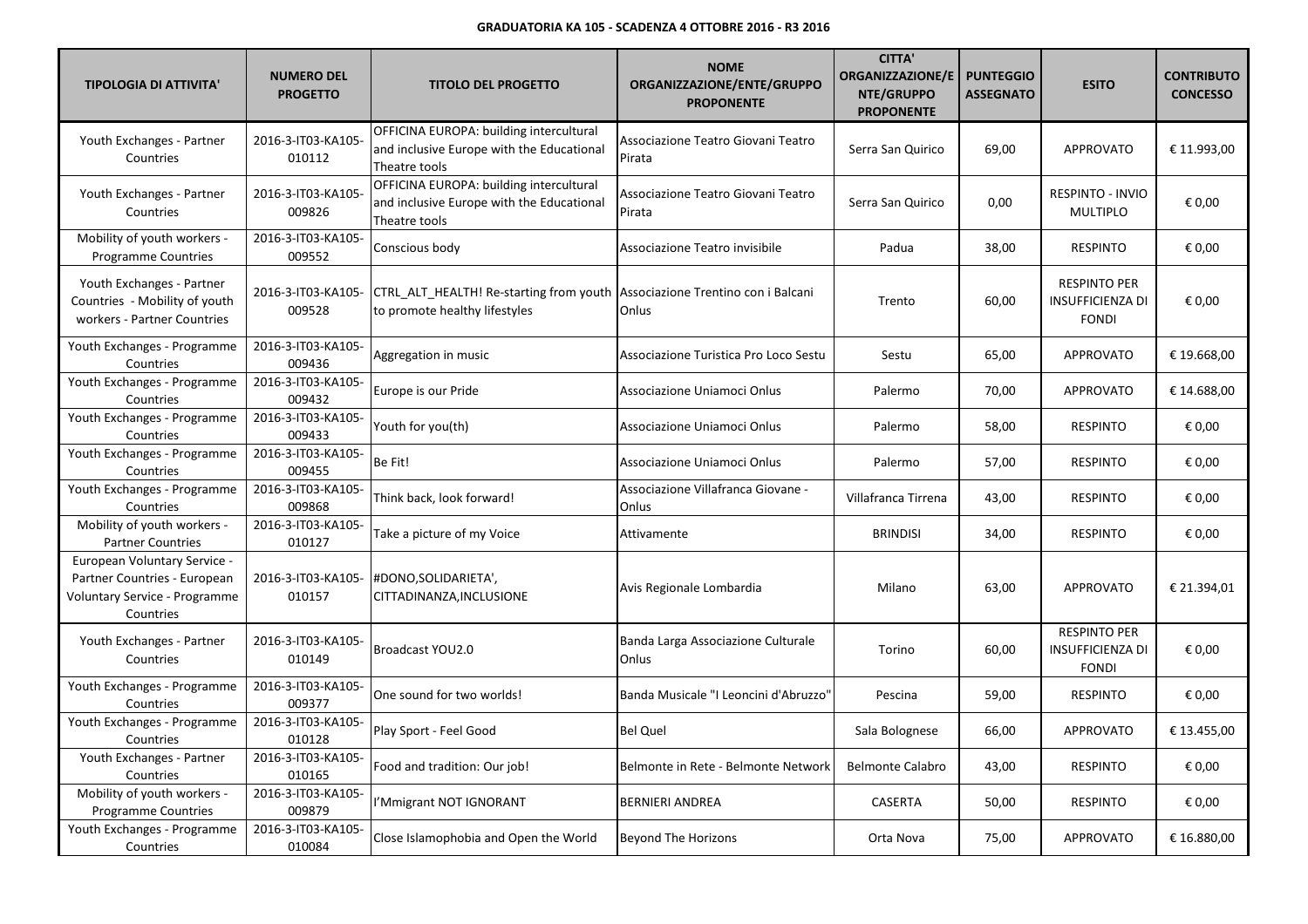| <b>TIPOLOGIA DI ATTIVITA'</b>                                                                              | <b>NUMERO DEL</b><br><b>PROGETTO</b> | <b>TITOLO DEL PROGETTO</b>                                                                                   | <b>NOME</b><br>ORGANIZZAZIONE/ENTE/GRUPPO<br><b>PROPONENTE</b> | <b>CITTA'</b><br><b>ORGANIZZAZIONE/E</b><br>NTE/GRUPPO<br><b>PROPONENTE</b> | <b>PUNTEGGIO</b><br><b>ASSEGNATO</b> | <b>ESITO</b>                                                   | <b>CONTRIBUTO</b><br><b>CONCESSO</b> |
|------------------------------------------------------------------------------------------------------------|--------------------------------------|--------------------------------------------------------------------------------------------------------------|----------------------------------------------------------------|-----------------------------------------------------------------------------|--------------------------------------|----------------------------------------------------------------|--------------------------------------|
| Youth Exchanges - Partner<br>Countries                                                                     | 2016-3-IT03-KA105-<br>010112         | OFFICINA EUROPA: building intercultural<br>and inclusive Europe with the Educational<br>Theatre tools        | Associazione Teatro Giovani Teatro<br>Pirata                   | Serra San Quirico                                                           | 69,00                                | <b>APPROVATO</b>                                               | € 11.993,00                          |
| Youth Exchanges - Partner<br>Countries                                                                     | 2016-3-IT03-KA105-<br>009826         | OFFICINA EUROPA: building intercultural<br>and inclusive Europe with the Educational<br>Theatre tools        | Associazione Teatro Giovani Teatro<br>Pirata                   | Serra San Quirico                                                           | 0,00                                 | RESPINTO - INVIO<br><b>MULTIPLO</b>                            | € 0,00                               |
| Mobility of youth workers -<br><b>Programme Countries</b>                                                  | 2016-3-IT03-KA105-<br>009552         | Conscious body                                                                                               | Associazione Teatro invisibile                                 | Padua                                                                       | 38,00                                | <b>RESPINTO</b>                                                | € 0,00                               |
| Youth Exchanges - Partner<br>Countries - Mobility of youth<br>workers - Partner Countries                  | 2016-3-IT03-KA105-<br>009528         | CTRL ALT HEALTH! Re-starting from youth Associazione Trentino con i Balcani<br>to promote healthy lifestyles | Onlus                                                          | Trento                                                                      | 60,00                                | <b>RESPINTO PER</b><br>INSUFFICIENZA DI<br><b>FONDI</b>        | € 0,00                               |
| Youth Exchanges - Programme<br>Countries                                                                   | 2016-3-IT03-KA105-<br>009436         | Aggregation in music                                                                                         | Associazione Turistica Pro Loco Sestu                          | Sestu                                                                       | 65,00                                | <b>APPROVATO</b>                                               | € 19.668,00                          |
| Youth Exchanges - Programme<br>Countries                                                                   | 2016-3-IT03-KA105-<br>009432         | Europe is our Pride                                                                                          | Associazione Uniamoci Onlus                                    | Palermo                                                                     | 70,00                                | <b>APPROVATO</b>                                               | € 14.688,00                          |
| Youth Exchanges - Programme<br>Countries                                                                   | 2016-3-IT03-KA105-<br>009433         | Youth for you(th)                                                                                            | Associazione Uniamoci Onlus                                    | Palermo                                                                     | 58,00                                | <b>RESPINTO</b>                                                | € 0,00                               |
| Youth Exchanges - Programme<br>Countries                                                                   | 2016-3-IT03-KA105-<br>009455         | Be Fit!                                                                                                      | Associazione Uniamoci Onlus                                    | Palermo                                                                     | 57,00                                | <b>RESPINTO</b>                                                | € 0,00                               |
| Youth Exchanges - Programme<br>Countries                                                                   | 2016-3-IT03-KA105-<br>009868         | Think back, look forward!                                                                                    | Associazione Villafranca Giovane -<br>Onlus                    | Villafranca Tirrena                                                         | 43,00                                | <b>RESPINTO</b>                                                | € 0,00                               |
| Mobility of youth workers -<br><b>Partner Countries</b>                                                    | 2016-3-IT03-KA105-<br>010127         | Take a picture of my Voice                                                                                   | Attivamente                                                    | <b>BRINDISI</b>                                                             | 34,00                                | <b>RESPINTO</b>                                                | € 0,00                               |
| European Voluntary Service -<br>Partner Countries - European<br>Voluntary Service - Programme<br>Countries | 2016-3-IT03-KA105-<br>010157         | #DONO, SOLIDARIETA',<br>CITTADINANZA, INCLUSIONE                                                             | Avis Regionale Lombardia                                       | Milano                                                                      | 63,00                                | <b>APPROVATO</b>                                               | € 21.394,01                          |
| Youth Exchanges - Partner<br>Countries                                                                     | 2016-3-IT03-KA105-<br>010149         | Broadcast YOU2.0                                                                                             | Banda Larga Associazione Culturale<br>Onlus                    | Torino                                                                      | 60,00                                | <b>RESPINTO PER</b><br><b>INSUFFICIENZA DI</b><br><b>FONDI</b> | € 0,00                               |
| Youth Exchanges - Programme<br>Countries                                                                   | 2016-3-IT03-KA105-<br>009377         | One sound for two worlds!                                                                                    | Banda Musicale "I Leoncini d'Abruzzo'                          | Pescina                                                                     | 59,00                                | <b>RESPINTO</b>                                                | € 0,00                               |
| Youth Exchanges - Programme<br>Countries                                                                   | 2016-3-IT03-KA105-<br>010128         | Play Sport - Feel Good                                                                                       | <b>Bel Quel</b>                                                | Sala Bolognese                                                              | 66,00                                | <b>APPROVATO</b>                                               | € 13.455,00                          |
| Youth Exchanges - Partner<br>Countries                                                                     | 2016-3-IT03-KA105-<br>010165         | Food and tradition: Our job!                                                                                 | Belmonte in Rete - Belmonte Network                            | <b>Belmonte Calabro</b>                                                     | 43,00                                | <b>RESPINTO</b>                                                | € 0,00                               |
| Mobility of youth workers -<br>Programme Countries                                                         | 2016-3-IT03-KA105-<br>009879         | I'Mmigrant NOT IGNORANT                                                                                      | <b>BERNIERI ANDREA</b>                                         | <b>CASERTA</b>                                                              | 50,00                                | <b>RESPINTO</b>                                                | € 0,00                               |
| Youth Exchanges - Programme<br>Countries                                                                   | 2016-3-IT03-KA105-<br>010084         | Close Islamophobia and Open the World                                                                        | <b>Beyond The Horizons</b>                                     | Orta Nova                                                                   | 75,00                                | <b>APPROVATO</b>                                               | € 16.880,00                          |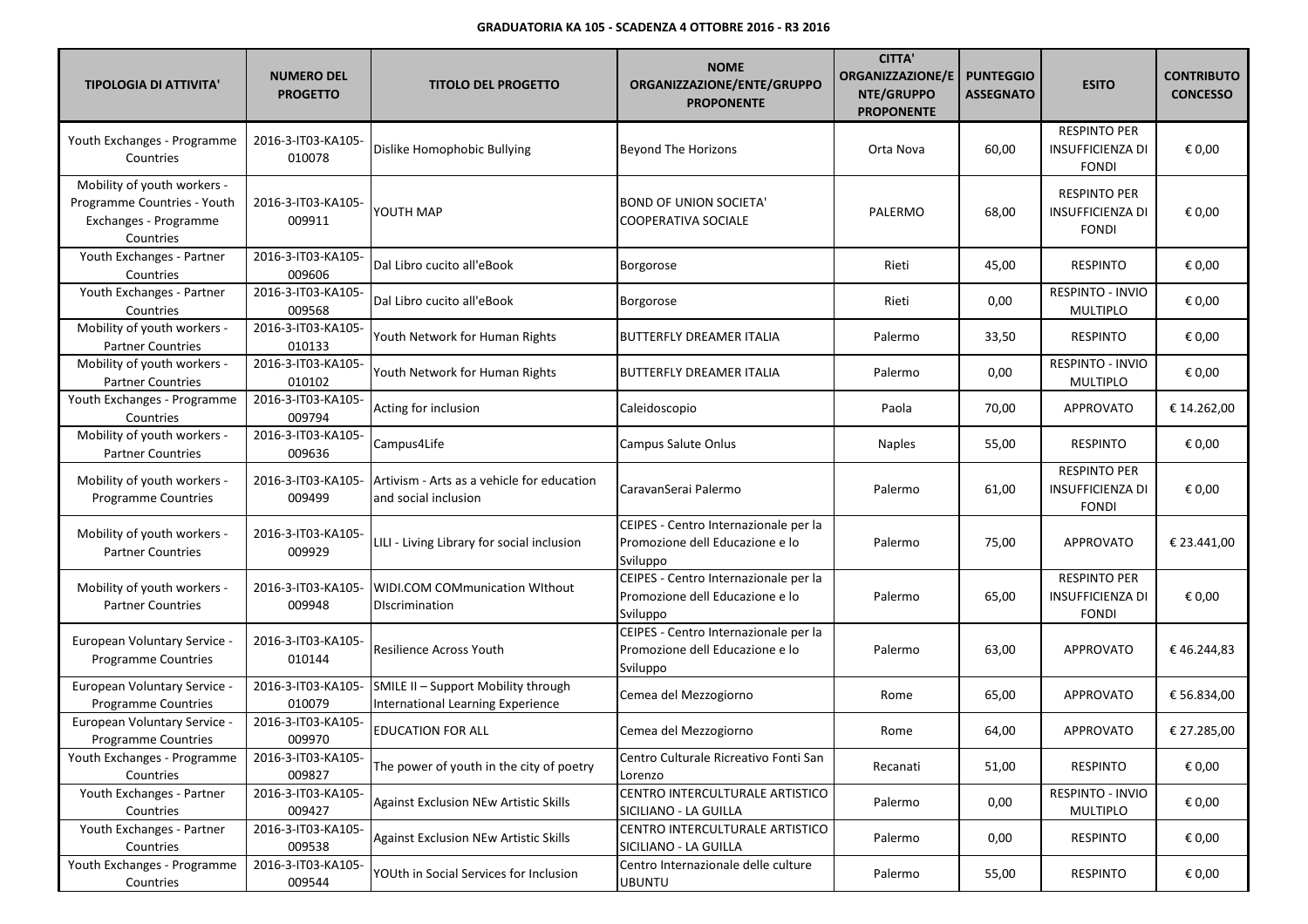| <b>TIPOLOGIA DI ATTIVITA'</b>                                                                    | <b>NUMERO DEL</b><br><b>PROGETTO</b> | <b>TITOLO DEL PROGETTO</b>                                               | <b>NOME</b><br>ORGANIZZAZIONE/ENTE/GRUPPO<br><b>PROPONENTE</b>                       | <b>CITTA'</b><br><b>ORGANIZZAZIONE/E</b><br>NTE/GRUPPO<br><b>PROPONENTE</b> | <b>PUNTEGGIO</b><br><b>ASSEGNATO</b> | <b>ESITO</b>                                                   | <b>CONTRIBUTO</b><br><b>CONCESSO</b> |
|--------------------------------------------------------------------------------------------------|--------------------------------------|--------------------------------------------------------------------------|--------------------------------------------------------------------------------------|-----------------------------------------------------------------------------|--------------------------------------|----------------------------------------------------------------|--------------------------------------|
| Youth Exchanges - Programme<br>Countries                                                         | 2016-3-IT03-KA105-<br>010078         | Dislike Homophobic Bullying                                              | <b>Beyond The Horizons</b>                                                           | Orta Nova                                                                   | 60,00                                | <b>RESPINTO PER</b><br><b>INSUFFICIENZA DI</b><br><b>FONDI</b> | € 0,00                               |
| Mobility of youth workers -<br>Programme Countries - Youth<br>Exchanges - Programme<br>Countries | 2016-3-IT03-KA105-<br>009911         | YOUTH MAP                                                                | <b>BOND OF UNION SOCIETA'</b><br><b>COOPERATIVA SOCIALE</b>                          | PALERMO                                                                     | 68,00                                | <b>RESPINTO PER</b><br><b>INSUFFICIENZA DI</b><br><b>FONDI</b> | € 0,00                               |
| Youth Exchanges - Partner<br>Countries                                                           | 2016-3-IT03-KA105-<br>009606         | Dal Libro cucito all'eBook                                               | <b>Borgorose</b>                                                                     | Rieti                                                                       | 45,00                                | <b>RESPINTO</b>                                                | € 0,00                               |
| Youth Exchanges - Partner<br>Countries                                                           | 2016-3-IT03-KA105-<br>009568         | Dal Libro cucito all'eBook                                               | Borgorose                                                                            | Rieti                                                                       | 0,00                                 | RESPINTO - INVIO<br><b>MULTIPLO</b>                            | € 0,00                               |
| Mobility of youth workers -<br><b>Partner Countries</b>                                          | 2016-3-IT03-KA105-<br>010133         | Youth Network for Human Rights                                           | <b>BUTTERFLY DREAMER ITALIA</b>                                                      | Palermo                                                                     | 33,50                                | <b>RESPINTO</b>                                                | € 0,00                               |
| Mobility of youth workers -<br><b>Partner Countries</b>                                          | 2016-3-IT03-KA105-<br>010102         | Youth Network for Human Rights                                           | BUTTERFLY DREAMER ITALIA                                                             | Palermo                                                                     | 0,00                                 | RESPINTO - INVIO<br><b>MULTIPLO</b>                            | € 0,00                               |
| Youth Exchanges - Programme<br>Countries                                                         | 2016-3-IT03-KA105-<br>009794         | Acting for inclusion                                                     | Caleidoscopio                                                                        | Paola                                                                       | 70,00                                | <b>APPROVATO</b>                                               | € 14.262,00                          |
| Mobility of youth workers -<br><b>Partner Countries</b>                                          | 2016-3-IT03-KA105-<br>009636         | Campus4Life                                                              | <b>Campus Salute Onlus</b>                                                           | <b>Naples</b>                                                               | 55,00                                | <b>RESPINTO</b>                                                | € 0,00                               |
| Mobility of youth workers -<br>Programme Countries                                               | 2016-3-IT03-KA105-<br>009499         | Artivism - Arts as a vehicle for education<br>and social inclusion       | CaravanSerai Palermo                                                                 | Palermo                                                                     | 61,00                                | <b>RESPINTO PER</b><br><b>INSUFFICIENZA DI</b><br><b>FONDI</b> | € 0,00                               |
| Mobility of youth workers -<br><b>Partner Countries</b>                                          | 2016-3-IT03-KA105-<br>009929         | LILI - Living Library for social inclusion                               | CEIPES - Centro Internazionale per la<br>Promozione dell Educazione e lo<br>Sviluppo | Palermo                                                                     | 75,00                                | <b>APPROVATO</b>                                               | € 23.441,00                          |
| Mobility of youth workers -<br><b>Partner Countries</b>                                          | 2016-3-IT03-KA105-<br>009948         | WIDI.COM COMmunication WIthout<br>Discrimination                         | CEIPES - Centro Internazionale per la<br>Promozione dell Educazione e lo<br>Sviluppo | Palermo                                                                     | 65,00                                | <b>RESPINTO PER</b><br><b>INSUFFICIENZA DI</b><br><b>FONDI</b> | € 0,00                               |
| European Voluntary Service -<br><b>Programme Countries</b>                                       | 2016-3-IT03-KA105-<br>010144         | <b>Resilience Across Youth</b>                                           | CEIPES - Centro Internazionale per la<br>Promozione dell Educazione e lo<br>Sviluppo | Palermo                                                                     | 63,00                                | <b>APPROVATO</b>                                               | €46.244,83                           |
| European Voluntary Service -<br><b>Programme Countries</b>                                       | 2016-3-IT03-KA105-<br>010079         | SMILE II - Support Mobility through<br>International Learning Experience | Cemea del Mezzogiorno                                                                | Rome                                                                        | 65,00                                | <b>APPROVATO</b>                                               | € 56.834,00                          |
| European Voluntary Service -<br><b>Programme Countries</b>                                       | 2016-3-IT03-KA105-<br>009970         | <b>EDUCATION FOR ALL</b>                                                 | Cemea del Mezzogiorno                                                                | Rome                                                                        | 64,00                                | <b>APPROVATO</b>                                               | € 27.285,00                          |
| Youth Exchanges - Programme<br>Countries                                                         | 2016-3-IT03-KA105-<br>009827         | The power of youth in the city of poetry                                 | Centro Culturale Ricreativo Fonti San<br>Lorenzo                                     | Recanati                                                                    | 51,00                                | <b>RESPINTO</b>                                                | € 0,00                               |
| Youth Exchanges - Partner<br>Countries                                                           | 2016-3-IT03-KA105-<br>009427         | <b>Against Exclusion NEw Artistic Skills</b>                             | CENTRO INTERCULTURALE ARTISTICO<br>SICILIANO - LA GUILLA                             | Palermo                                                                     | 0,00                                 | RESPINTO - INVIO<br><b>MULTIPLO</b>                            | € 0,00                               |
| Youth Exchanges - Partner<br>Countries                                                           | 2016-3-IT03-KA105-<br>009538         | Against Exclusion NEw Artistic Skills                                    | CENTRO INTERCULTURALE ARTISTICO<br>SICILIANO - LA GUILLA                             | Palermo                                                                     | 0,00                                 | <b>RESPINTO</b>                                                | € 0,00                               |
| Youth Exchanges - Programme<br>Countries                                                         | 2016-3-IT03-KA105-<br>009544         | YOUth in Social Services for Inclusion                                   | Centro Internazionale delle culture<br><b>UBUNTU</b>                                 | Palermo                                                                     | 55,00                                | <b>RESPINTO</b>                                                | € 0,00                               |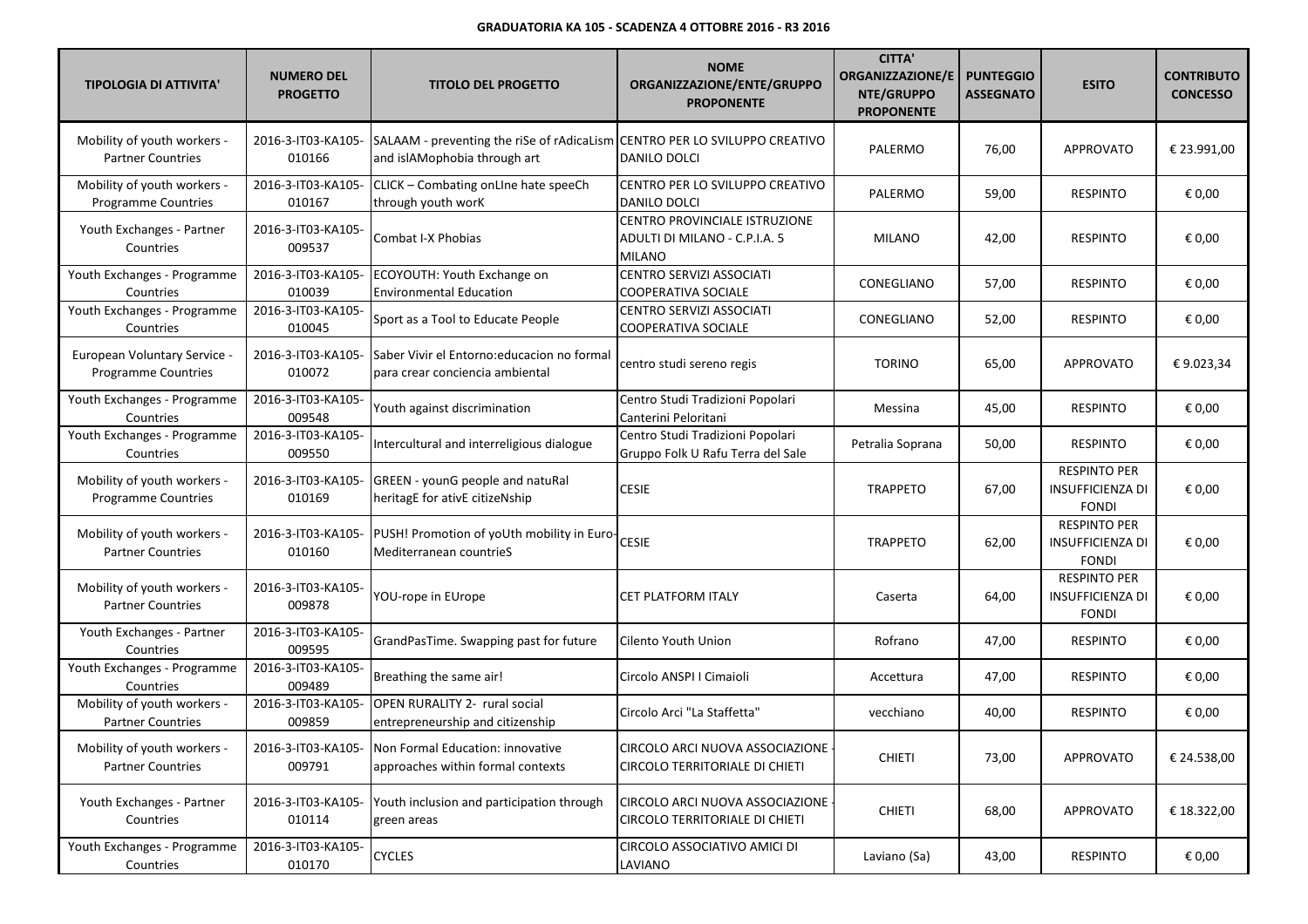| <b>TIPOLOGIA DI ATTIVITA'</b>                           | <b>NUMERO DEL</b><br><b>PROGETTO</b> | <b>TITOLO DEL PROGETTO</b>                                                                                 | <b>NOME</b><br>ORGANIZZAZIONE/ENTE/GRUPPO<br><b>PROPONENTE</b>                  | <b>CITTA'</b><br><b>ORGANIZZAZIONE/E</b><br>NTE/GRUPPO<br><b>PROPONENTE</b> | <b>PUNTEGGIO</b><br><b>ASSEGNATO</b> | <b>ESITO</b>                                                   | <b>CONTRIBUTO</b><br><b>CONCESSO</b> |
|---------------------------------------------------------|--------------------------------------|------------------------------------------------------------------------------------------------------------|---------------------------------------------------------------------------------|-----------------------------------------------------------------------------|--------------------------------------|----------------------------------------------------------------|--------------------------------------|
| Mobility of youth workers -<br><b>Partner Countries</b> | 2016-3-IT03-KA105-<br>010166         | SALAAM - preventing the riSe of rAdicaLism CENTRO PER LO SVILUPPO CREATIVO<br>and islAMophobia through art | DANILO DOLCI                                                                    | PALERMO                                                                     | 76,00                                | <b>APPROVATO</b>                                               | € 23.991,00                          |
| Mobility of youth workers -<br>Programme Countries      | 2016-3-IT03-KA105-<br>010167         | CLICK - Combating onLIne hate speeCh<br>through youth worK                                                 | CENTRO PER LO SVILUPPO CREATIVO<br>DANILO DOLCI                                 | PALERMO                                                                     | 59,00                                | <b>RESPINTO</b>                                                | € 0,00                               |
| Youth Exchanges - Partner<br>Countries                  | 2016-3-IT03-KA105-<br>009537         | Combat I-X Phobias                                                                                         | CENTRO PROVINCIALE ISTRUZIONE<br>ADULTI DI MILANO - C.P.I.A. 5<br><b>MILANO</b> | <b>MILANO</b>                                                               | 42,00                                | <b>RESPINTO</b>                                                | € 0,00                               |
| Youth Exchanges - Programme<br>Countries                | 2016-3-IT03-KA105-<br>010039         | ECOYOUTH: Youth Exchange on<br><b>Environmental Education</b>                                              | CENTRO SERVIZI ASSOCIATI<br>COOPERATIVA SOCIALE                                 | CONEGLIANO                                                                  | 57,00                                | <b>RESPINTO</b>                                                | € 0,00                               |
| Youth Exchanges - Programme<br>Countries                | 2016-3-IT03-KA105-<br>010045         | Sport as a Tool to Educate People                                                                          | <b>CENTRO SERVIZI ASSOCIATI</b><br>COOPERATIVA SOCIALE                          | CONEGLIANO                                                                  | 52,00                                | <b>RESPINTO</b>                                                | € 0,00                               |
| European Voluntary Service -<br>Programme Countries     | 2016-3-IT03-KA105-<br>010072         | Saber Vivir el Entorno: educacion no formal<br>para crear conciencia ambiental                             | centro studi sereno regis                                                       | <b>TORINO</b>                                                               | 65,00                                | <b>APPROVATO</b>                                               | €9.023,34                            |
| Youth Exchanges - Programme<br>Countries                | 2016-3-IT03-KA105-<br>009548         | Youth against discrimination                                                                               | Centro Studi Tradizioni Popolari<br>Canterini Peloritani                        | Messina                                                                     | 45,00                                | <b>RESPINTO</b>                                                | € 0,00                               |
| Youth Exchanges - Programme<br>Countries                | 2016-3-IT03-KA105-<br>009550         | Intercultural and interreligious dialogue                                                                  | Centro Studi Tradizioni Popolari<br>Gruppo Folk U Rafu Terra del Sale           | Petralia Soprana                                                            | 50,00                                | <b>RESPINTO</b>                                                | € 0,00                               |
| Mobility of youth workers -<br>Programme Countries      | 2016-3-IT03-KA105-<br>010169         | GREEN - younG people and natuRal<br>heritagE for ativE citizeNship                                         | <b>CESIE</b>                                                                    | <b>TRAPPETO</b>                                                             | 67,00                                | <b>RESPINTO PER</b><br><b>INSUFFICIENZA DI</b><br><b>FONDI</b> | € 0,00                               |
| Mobility of youth workers -<br><b>Partner Countries</b> | 2016-3-IT03-KA105-<br>010160         | PUSH! Promotion of yoUth mobility in Euro-<br>Mediterranean countrieS                                      | <b>CESIE</b>                                                                    | <b>TRAPPETO</b>                                                             | 62,00                                | <b>RESPINTO PER</b><br><b>INSUFFICIENZA DI</b><br><b>FONDI</b> | € 0,00                               |
| Mobility of youth workers -<br><b>Partner Countries</b> | 2016-3-IT03-KA105-<br>009878         | YOU-rope in EUrope                                                                                         | <b>CET PLATFORM ITALY</b>                                                       | Caserta                                                                     | 64,00                                | <b>RESPINTO PER</b><br><b>INSUFFICIENZA DI</b><br><b>FONDI</b> | € 0,00                               |
| Youth Exchanges - Partner<br>Countries                  | 2016-3-IT03-KA105-<br>009595         | GrandPasTime. Swapping past for future                                                                     | Cilento Youth Union                                                             | Rofrano                                                                     | 47,00                                | <b>RESPINTO</b>                                                | € 0,00                               |
| Youth Exchanges - Programme<br>Countries                | 2016-3-IT03-KA105-<br>009489         | Breathing the same air!                                                                                    | Circolo ANSPI I Cimaioli                                                        | Accettura                                                                   | 47,00                                | <b>RESPINTO</b>                                                | € 0,00                               |
| Mobility of youth workers -<br><b>Partner Countries</b> | 2016-3-IT03-KA105-<br>009859         | OPEN RURALITY 2- rural social<br>entrepreneurship and citizenship                                          | Circolo Arci "La Staffetta"                                                     | vecchiano                                                                   | 40,00                                | <b>RESPINTO</b>                                                | € 0,00                               |
| Mobility of youth workers -<br><b>Partner Countries</b> | 2016-3-IT03-KA105-<br>009791         | Non Formal Education: innovative<br>approaches within formal contexts                                      | CIRCOLO ARCI NUOVA ASSOCIAZIONE<br>CIRCOLO TERRITORIALE DI CHIETI               | <b>CHIETI</b>                                                               | 73,00                                | APPROVATO                                                      | € 24.538,00                          |
| Youth Exchanges - Partner<br>Countries                  | 2016-3-IT03-KA105-<br>010114         | Youth inclusion and participation through<br>green areas                                                   | CIRCOLO ARCI NUOVA ASSOCIAZIONE -<br>CIRCOLO TERRITORIALE DI CHIETI             | <b>CHIETI</b>                                                               | 68,00                                | APPROVATO                                                      | € 18.322,00                          |
| Youth Exchanges - Programme<br>Countries                | 2016-3-IT03-KA105-<br>010170         | <b>CYCLES</b>                                                                                              | CIRCOLO ASSOCIATIVO AMICI DI<br>LAVIANO                                         | Laviano (Sa)                                                                | 43,00                                | RESPINTO                                                       | € 0,00                               |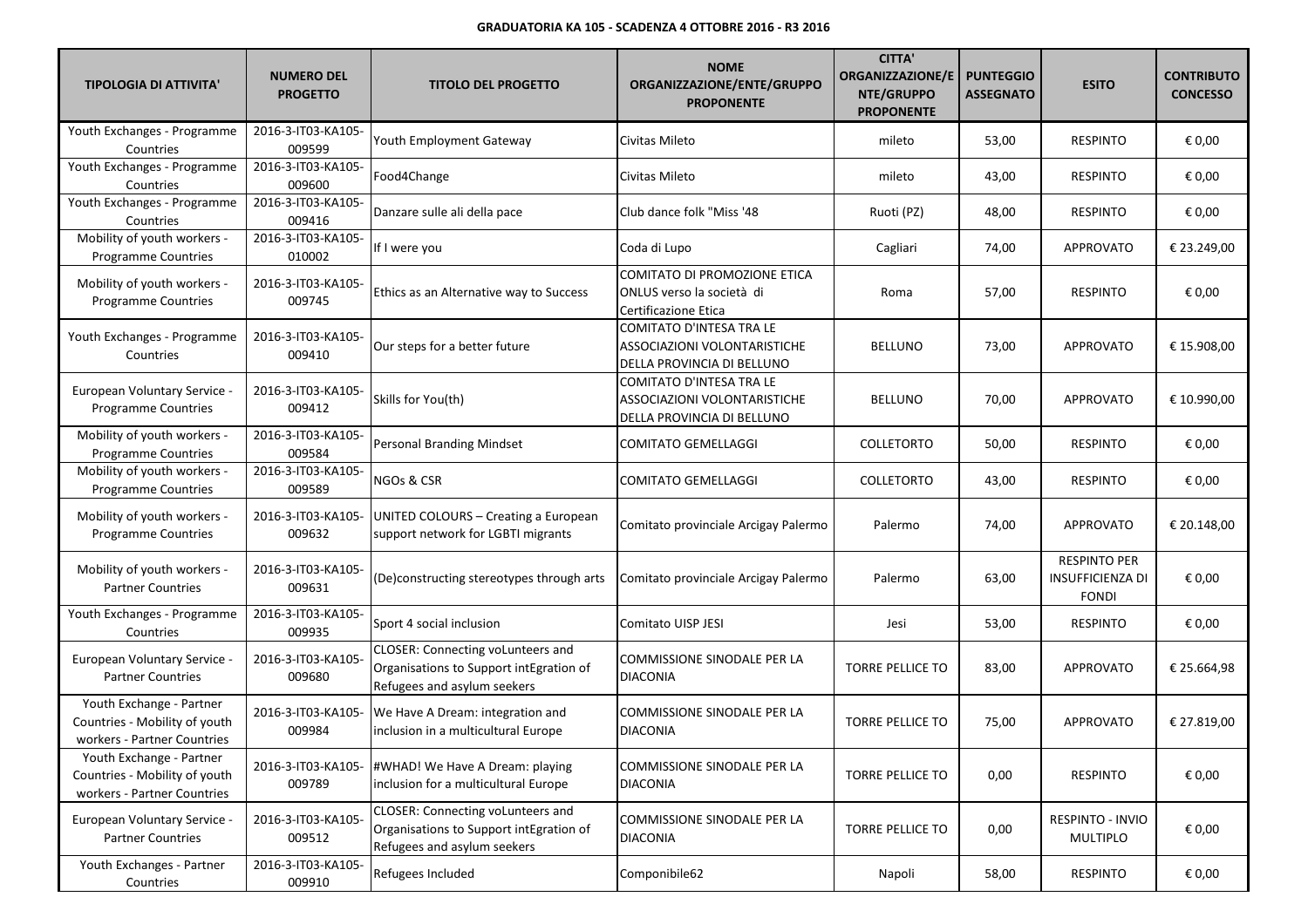| <b>TIPOLOGIA DI ATTIVITA'</b>                                                            | <b>NUMERO DEL</b><br><b>PROGETTO</b> | <b>TITOLO DEL PROGETTO</b>                                                                                  | <b>NOME</b><br>ORGANIZZAZIONE/ENTE/GRUPPO<br><b>PROPONENTE</b>                         | <b>CITTA'</b><br><b>ORGANIZZAZIONE/E</b><br>NTE/GRUPPO<br><b>PROPONENTE</b> | <b>PUNTEGGIO</b><br><b>ASSEGNATO</b> | <b>ESITO</b>                                                   | <b>CONTRIBUTO</b><br><b>CONCESSO</b> |
|------------------------------------------------------------------------------------------|--------------------------------------|-------------------------------------------------------------------------------------------------------------|----------------------------------------------------------------------------------------|-----------------------------------------------------------------------------|--------------------------------------|----------------------------------------------------------------|--------------------------------------|
| Youth Exchanges - Programme<br>Countries                                                 | 2016-3-IT03-KA105-<br>009599         | Youth Employment Gateway                                                                                    | Civitas Mileto                                                                         | mileto                                                                      | 53,00                                | <b>RESPINTO</b>                                                | € 0,00                               |
| Youth Exchanges - Programme<br>Countries                                                 | 2016-3-IT03-KA105-<br>009600         | Food4Change                                                                                                 | Civitas Mileto                                                                         | mileto                                                                      | 43,00                                | <b>RESPINTO</b>                                                | € 0,00                               |
| Youth Exchanges - Programme<br>Countries                                                 | 2016-3-IT03-KA105-<br>009416         | Danzare sulle ali della pace                                                                                | Club dance folk "Miss '48                                                              | Ruoti (PZ)                                                                  | 48,00                                | <b>RESPINTO</b>                                                | € 0,00                               |
| Mobility of youth workers -<br>Programme Countries                                       | 2016-3-IT03-KA105-<br>010002         | If I were you                                                                                               | Coda di Lupo                                                                           | Cagliari                                                                    | 74,00                                | APPROVATO                                                      | € 23.249,00                          |
| Mobility of youth workers -<br>Programme Countries                                       | 2016-3-IT03-KA105-<br>009745         | Ethics as an Alternative way to Success                                                                     | COMITATO DI PROMOZIONE ETICA<br>ONLUS verso la società di<br>Certificazione Etica      | Roma                                                                        | 57,00                                | <b>RESPINTO</b>                                                | € 0,00                               |
| Youth Exchanges - Programme<br>Countries                                                 | 2016-3-IT03-KA105-<br>009410         | Our steps for a better future                                                                               | COMITATO D'INTESA TRA LE<br>ASSOCIAZIONI VOLONTARISTICHE<br>DELLA PROVINCIA DI BELLUNO | <b>BELLUNO</b>                                                              | 73,00                                | <b>APPROVATO</b>                                               | € 15.908,00                          |
| <b>European Voluntary Service -</b><br>Programme Countries                               | 2016-3-IT03-KA105-<br>009412         | Skills for You(th)                                                                                          | COMITATO D'INTESA TRA LE<br>ASSOCIAZIONI VOLONTARISTICHE<br>DELLA PROVINCIA DI BELLUNO | <b>BELLUNO</b>                                                              | 70,00                                | <b>APPROVATO</b>                                               | € 10.990,00                          |
| Mobility of youth workers -<br><b>Programme Countries</b>                                | 2016-3-IT03-KA105-<br>009584         | <b>Personal Branding Mindset</b>                                                                            | <b>COMITATO GEMELLAGGI</b>                                                             | <b>COLLETORTO</b>                                                           | 50,00                                | <b>RESPINTO</b>                                                | € 0,00                               |
| Mobility of youth workers -<br><b>Programme Countries</b>                                | 2016-3-IT03-KA105-<br>009589         | NGOs & CSR                                                                                                  | <b>COMITATO GEMELLAGGI</b>                                                             | <b>COLLETORTO</b>                                                           | 43,00                                | <b>RESPINTO</b>                                                | € 0,00                               |
| Mobility of youth workers -<br>Programme Countries                                       | 2016-3-IT03-KA105-<br>009632         | UNITED COLOURS - Creating a European<br>support network for LGBTI migrants                                  | Comitato provinciale Arcigay Palermo                                                   | Palermo                                                                     | 74,00                                | <b>APPROVATO</b>                                               | € 20.148,00                          |
| Mobility of youth workers -<br><b>Partner Countries</b>                                  | 2016-3-IT03-KA105-<br>009631         | (De)constructing stereotypes through arts                                                                   | Comitato provinciale Arcigay Palermo                                                   | Palermo                                                                     | 63,00                                | <b>RESPINTO PER</b><br><b>INSUFFICIENZA DI</b><br><b>FONDI</b> | € 0,00                               |
| Youth Exchanges - Programme<br>Countries                                                 | 2016-3-IT03-KA105-<br>009935         | Sport 4 social inclusion                                                                                    | Comitato UISP JESI                                                                     | Jesi                                                                        | 53,00                                | <b>RESPINTO</b>                                                | € 0,00                               |
| European Voluntary Service -<br><b>Partner Countries</b>                                 | 2016-3-IT03-KA105-<br>009680         | CLOSER: Connecting voLunteers and<br>Organisations to Support intEgration of<br>Refugees and asylum seekers | COMMISSIONE SINODALE PER LA<br><b>DIACONIA</b>                                         | <b>TORRE PELLICE TO</b>                                                     | 83,00                                | <b>APPROVATO</b>                                               | € 25.664,98                          |
| Youth Exchange - Partner<br>Countries - Mobility of youth<br>workers - Partner Countries | 2016-3-IT03-KA105-<br>009984         | We Have A Dream: integration and<br>inclusion in a multicultural Europe                                     | COMMISSIONE SINODALE PER LA<br><b>DIACONIA</b>                                         | <b>TORRE PELLICE TO</b>                                                     | 75,00                                | <b>APPROVATO</b>                                               | € 27.819,00                          |
| Youth Exchange - Partner<br>Countries - Mobility of youth<br>workers - Partner Countries | 2016-3-IT03-KA105-<br>009789         | #WHAD! We Have A Dream: playing<br>inclusion for a multicultural Europe                                     | COMMISSIONE SINODALE PER LA<br><b>DIACONIA</b>                                         | TORRE PELLICE TO                                                            | 0,00                                 | <b>RESPINTO</b>                                                | € 0,00                               |
| European Voluntary Service -<br><b>Partner Countries</b>                                 | 2016-3-IT03-KA105-<br>009512         | CLOSER: Connecting voLunteers and<br>Organisations to Support intEgration of<br>Refugees and asylum seekers | <b>COMMISSIONE SINODALE PER LA</b><br><b>DIACONIA</b>                                  | <b>TORRE PELLICE TO</b>                                                     | 0,00                                 | RESPINTO - INVIO<br><b>MULTIPLO</b>                            | € 0,00                               |
| Youth Exchanges - Partner<br>Countries                                                   | 2016-3-IT03-KA105-<br>009910         | Refugees Included                                                                                           | Componibile62                                                                          | Napoli                                                                      | 58,00                                | RESPINTO                                                       | € 0,00                               |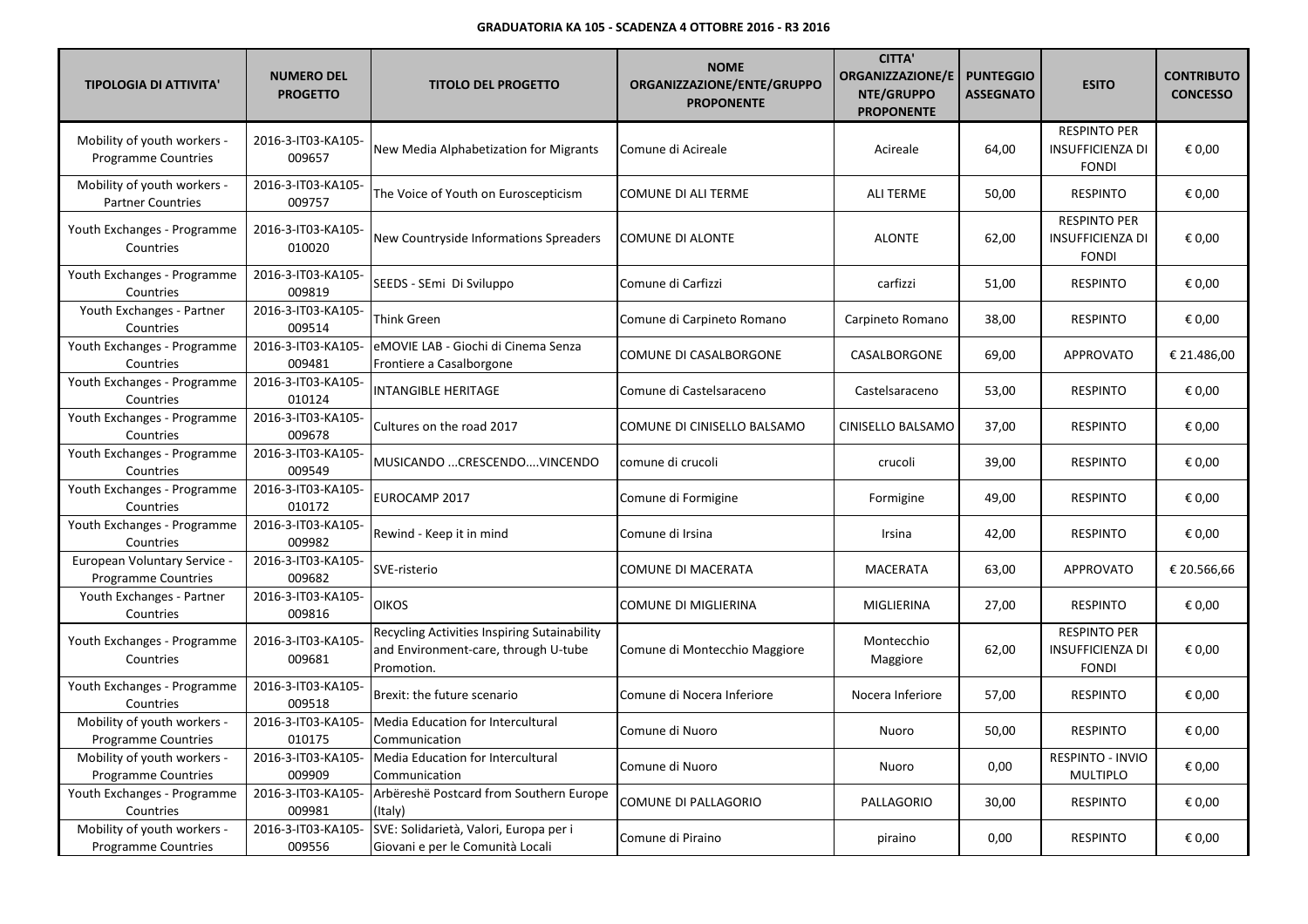| <b>TIPOLOGIA DI ATTIVITA'</b>                              | <b>NUMERO DEL</b><br><b>PROGETTO</b> | <b>TITOLO DEL PROGETTO</b>                                                                         | <b>NOME</b><br>ORGANIZZAZIONE/ENTE/GRUPPO<br><b>PROPONENTE</b> | <b>CITTA'</b><br><b>ORGANIZZAZIONE/E</b><br><b>NTE/GRUPPO</b><br><b>PROPONENTE</b> | <b>PUNTEGGIO</b><br><b>ASSEGNATO</b> | <b>ESITO</b>                                                   | <b>CONTRIBUTO</b><br><b>CONCESSO</b> |
|------------------------------------------------------------|--------------------------------------|----------------------------------------------------------------------------------------------------|----------------------------------------------------------------|------------------------------------------------------------------------------------|--------------------------------------|----------------------------------------------------------------|--------------------------------------|
| Mobility of youth workers -<br><b>Programme Countries</b>  | 2016-3-IT03-KA105-<br>009657         | New Media Alphabetization for Migrants                                                             | Comune di Acireale                                             | Acireale                                                                           | 64,00                                | <b>RESPINTO PER</b><br>INSUFFICIENZA DI<br><b>FONDI</b>        | € 0,00                               |
| Mobility of youth workers -<br><b>Partner Countries</b>    | 2016-3-IT03-KA105-<br>009757         | The Voice of Youth on Euroscepticism                                                               | COMUNE DI ALI TERME                                            | <b>ALI TERME</b>                                                                   | 50,00                                | <b>RESPINTO</b>                                                | € 0,00                               |
| Youth Exchanges - Programme<br>Countries                   | 2016-3-IT03-KA105-<br>010020         | New Countryside Informations Spreaders                                                             | COMUNE DI ALONTE                                               | <b>ALONTE</b>                                                                      | 62,00                                | <b>RESPINTO PER</b><br><b>INSUFFICIENZA DI</b><br><b>FONDI</b> | € 0,00                               |
| Youth Exchanges - Programme<br>Countries                   | 2016-3-IT03-KA105-<br>009819         | SEEDS - SEmi Di Sviluppo                                                                           | Comune di Carfizzi                                             | carfizzi                                                                           | 51,00                                | <b>RESPINTO</b>                                                | € 0,00                               |
| Youth Exchanges - Partner<br>Countries                     | 2016-3-IT03-KA105-<br>009514         | Think Green                                                                                        | Comune di Carpineto Romano                                     | Carpineto Romano                                                                   | 38,00                                | <b>RESPINTO</b>                                                | € 0,00                               |
| Youth Exchanges - Programme<br>Countries                   | 2016-3-IT03-KA105-<br>009481         | eMOVIE LAB - Giochi di Cinema Senza<br>Frontiere a Casalborgone                                    | COMUNE DI CASALBORGONE                                         | CASALBORGONE                                                                       | 69,00                                | <b>APPROVATO</b>                                               | € 21.486,00                          |
| Youth Exchanges - Programme<br>Countries                   | 2016-3-IT03-KA105-<br>010124         | <b>INTANGIBLE HERITAGE</b>                                                                         | Comune di Castelsaraceno                                       | Castelsaraceno                                                                     | 53,00                                | <b>RESPINTO</b>                                                | € 0,00                               |
| Youth Exchanges - Programme<br>Countries                   | 2016-3-IT03-KA105-<br>009678         | Cultures on the road 2017                                                                          | COMUNE DI CINISELLO BALSAMO                                    | CINISELLO BALSAMO                                                                  | 37,00                                | <b>RESPINTO</b>                                                | € 0,00                               |
| Youth Exchanges - Programme<br>Countries                   | 2016-3-IT03-KA105-<br>009549         | MUSICANDO  CRESCENDO  . VINCENDO                                                                   | comune di crucoli                                              | crucoli                                                                            | 39,00                                | <b>RESPINTO</b>                                                | € 0,00                               |
| Youth Exchanges - Programme<br>Countries                   | 2016-3-IT03-KA105-<br>010172         | EUROCAMP 2017                                                                                      | Comune di Formigine                                            | Formigine                                                                          | 49,00                                | <b>RESPINTO</b>                                                | € 0,00                               |
| Youth Exchanges - Programme<br>Countries                   | 2016-3-IT03-KA105-<br>009982         | Rewind - Keep it in mind                                                                           | Comune di Irsina                                               | Irsina                                                                             | 42,00                                | <b>RESPINTO</b>                                                | € 0,00                               |
| European Voluntary Service -<br><b>Programme Countries</b> | 2016-3-IT03-KA105-<br>009682         | SVE-risterio                                                                                       | COMUNE DI MACERATA                                             | MACERATA                                                                           | 63,00                                | <b>APPROVATO</b>                                               | € 20.566,66                          |
| Youth Exchanges - Partner<br>Countries                     | 2016-3-IT03-KA105-<br>009816         | <b>OIKOS</b>                                                                                       | <b>COMUNE DI MIGLIERINA</b>                                    | <b>MIGLIERINA</b>                                                                  | 27,00                                | <b>RESPINTO</b>                                                | € 0,00                               |
| Youth Exchanges - Programme<br>Countries                   | 2016-3-IT03-KA105-<br>009681         | Recycling Activities Inspiring Sutainability<br>and Environment-care, through U-tube<br>Promotion. | Comune di Montecchio Maggiore                                  | Montecchio<br>Maggiore                                                             | 62,00                                | <b>RESPINTO PER</b><br><b>INSUFFICIENZA DI</b><br><b>FONDI</b> | € 0,00                               |
| Youth Exchanges - Programme<br>Countries                   | 2016-3-IT03-KA105-<br>009518         | Brexit: the future scenario                                                                        | Comune di Nocera Inferiore                                     | Nocera Inferiore                                                                   | 57,00                                | <b>RESPINTO</b>                                                | € 0,00                               |
| Mobility of youth workers -<br>Programme Countries         | 2016-3-IT03-KA105-<br>010175         | Media Education for Intercultural<br>Communication                                                 | Comune di Nuoro                                                | Nuoro                                                                              | 50,00                                | <b>RESPINTO</b>                                                | € 0,00                               |
| Mobility of youth workers -<br><b>Programme Countries</b>  | 2016-3-IT03-KA105-<br>009909         | Media Education for Intercultural<br>Communication                                                 | Comune di Nuoro                                                | Nuoro                                                                              | 0,00                                 | RESPINTO - INVIO<br><b>MULTIPLO</b>                            | € 0,00                               |
| Youth Exchanges - Programme<br>Countries                   | 2016-3-IT03-KA105-<br>009981         | Arbëreshë Postcard from Southern Europe<br>(Italy)                                                 | COMUNE DI PALLAGORIO                                           | PALLAGORIO                                                                         | 30,00                                | <b>RESPINTO</b>                                                | € 0,00                               |
| Mobility of youth workers -<br><b>Programme Countries</b>  | 2016-3-IT03-KA105-<br>009556         | SVE: Solidarietà, Valori, Europa per i<br>Giovani e per le Comunità Locali                         | Comune di Piraino                                              | piraino                                                                            | 0,00                                 | <b>RESPINTO</b>                                                | € 0,00                               |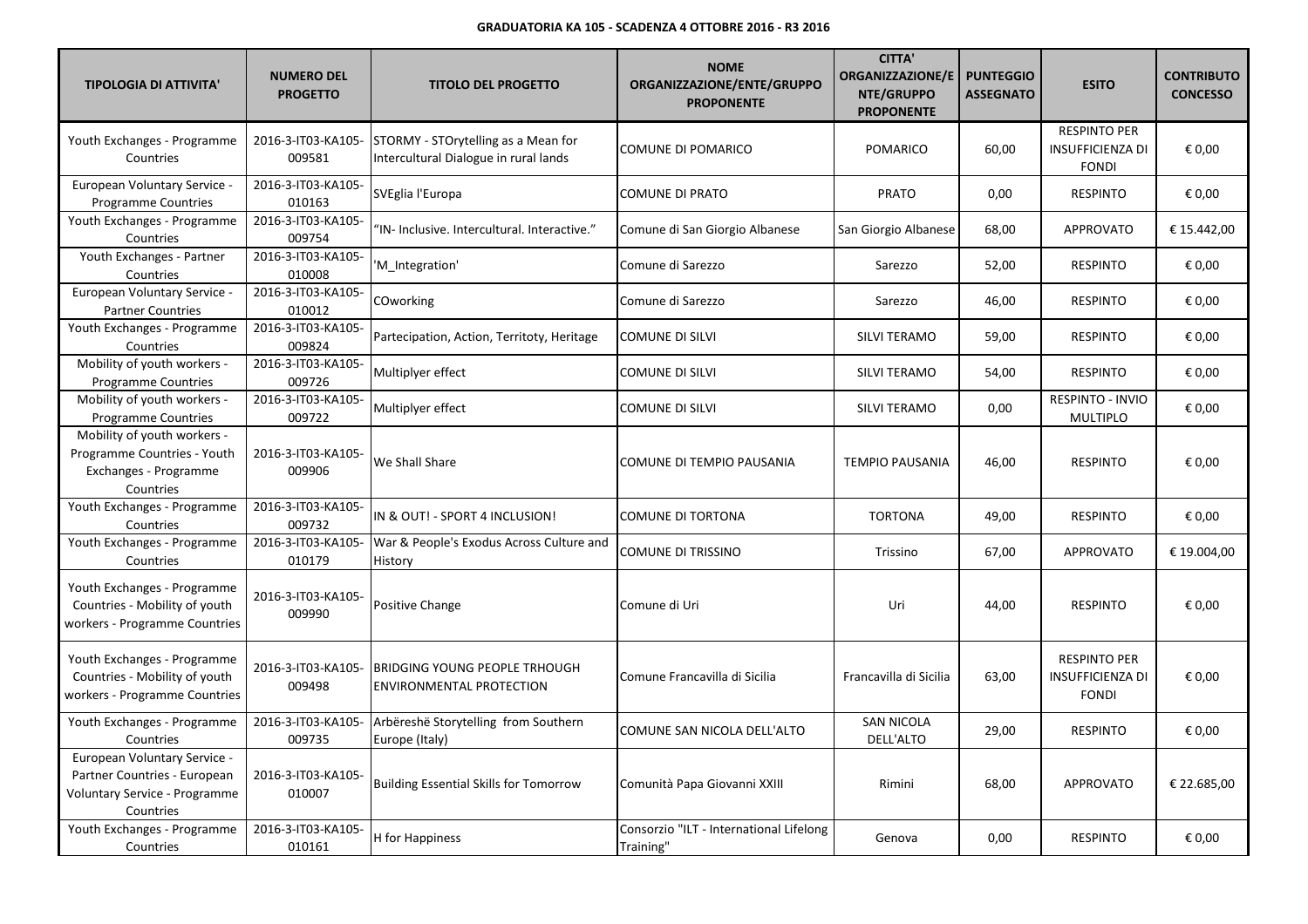| <b>TIPOLOGIA DI ATTIVITA'</b>                                                                              | <b>NUMERO DEL</b><br><b>PROGETTO</b> | <b>TITOLO DEL PROGETTO</b>                                                   | <b>NOME</b><br>ORGANIZZAZIONE/ENTE/GRUPPO<br><b>PROPONENTE</b> | <b>CITTA'</b><br><b>ORGANIZZAZIONE/E</b><br>NTE/GRUPPO<br><b>PROPONENTE</b> | <b>PUNTEGGIO</b><br><b>ASSEGNATO</b> | <b>ESITO</b>                                                   | <b>CONTRIBUTO</b><br><b>CONCESSO</b> |
|------------------------------------------------------------------------------------------------------------|--------------------------------------|------------------------------------------------------------------------------|----------------------------------------------------------------|-----------------------------------------------------------------------------|--------------------------------------|----------------------------------------------------------------|--------------------------------------|
| Youth Exchanges - Programme<br>Countries                                                                   | 2016-3-IT03-KA105-<br>009581         | STORMY - STOrytelling as a Mean for<br>Intercultural Dialogue in rural lands | <b>COMUNE DI POMARICO</b>                                      | <b>POMARICO</b>                                                             | 60,00                                | <b>RESPINTO PER</b><br><b>INSUFFICIENZA DI</b><br><b>FONDI</b> | € 0.00                               |
| European Voluntary Service -<br><b>Programme Countries</b>                                                 | 2016-3-IT03-KA105-<br>010163         | SVEglia l'Europa                                                             | <b>COMUNE DI PRATO</b>                                         | <b>PRATO</b>                                                                | 0,00                                 | <b>RESPINTO</b>                                                | € 0,00                               |
| Youth Exchanges - Programme<br>Countries                                                                   | 2016-3-IT03-KA105-<br>009754         | 'IN- Inclusive. Intercultural. Interactive."                                 | Comune di San Giorgio Albanese                                 | San Giorgio Albanese                                                        | 68,00                                | <b>APPROVATO</b>                                               | € 15.442,00                          |
| Youth Exchanges - Partner<br>Countries                                                                     | 2016-3-IT03-KA105-<br>010008         | 'M Integration'                                                              | Comune di Sarezzo                                              | Sarezzo                                                                     | 52,00                                | <b>RESPINTO</b>                                                | € 0,00                               |
| European Voluntary Service -<br><b>Partner Countries</b>                                                   | 2016-3-IT03-KA105-<br>010012         | COworking                                                                    | Comune di Sarezzo                                              | Sarezzo                                                                     | 46,00                                | <b>RESPINTO</b>                                                | € 0,00                               |
| Youth Exchanges - Programme<br>Countries                                                                   | 2016-3-IT03-KA105-<br>009824         | Partecipation, Action, Territoty, Heritage                                   | <b>COMUNE DI SILVI</b>                                         | SILVI TERAMO                                                                | 59,00                                | <b>RESPINTO</b>                                                | € 0,00                               |
| Mobility of youth workers -<br><b>Programme Countries</b>                                                  | 2016-3-IT03-KA105-<br>009726         | Multiplyer effect                                                            | <b>COMUNE DI SILVI</b>                                         | SILVI TERAMO                                                                | 54,00                                | <b>RESPINTO</b>                                                | € 0,00                               |
| Mobility of youth workers -<br><b>Programme Countries</b>                                                  | 2016-3-IT03-KA105-<br>009722         | Multiplyer effect                                                            | <b>COMUNE DI SILVI</b>                                         | SILVI TERAMO                                                                | 0,00                                 | RESPINTO - INVIO<br><b>MULTIPLO</b>                            | € 0,00                               |
| Mobility of youth workers -<br>Programme Countries - Youth<br>Exchanges - Programme<br>Countries           | 2016-3-IT03-KA105-<br>009906         | We Shall Share                                                               | COMUNE DI TEMPIO PAUSANIA                                      | <b>TEMPIO PAUSANIA</b>                                                      | 46,00                                | <b>RESPINTO</b>                                                | € 0,00                               |
| Youth Exchanges - Programme<br>Countries                                                                   | 2016-3-IT03-KA105-<br>009732         | IN & OUT! - SPORT 4 INCLUSION!                                               | COMUNE DI TORTONA                                              | <b>TORTONA</b>                                                              | 49,00                                | <b>RESPINTO</b>                                                | € 0,00                               |
| Youth Exchanges - Programme<br>Countries                                                                   | 2016-3-IT03-KA105-<br>010179         | War & People's Exodus Across Culture and<br>History                          | <b>COMUNE DI TRISSINO</b>                                      | Trissino                                                                    | 67,00                                | <b>APPROVATO</b>                                               | € 19.004,00                          |
| Youth Exchanges - Programme<br>Countries - Mobility of youth<br>workers - Programme Countries              | 2016-3-IT03-KA105-<br>009990         | Positive Change                                                              | Comune di Uri                                                  | Uri                                                                         | 44,00                                | <b>RESPINTO</b>                                                | € 0,00                               |
| Youth Exchanges - Programme<br>Countries - Mobility of youth<br>workers - Programme Countries              | 2016-3-IT03-KA105-<br>009498         | BRIDGING YOUNG PEOPLE TRHOUGH<br><b>ENVIRONMENTAL PROTECTION</b>             | Comune Francavilla di Sicilia                                  | Francavilla di Sicilia                                                      | 63,00                                | <b>RESPINTO PER</b><br><b>INSUFFICIENZA DI</b><br><b>FONDI</b> | € 0,00                               |
| Youth Exchanges - Programme<br>Countries                                                                   | 2016-3-IT03-KA105-<br>009735         | Arbëreshë Storytelling from Southern<br>Europe (Italy)                       | COMUNE SAN NICOLA DELL'ALTO                                    | <b>SAN NICOLA</b><br>DELL'ALTO                                              | 29,00                                | <b>RESPINTO</b>                                                | € 0,00                               |
| European Voluntary Service -<br>Partner Countries - European<br>Voluntary Service - Programme<br>Countries | 2016-3-IT03-KA105-<br>010007         | <b>Building Essential Skills for Tomorrow</b>                                | Comunità Papa Giovanni XXIII                                   | Rimini                                                                      | 68,00                                | <b>APPROVATO</b>                                               | € 22.685,00                          |
| Youth Exchanges - Programme<br>Countries                                                                   | 2016-3-IT03-KA105-<br>010161         | H for Happiness                                                              | Consorzio "ILT - International Lifelong<br>Training"           | Genova                                                                      | 0,00                                 | <b>RESPINTO</b>                                                | € 0,00                               |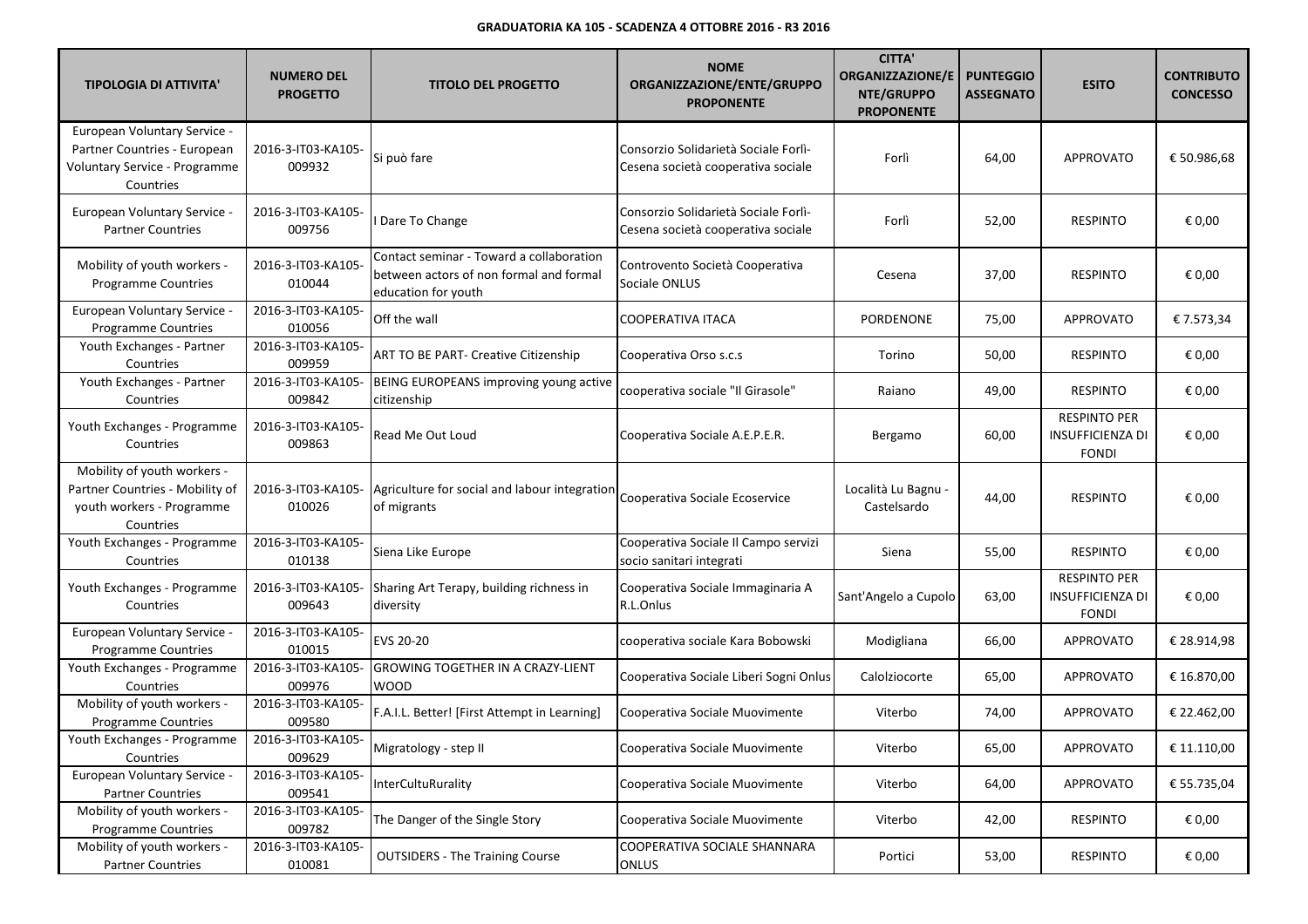| <b>TIPOLOGIA DI ATTIVITA'</b>                                                                              | <b>NUMERO DEL</b><br><b>PROGETTO</b> | <b>TITOLO DEL PROGETTO</b>                                                                                 | <b>NOME</b><br>ORGANIZZAZIONE/ENTE/GRUPPO<br><b>PROPONENTE</b>             | <b>CITTA'</b><br><b>ORGANIZZAZIONE/E</b><br>NTE/GRUPPO<br><b>PROPONENTE</b> | <b>PUNTEGGIO</b><br><b>ASSEGNATO</b> | <b>ESITO</b>                                                   | <b>CONTRIBUTO</b><br><b>CONCESSO</b> |
|------------------------------------------------------------------------------------------------------------|--------------------------------------|------------------------------------------------------------------------------------------------------------|----------------------------------------------------------------------------|-----------------------------------------------------------------------------|--------------------------------------|----------------------------------------------------------------|--------------------------------------|
| European Voluntary Service -<br>Partner Countries - European<br>Voluntary Service - Programme<br>Countries | 2016-3-IT03-KA105-<br>009932         | Si può fare                                                                                                | Consorzio Solidarietà Sociale Forlì-<br>Cesena società cooperativa sociale | Forlì                                                                       | 64,00                                | <b>APPROVATO</b>                                               | € 50.986,68                          |
| <b>European Voluntary Service -</b><br><b>Partner Countries</b>                                            | 2016-3-IT03-KA105-<br>009756         | I Dare To Change                                                                                           | Consorzio Solidarietà Sociale Forlì-<br>Cesena società cooperativa sociale | Forlì                                                                       | 52,00                                | <b>RESPINTO</b>                                                | € 0,00                               |
| Mobility of youth workers -<br>Programme Countries                                                         | 2016-3-IT03-KA105-<br>010044         | Contact seminar - Toward a collaboration<br>between actors of non formal and formal<br>education for youth | Controvento Società Cooperativa<br>Sociale ONLUS                           | Cesena                                                                      | 37,00                                | <b>RESPINTO</b>                                                | € 0,00                               |
| European Voluntary Service -<br><b>Programme Countries</b>                                                 | 2016-3-IT03-KA105-<br>010056         | Off the wall                                                                                               | COOPERATIVA ITACA                                                          | <b>PORDENONE</b>                                                            | 75,00                                | <b>APPROVATO</b>                                               | €7.573,34                            |
| Youth Exchanges - Partner<br>Countries                                                                     | 2016-3-IT03-KA105-<br>009959         | ART TO BE PART- Creative Citizenship                                                                       | Cooperativa Orso s.c.s                                                     | Torino                                                                      | 50,00                                | <b>RESPINTO</b>                                                | € 0,00                               |
| Youth Exchanges - Partner<br>Countries                                                                     | 2016-3-IT03-KA105-<br>009842         | BEING EUROPEANS improving young active<br>citizenship                                                      | cooperativa sociale "Il Girasole"                                          | Raiano                                                                      | 49,00                                | <b>RESPINTO</b>                                                | € 0,00                               |
| Youth Exchanges - Programme<br>Countries                                                                   | 2016-3-IT03-KA105-<br>009863         | Read Me Out Loud                                                                                           | Cooperativa Sociale A.E.P.E.R.                                             | Bergamo                                                                     | 60,00                                | <b>RESPINTO PER</b><br>INSUFFICIENZA DI<br><b>FONDI</b>        | € 0,00                               |
| Mobility of youth workers -<br>Partner Countries - Mobility of<br>youth workers - Programme<br>Countries   | 2016-3-IT03-KA105-<br>010026         | Agriculture for social and labour integration<br>of migrants                                               | Cooperativa Sociale Ecoservice                                             | Località Lu Bagnu -<br>Castelsardo                                          | 44,00                                | <b>RESPINTO</b>                                                | € 0,00                               |
| Youth Exchanges - Programme<br>Countries                                                                   | 2016-3-IT03-KA105-<br>010138         | Siena Like Europe                                                                                          | Cooperativa Sociale Il Campo servizi<br>socio sanitari integrati           | Siena                                                                       | 55,00                                | <b>RESPINTO</b>                                                | € 0,00                               |
| Youth Exchanges - Programme<br>Countries                                                                   | 2016-3-IT03-KA105-<br>009643         | Sharing Art Terapy, building richness in<br>diversity                                                      | Cooperativa Sociale Immaginaria A<br>R.L.Onlus                             | Sant'Angelo a Cupolo                                                        | 63,00                                | <b>RESPINTO PER</b><br><b>INSUFFICIENZA DI</b><br><b>FONDI</b> | € 0,00                               |
| European Voluntary Service -<br>Programme Countries                                                        | 2016-3-IT03-KA105-<br>010015         | EVS 20-20                                                                                                  | cooperativa sociale Kara Bobowski                                          | Modigliana                                                                  | 66,00                                | APPROVATO                                                      | € 28.914,98                          |
| Youth Exchanges - Programme<br>Countries                                                                   | 2016-3-IT03-KA105-<br>009976         | <b>GROWING TOGETHER IN A CRAZY-LIENT</b><br><b>WOOD</b>                                                    | Cooperativa Sociale Liberi Sogni Onlus                                     | Calolziocorte                                                               | 65,00                                | APPROVATO                                                      | € 16.870,00                          |
| Mobility of youth workers -<br>Programme Countries                                                         | 2016-3-IT03-KA105-<br>009580         | F.A.I.L. Better! [First Attempt in Learning]                                                               | Cooperativa Sociale Muovimente                                             | Viterbo                                                                     | 74,00                                | APPROVATO                                                      | € 22.462,00                          |
| Youth Exchanges - Programme<br>Countries                                                                   | 2016-3-IT03-KA105-<br>009629         | Migratology - step II                                                                                      | Cooperativa Sociale Muovimente                                             | Viterbo                                                                     | 65,00                                | APPROVATO                                                      | $\mathop{\varepsilon}$ 11.110,00     |
| European Voluntary Service -<br><b>Partner Countries</b>                                                   | 2016-3-IT03-KA105-<br>009541         | <b>InterCultuRurality</b>                                                                                  | Cooperativa Sociale Muovimente                                             | Viterbo                                                                     | 64,00                                | APPROVATO                                                      | € 55.735,04                          |
| Mobility of youth workers -<br><b>Programme Countries</b>                                                  | 2016-3-IT03-KA105-<br>009782         | The Danger of the Single Story                                                                             | Cooperativa Sociale Muovimente                                             | Viterbo                                                                     | 42,00                                | <b>RESPINTO</b>                                                | € 0,00                               |
| Mobility of youth workers -<br><b>Partner Countries</b>                                                    | 2016-3-IT03-KA105-<br>010081         | <b>OUTSIDERS - The Training Course</b>                                                                     | COOPERATIVA SOCIALE SHANNARA<br>ONLUS                                      | Portici                                                                     | 53,00                                | RESPINTO                                                       | € 0,00                               |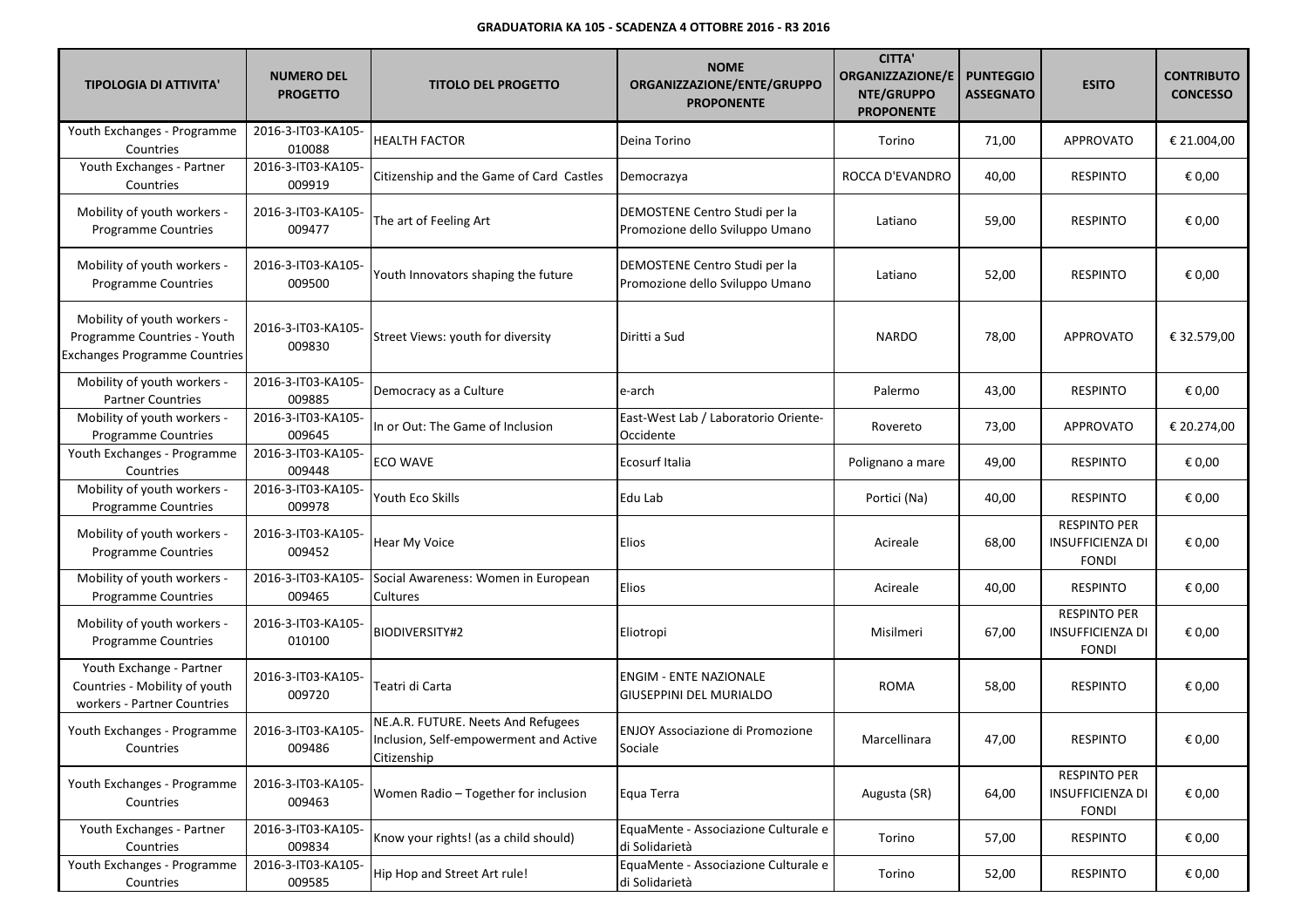| <b>TIPOLOGIA DI ATTIVITA'</b>                                                                      | <b>NUMERO DEL</b><br><b>PROGETTO</b> | <b>TITOLO DEL PROGETTO</b>                                                                  | <b>NOME</b><br>ORGANIZZAZIONE/ENTE/GRUPPO<br><b>PROPONENTE</b>   | <b>CITTA'</b><br><b>ORGANIZZAZIONE/E</b><br>NTE/GRUPPO<br><b>PROPONENTE</b> | <b>PUNTEGGIO</b><br><b>ASSEGNATO</b> | <b>ESITO</b>                                                   | <b>CONTRIBUTO</b><br><b>CONCESSO</b> |
|----------------------------------------------------------------------------------------------------|--------------------------------------|---------------------------------------------------------------------------------------------|------------------------------------------------------------------|-----------------------------------------------------------------------------|--------------------------------------|----------------------------------------------------------------|--------------------------------------|
| Youth Exchanges - Programme<br>Countries                                                           | 2016-3-IT03-KA105-<br>010088         | <b>HEALTH FACTOR</b>                                                                        | Deina Torino                                                     | Torino                                                                      | 71,00                                | <b>APPROVATO</b>                                               | € 21.004,00                          |
| Youth Exchanges - Partner<br>Countries                                                             | 2016-3-IT03-KA105-<br>009919         | Citizenship and the Game of Card Castles                                                    | Democrazya                                                       | ROCCA D'EVANDRO                                                             | 40,00                                | <b>RESPINTO</b>                                                | € 0,00                               |
| Mobility of youth workers -<br>Programme Countries                                                 | 2016-3-IT03-KA105-<br>009477         | The art of Feeling Art                                                                      | DEMOSTENE Centro Studi per la<br>Promozione dello Sviluppo Umano | Latiano                                                                     | 59,00                                | <b>RESPINTO</b>                                                | € 0,00                               |
| Mobility of youth workers -<br><b>Programme Countries</b>                                          | 2016-3-IT03-KA105-<br>009500         | Youth Innovators shaping the future                                                         | DEMOSTENE Centro Studi per la<br>Promozione dello Sviluppo Umano | Latiano                                                                     | 52,00                                | <b>RESPINTO</b>                                                | € 0,00                               |
| Mobility of youth workers -<br>Programme Countries - Youth<br><b>Exchanges Programme Countries</b> | 2016-3-IT03-KA105-<br>009830         | Street Views: youth for diversity                                                           | Diritti a Sud                                                    | <b>NARDO</b>                                                                | 78,00                                | <b>APPROVATO</b>                                               | € 32.579,00                          |
| Mobility of youth workers -<br><b>Partner Countries</b>                                            | 2016-3-IT03-KA105-<br>009885         | Democracy as a Culture                                                                      | e-arch                                                           | Palermo                                                                     | 43,00                                | <b>RESPINTO</b>                                                | € 0,00                               |
| Mobility of youth workers -<br><b>Programme Countries</b>                                          | 2016-3-IT03-KA105-<br>009645         | In or Out: The Game of Inclusion                                                            | East-West Lab / Laboratorio Oriente-<br>Occidente                | Rovereto                                                                    | 73,00                                | <b>APPROVATO</b>                                               | € 20.274,00                          |
| Youth Exchanges - Programme<br>Countries                                                           | 2016-3-IT03-KA105-<br>009448         | ECO WAVE                                                                                    | Ecosurf Italia                                                   | Polignano a mare                                                            | 49,00                                | <b>RESPINTO</b>                                                | € 0,00                               |
| Mobility of youth workers -<br><b>Programme Countries</b>                                          | 2016-3-IT03-KA105-<br>009978         | Youth Eco Skills                                                                            | Edu Lab                                                          | Portici (Na)                                                                | 40,00                                | <b>RESPINTO</b>                                                | € 0,00                               |
| Mobility of youth workers -<br><b>Programme Countries</b>                                          | 2016-3-IT03-KA105-<br>009452         | Hear My Voice                                                                               | Elios                                                            | Acireale                                                                    | 68,00                                | <b>RESPINTO PER</b><br><b>INSUFFICIENZA DI</b><br><b>FONDI</b> | € 0,00                               |
| Mobility of youth workers -<br><b>Programme Countries</b>                                          | 2016-3-IT03-KA105-<br>009465         | Social Awareness: Women in European<br>Cultures                                             | Elios                                                            | Acireale                                                                    | 40,00                                | <b>RESPINTO</b>                                                | € 0,00                               |
| Mobility of youth workers -<br><b>Programme Countries</b>                                          | 2016-3-IT03-KA105-<br>010100         | <b>BIODIVERSITY#2</b>                                                                       | Eliotropi                                                        | Misilmeri                                                                   | 67,00                                | <b>RESPINTO PER</b><br><b>INSUFFICIENZA DI</b><br><b>FONDI</b> | € 0,00                               |
| Youth Exchange - Partner<br>Countries - Mobility of youth<br>workers - Partner Countries           | 2016-3-IT03-KA105-<br>009720         | Teatri di Carta                                                                             | <b>ENGIM - ENTE NAZIONALE</b><br><b>GIUSEPPINI DEL MURIALDO</b>  | <b>ROMA</b>                                                                 | 58,00                                | <b>RESPINTO</b>                                                | € 0,00                               |
| Youth Exchanges - Programme<br>Countries                                                           | 2016-3-IT03-KA105-<br>009486         | NE.A.R. FUTURE. Neets And Refugees<br>Inclusion, Self-empowerment and Active<br>Citizenship | <b>ENJOY Associazione di Promozione</b><br>Sociale               | Marcellinara                                                                | 47,00                                | <b>RESPINTO</b>                                                | € 0,00                               |
| Youth Exchanges - Programme<br>Countries                                                           | 2016-3-IT03-KA105-<br>009463         | Women Radio - Together for inclusion                                                        | Equa Terra                                                       | Augusta (SR)                                                                | 64,00                                | <b>RESPINTO PER</b><br>INSUFFICIENZA DI<br><b>FONDI</b>        | € 0,00                               |
| Youth Exchanges - Partner<br>Countries                                                             | 2016-3-IT03-KA105-<br>009834         | Know your rights! (as a child should)                                                       | EquaMente - Associazione Culturale e<br>di Solidarietà           | Torino                                                                      | 57,00                                | <b>RESPINTO</b>                                                | € 0,00                               |
| Youth Exchanges - Programme<br>Countries                                                           | 2016-3-IT03-KA105-<br>009585         | Hip Hop and Street Art rule!                                                                | EquaMente - Associazione Culturale e<br>di Solidarietà           | Torino                                                                      | 52,00                                | <b>RESPINTO</b>                                                | € 0,00                               |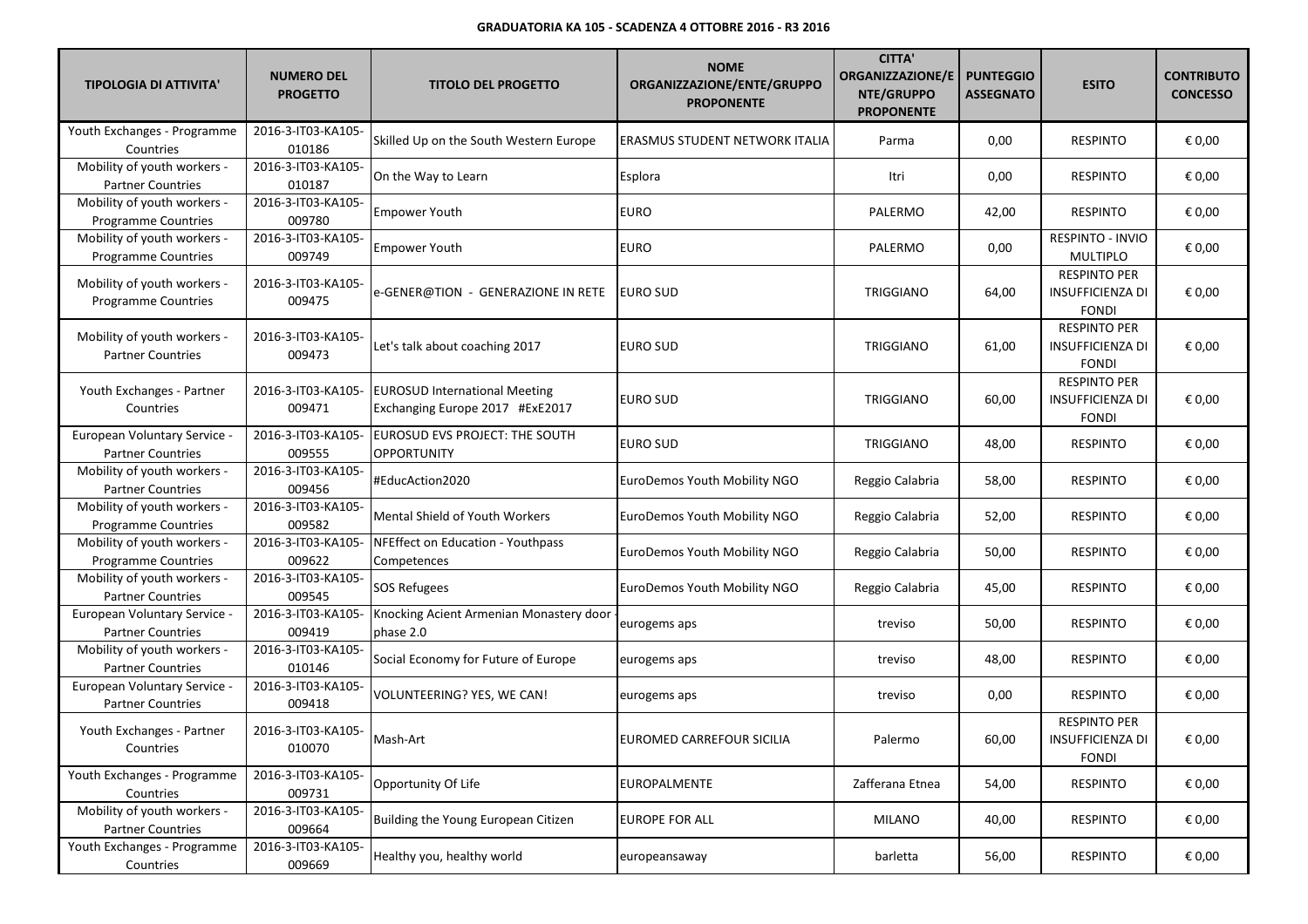| <b>TIPOLOGIA DI ATTIVITA'</b>                             | <b>NUMERO DEL</b><br><b>PROGETTO</b> | <b>TITOLO DEL PROGETTO</b>                                              | <b>NOME</b><br>ORGANIZZAZIONE/ENTE/GRUPPO<br><b>PROPONENTE</b> | <b>CITTA'</b><br><b>ORGANIZZAZIONE/E</b><br>NTE/GRUPPO<br><b>PROPONENTE</b> | <b>PUNTEGGIO</b><br><b>ASSEGNATO</b> | <b>ESITO</b>                                                   | <b>CONTRIBUTO</b><br><b>CONCESSO</b> |
|-----------------------------------------------------------|--------------------------------------|-------------------------------------------------------------------------|----------------------------------------------------------------|-----------------------------------------------------------------------------|--------------------------------------|----------------------------------------------------------------|--------------------------------------|
| Youth Exchanges - Programme<br>Countries                  | 2016-3-IT03-KA105-<br>010186         | Skilled Up on the South Western Europe                                  | ERASMUS STUDENT NETWORK ITALIA                                 | Parma                                                                       | 0,00                                 | <b>RESPINTO</b>                                                | € 0,00                               |
| Mobility of youth workers -<br><b>Partner Countries</b>   | 2016-3-IT03-KA105-<br>010187         | On the Way to Learn                                                     | Esplora                                                        | Itri                                                                        | 0,00                                 | <b>RESPINTO</b>                                                | € 0,00                               |
| Mobility of youth workers -<br>Programme Countries        | 2016-3-IT03-KA105-<br>009780         | Empower Youth                                                           | EURO                                                           | PALERMO                                                                     | 42,00                                | <b>RESPINTO</b>                                                | € 0,00                               |
| Mobility of youth workers -<br>Programme Countries        | 2016-3-IT03-KA105-<br>009749         | Empower Youth                                                           | EURO                                                           | PALERMO                                                                     | 0,00                                 | RESPINTO - INVIO<br><b>MULTIPLO</b>                            | € 0,00                               |
| Mobility of youth workers -<br>Programme Countries        | 2016-3-IT03-KA105-<br>009475         | e-GENER@TION  -  GENERAZIONE IN RETE                                    | EURO SUD                                                       | TRIGGIANO                                                                   | 64,00                                | <b>RESPINTO PER</b><br><b>INSUFFICIENZA DI</b><br><b>FONDI</b> | € 0,00                               |
| Mobility of youth workers -<br><b>Partner Countries</b>   | 2016-3-IT03-KA105-<br>009473         | Let's talk about coaching 2017                                          | <b>EURO SUD</b>                                                | <b>TRIGGIANO</b>                                                            | 61,00                                | <b>RESPINTO PER</b><br><b>INSUFFICIENZA DI</b><br><b>FONDI</b> | € 0,00                               |
| Youth Exchanges - Partner<br>Countries                    | 2016-3-IT03-KA105-<br>009471         | <b>EUROSUD International Meeting</b><br>Exchanging Europe 2017 #ExE2017 | <b>EURO SUD</b>                                                | <b>TRIGGIANO</b>                                                            | 60,00                                | <b>RESPINTO PER</b><br><b>INSUFFICIENZA DI</b><br><b>FONDI</b> | € 0,00                               |
| European Voluntary Service -<br><b>Partner Countries</b>  | 2016-3-IT03-KA105-<br>009555         | EUROSUD EVS PROJECT: THE SOUTH<br><b>OPPORTUNITY</b>                    | <b>EURO SUD</b>                                                | <b>TRIGGIANO</b>                                                            | 48,00                                | <b>RESPINTO</b>                                                | € 0,00                               |
| Mobility of youth workers -<br><b>Partner Countries</b>   | 2016-3-IT03-KA105-<br>009456         | #EducAction2020                                                         | EuroDemos Youth Mobility NGO                                   | Reggio Calabria                                                             | 58,00                                | <b>RESPINTO</b>                                                | € 0,00                               |
| Mobility of youth workers -<br>Programme Countries        | 2016-3-IT03-KA105-<br>009582         | Mental Shield of Youth Workers                                          | EuroDemos Youth Mobility NGO                                   | Reggio Calabria                                                             | 52,00                                | <b>RESPINTO</b>                                                | € 0,00                               |
| Mobility of youth workers -<br><b>Programme Countries</b> | 2016-3-IT03-KA105-<br>009622         | NFEffect on Education - Youthpass<br>Competences                        | EuroDemos Youth Mobility NGO                                   | Reggio Calabria                                                             | 50,00                                | <b>RESPINTO</b>                                                | € 0,00                               |
| Mobility of youth workers -<br><b>Partner Countries</b>   | 2016-3-IT03-KA105-<br>009545         | SOS Refugees                                                            | EuroDemos Youth Mobility NGO                                   | Reggio Calabria                                                             | 45,00                                | <b>RESPINTO</b>                                                | € 0,00                               |
| European Voluntary Service -<br><b>Partner Countries</b>  | 2016-3-IT03-KA105-<br>009419         | Knocking Acient Armenian Monastery door<br>phase 2.0                    | eurogems aps                                                   | treviso                                                                     | 50,00                                | <b>RESPINTO</b>                                                | € 0,00                               |
| Mobility of youth workers -<br><b>Partner Countries</b>   | 2016-3-IT03-KA105-<br>010146         | Social Economy for Future of Europe                                     | eurogems aps                                                   | treviso                                                                     | 48,00                                | <b>RESPINTO</b>                                                | € 0,00                               |
| European Voluntary Service -<br><b>Partner Countries</b>  | 2016-3-IT03-KA105-<br>009418         | VOLUNTEERING? YES, WE CAN!                                              | eurogems aps                                                   | treviso                                                                     | 0,00                                 | <b>RESPINTO</b>                                                | € 0,00                               |
| Youth Exchanges - Partner<br>Countries                    | 2016-3-IT03-KA105-<br>010070         | Mash-Art                                                                | EUROMED CARREFOUR SICILIA                                      | Palermo                                                                     | 60,00                                | <b>RESPINTO PER</b><br><b>INSUFFICIENZA DI</b><br><b>FONDI</b> | € 0,00                               |
| Youth Exchanges - Programme<br>Countries                  | 2016-3-IT03-KA105-<br>009731         | Opportunity Of Life                                                     | <b>EUROPALMENTE</b>                                            | Zafferana Etnea                                                             | 54,00                                | <b>RESPINTO</b>                                                | € 0,00                               |
| Mobility of youth workers -<br><b>Partner Countries</b>   | 2016-3-IT03-KA105-<br>009664         | Building the Young European Citizen                                     | <b>EUROPE FOR ALL</b>                                          | <b>MILANO</b>                                                               | 40,00                                | <b>RESPINTO</b>                                                | € 0,00                               |
| Youth Exchanges - Programme<br>Countries                  | 2016-3-IT03-KA105-<br>009669         | Healthy you, healthy world                                              | europeansaway                                                  | barletta                                                                    | 56,00                                | <b>RESPINTO</b>                                                | € 0,00                               |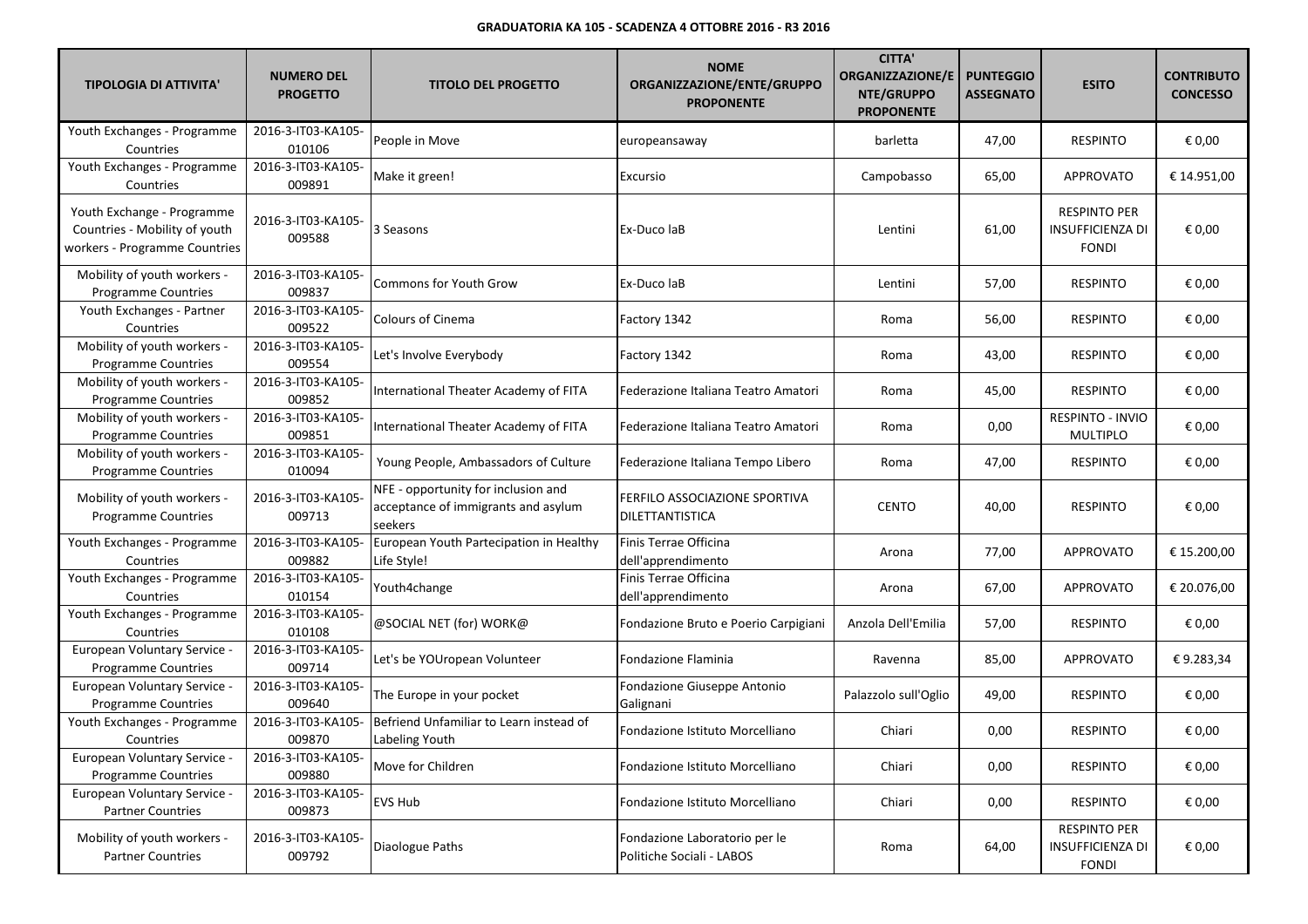| <b>TIPOLOGIA DI ATTIVITA'</b>                                                                | <b>NUMERO DEL</b><br><b>PROGETTO</b> | <b>TITOLO DEL PROGETTO</b>                                                            | <b>NOME</b><br>ORGANIZZAZIONE/ENTE/GRUPPO<br><b>PROPONENTE</b> | <b>CITTA'</b><br><b>ORGANIZZAZIONE/E</b><br>NTE/GRUPPO<br><b>PROPONENTE</b> | <b>PUNTEGGIO</b><br><b>ASSEGNATO</b> | <b>ESITO</b>                                                   | <b>CONTRIBUTO</b><br><b>CONCESSO</b> |
|----------------------------------------------------------------------------------------------|--------------------------------------|---------------------------------------------------------------------------------------|----------------------------------------------------------------|-----------------------------------------------------------------------------|--------------------------------------|----------------------------------------------------------------|--------------------------------------|
| Youth Exchanges - Programme<br>Countries                                                     | 2016-3-IT03-KA105-<br>010106         | People in Move                                                                        | europeansaway                                                  | barletta                                                                    | 47,00                                | <b>RESPINTO</b>                                                | € 0,00                               |
| Youth Exchanges - Programme<br>Countries                                                     | 2016-3-IT03-KA105-<br>009891         | Make it green!                                                                        | Excursio                                                       | Campobasso                                                                  | 65,00                                | APPROVATO                                                      | € 14.951,00                          |
| Youth Exchange - Programme<br>Countries - Mobility of youth<br>workers - Programme Countries | 2016-3-IT03-KA105-<br>009588         | 3 Seasons                                                                             | Ex-Duco laB                                                    | Lentini                                                                     | 61,00                                | <b>RESPINTO PER</b><br><b>INSUFFICIENZA DI</b><br><b>FONDI</b> | € 0,00                               |
| Mobility of youth workers -<br><b>Programme Countries</b>                                    | 2016-3-IT03-KA105-<br>009837         | Commons for Youth Grow                                                                | Ex-Duco laB                                                    | Lentini                                                                     | 57,00                                | <b>RESPINTO</b>                                                | € 0,00                               |
| Youth Exchanges - Partner<br>Countries                                                       | 2016-3-IT03-KA105-<br>009522         | <b>Colours of Cinema</b>                                                              | Factory 1342                                                   | Roma                                                                        | 56,00                                | <b>RESPINTO</b>                                                | € 0,00                               |
| Mobility of youth workers -<br>Programme Countries                                           | 2016-3-IT03-KA105-<br>009554         | Let's Involve Everybody                                                               | Factory 1342                                                   | Roma                                                                        | 43,00                                | <b>RESPINTO</b>                                                | € 0,00                               |
| Mobility of youth workers -<br><b>Programme Countries</b>                                    | 2016-3-IT03-KA105-<br>009852         | International Theater Academy of FITA                                                 | Federazione Italiana Teatro Amatori                            | Roma                                                                        | 45,00                                | <b>RESPINTO</b>                                                | € 0,00                               |
| Mobility of youth workers -<br>Programme Countries                                           | 2016-3-IT03-KA105-<br>009851         | International Theater Academy of FITA                                                 | Federazione Italiana Teatro Amatori                            | Roma                                                                        | 0,00                                 | <b>RESPINTO - INVIO</b><br><b>MULTIPLO</b>                     | € 0,00                               |
| Mobility of youth workers -<br>Programme Countries                                           | 2016-3-IT03-KA105-<br>010094         | Young People, Ambassadors of Culture                                                  | Federazione Italiana Tempo Libero                              | Roma                                                                        | 47,00                                | <b>RESPINTO</b>                                                | € 0,00                               |
| Mobility of youth workers -<br>Programme Countries                                           | 2016-3-IT03-KA105-<br>009713         | NFE - opportunity for inclusion and<br>acceptance of immigrants and asylum<br>seekers | FERFILO ASSOCIAZIONE SPORTIVA<br>DILETTANTISTICA               | <b>CENTO</b>                                                                | 40,00                                | <b>RESPINTO</b>                                                | € 0,00                               |
| Youth Exchanges - Programme<br>Countries                                                     | 2016-3-IT03-KA105-<br>009882         | European Youth Partecipation in Healthy<br>Life Style!                                | Finis Terrae Officina<br>dell'apprendimento                    | Arona                                                                       | 77,00                                | <b>APPROVATO</b>                                               | € 15.200,00                          |
| Youth Exchanges - Programme<br>Countries                                                     | 2016-3-IT03-KA105-<br>010154         | Youth4change                                                                          | Finis Terrae Officina<br>dell'apprendimento                    | Arona                                                                       | 67,00                                | <b>APPROVATO</b>                                               | € 20.076,00                          |
| Youth Exchanges - Programme<br>Countries                                                     | 2016-3-IT03-KA105-<br>010108         | @SOCIAL NET (for) WORK@                                                               | Fondazione Bruto e Poerio Carpigiani                           | Anzola Dell'Emilia                                                          | 57,00                                | <b>RESPINTO</b>                                                | € 0,00                               |
| European Voluntary Service -<br><b>Programme Countries</b>                                   | 2016-3-IT03-KA105-<br>009714         | Let's be YOUropean Volunteer                                                          | Fondazione Flaminia                                            | Ravenna                                                                     | 85,00                                | <b>APPROVATO</b>                                               | €9.283,34                            |
| European Voluntary Service -<br>Programme Countries                                          | 2016-3-IT03-KA105-<br>009640         | The Europe in your pocket                                                             | Fondazione Giuseppe Antonio<br>Galignani                       | Palazzolo sull'Oglio                                                        | 49,00                                | <b>RESPINTO</b>                                                | € 0,00                               |
| Youth Exchanges - Programme<br>Countries                                                     | 2016-3-IT03-KA105-<br>009870         | Befriend Unfamiliar to Learn instead of<br>Labeling Youth                             | Fondazione Istituto Morcelliano                                | Chiari                                                                      | 0,00                                 | <b>RESPINTO</b>                                                | € 0,00                               |
| European Voluntary Service -<br><b>Programme Countries</b>                                   | 2016-3-IT03-KA105-<br>009880         | Move for Children                                                                     | Fondazione Istituto Morcelliano                                | Chiari                                                                      | 0,00                                 | <b>RESPINTO</b>                                                | € 0,00                               |
| European Voluntary Service -<br><b>Partner Countries</b>                                     | 2016-3-IT03-KA105-<br>009873         | EVS Hub                                                                               | Fondazione Istituto Morcelliano                                | Chiari                                                                      | 0,00                                 | <b>RESPINTO</b>                                                | € 0,00                               |
| Mobility of youth workers -<br><b>Partner Countries</b>                                      | 2016-3-IT03-KA105-<br>009792         | Diaologue Paths                                                                       | Fondazione Laboratorio per le<br>Politiche Sociali - LABOS     | Roma                                                                        | 64,00                                | <b>RESPINTO PER</b><br><b>INSUFFICIENZA DI</b><br><b>FONDI</b> | € 0,00                               |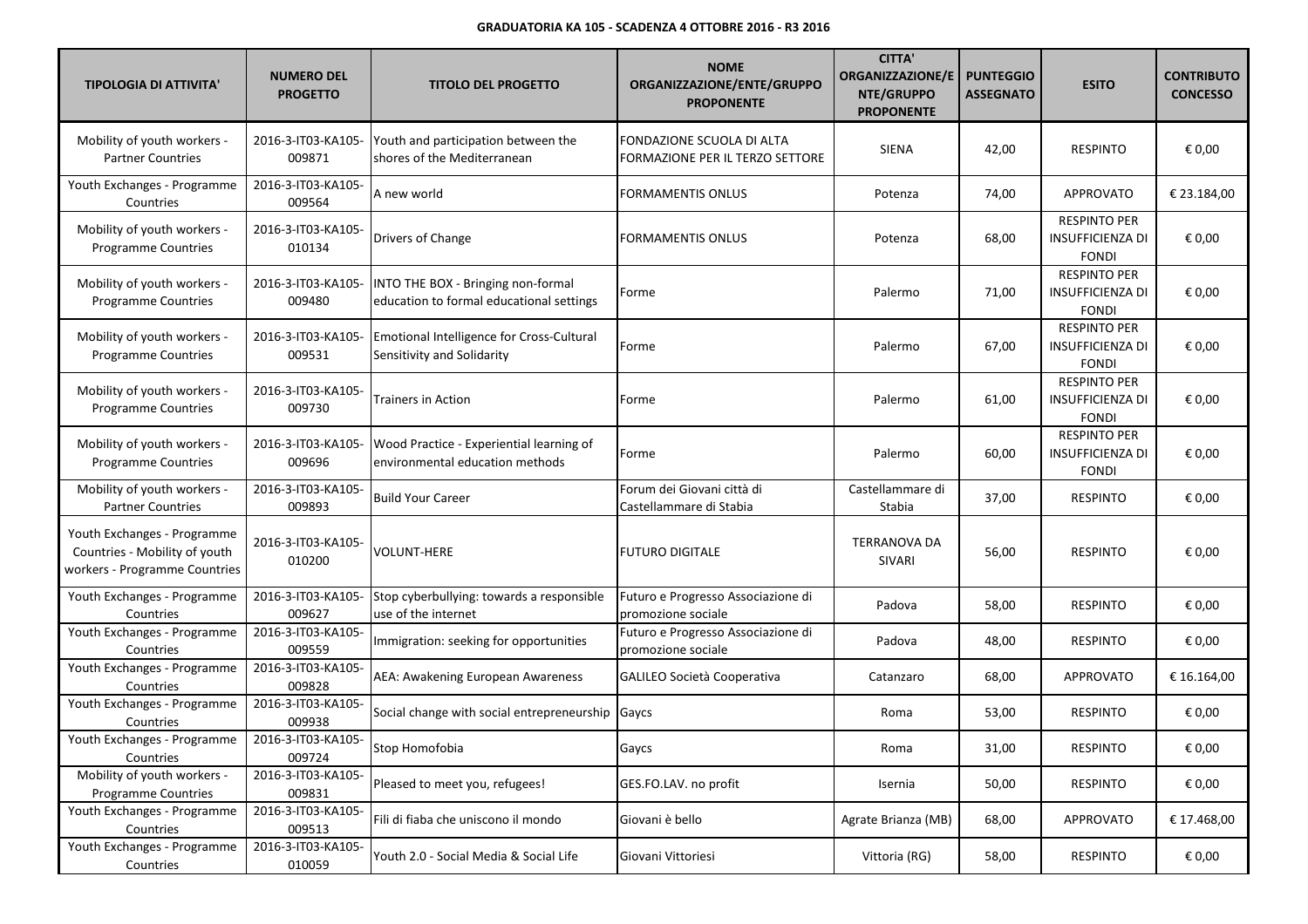| <b>TIPOLOGIA DI ATTIVITA'</b>                                                                 | <b>NUMERO DEL</b><br><b>PROGETTO</b> | <b>TITOLO DEL PROGETTO</b>                                                     | <b>NOME</b><br>ORGANIZZAZIONE/ENTE/GRUPPO<br><b>PROPONENTE</b> | <b>CITTA'</b><br><b>ORGANIZZAZIONE/E</b><br>NTE/GRUPPO<br><b>PROPONENTE</b> | <b>PUNTEGGIO</b><br><b>ASSEGNATO</b> | <b>ESITO</b>                                                   | <b>CONTRIBUTO</b><br><b>CONCESSO</b> |
|-----------------------------------------------------------------------------------------------|--------------------------------------|--------------------------------------------------------------------------------|----------------------------------------------------------------|-----------------------------------------------------------------------------|--------------------------------------|----------------------------------------------------------------|--------------------------------------|
| Mobility of youth workers -<br><b>Partner Countries</b>                                       | 2016-3-IT03-KA105-<br>009871         | Youth and participation between the<br>shores of the Mediterranean             | FONDAZIONE SCUOLA DI ALTA<br>FORMAZIONE PER IL TERZO SETTORE   | <b>SIENA</b>                                                                | 42,00                                | <b>RESPINTO</b>                                                | € 0,00                               |
| Youth Exchanges - Programme<br>Countries                                                      | 2016-3-IT03-KA105-<br>009564         | A new world                                                                    | FORMAMENTIS ONLUS                                              | Potenza                                                                     | 74,00                                | <b>APPROVATO</b>                                               | € 23.184,00                          |
| Mobility of youth workers -<br>Programme Countries                                            | 2016-3-IT03-KA105-<br>010134         | Drivers of Change                                                              | FORMAMENTIS ONLUS                                              | Potenza                                                                     | 68,00                                | <b>RESPINTO PER</b><br>INSUFFICIENZA DI<br><b>FONDI</b>        | € 0,00                               |
| Mobility of youth workers -<br>Programme Countries                                            | 2016-3-IT03-KA105-<br>009480         | INTO THE BOX - Bringing non-formal<br>education to formal educational settings | Forme                                                          | Palermo                                                                     | 71,00                                | <b>RESPINTO PER</b><br>INSUFFICIENZA DI<br><b>FONDI</b>        | € 0,00                               |
| Mobility of youth workers -<br>Programme Countries                                            | 2016-3-IT03-KA105-<br>009531         | Emotional Intelligence for Cross-Cultural<br>Sensitivity and Solidarity        | Forme                                                          | Palermo                                                                     | 67,00                                | <b>RESPINTO PER</b><br><b>INSUFFICIENZA DI</b><br><b>FONDI</b> | € 0,00                               |
| Mobility of youth workers -<br><b>Programme Countries</b>                                     | 2016-3-IT03-KA105-<br>009730         | Trainers in Action                                                             | Forme                                                          | Palermo                                                                     | 61,00                                | <b>RESPINTO PER</b><br><b>INSUFFICIENZA DI</b><br><b>FONDI</b> | € 0,00                               |
| Mobility of youth workers -<br><b>Programme Countries</b>                                     | 2016-3-IT03-KA105-<br>009696         | Wood Practice - Experiential learning of<br>environmental education methods    | Forme                                                          | Palermo                                                                     | 60,00                                | <b>RESPINTO PER</b><br><b>INSUFFICIENZA DI</b><br><b>FONDI</b> | € 0,00                               |
| Mobility of youth workers -<br><b>Partner Countries</b>                                       | 2016-3-IT03-KA105-<br>009893         | <b>Build Your Career</b>                                                       | Forum dei Giovani città di<br>Castellammare di Stabia          | Castellammare di<br>Stabia                                                  | 37,00                                | <b>RESPINTO</b>                                                | € 0,00                               |
| Youth Exchanges - Programme<br>Countries - Mobility of youth<br>workers - Programme Countries | 2016-3-IT03-KA105-<br>010200         | VOLUNT-HERE                                                                    | <b>FUTURO DIGITALE</b>                                         | <b>TERRANOVA DA</b><br>SIVARI                                               | 56,00                                | <b>RESPINTO</b>                                                | € 0,00                               |
| Youth Exchanges - Programme<br>Countries                                                      | 2016-3-IT03-KA105-<br>009627         | Stop cyberbullying: towards a responsible<br>use of the internet               | Futuro e Progresso Associazione di<br>promozione sociale       | Padova                                                                      | 58,00                                | <b>RESPINTO</b>                                                | € 0,00                               |
| Youth Exchanges - Programme<br>Countries                                                      | 2016-3-IT03-KA105-<br>009559         | Immigration: seeking for opportunities                                         | Futuro e Progresso Associazione di<br>promozione sociale       | Padova                                                                      | 48,00                                | <b>RESPINTO</b>                                                | € 0,00                               |
| Youth Exchanges - Programme<br>Countries                                                      | 2016-3-IT03-KA105-<br>009828         | AEA: Awakening European Awareness                                              | GALILEO Società Cooperativa                                    | Catanzaro                                                                   | 68,00                                | <b>APPROVATO</b>                                               | € 16.164,00                          |
| Youth Exchanges - Programme<br>Countries                                                      | 2016-3-IT03-KA105-<br>009938         | Social change with social entrepreneurship                                     | Gaycs                                                          | Roma                                                                        | 53,00                                | <b>RESPINTO</b>                                                | € 0,00                               |
| Youth Exchanges - Programme<br>Countries                                                      | 2016-3-IT03-KA105-<br>009724         | Stop Homofobia                                                                 | aycsب                                                          | Roma                                                                        | 31,00                                | <b>RESPINTO</b>                                                | € 0,00                               |
| Mobility of youth workers -<br>Programme Countries                                            | 2016-3-IT03-KA105-<br>009831         | Pleased to meet you, refugees!                                                 | GES.FO.LAV. no profit                                          | Isernia                                                                     | 50,00                                | RESPINTO                                                       | € 0,00                               |
| Youth Exchanges - Programme<br>Countries                                                      | 2016-3-IT03-KA105-<br>009513         | Fili di fiaba che uniscono il mondo                                            | Giovani è bello                                                | Agrate Brianza (MB)                                                         | 68,00                                | <b>APPROVATO</b>                                               | € 17.468,00                          |
| Youth Exchanges - Programme<br>Countries                                                      | 2016-3-IT03-KA105-<br>010059         | Youth 2.0 - Social Media & Social Life                                         | Giovani Vittoriesi                                             | Vittoria (RG)                                                               | 58,00                                | RESPINTO                                                       | € 0,00                               |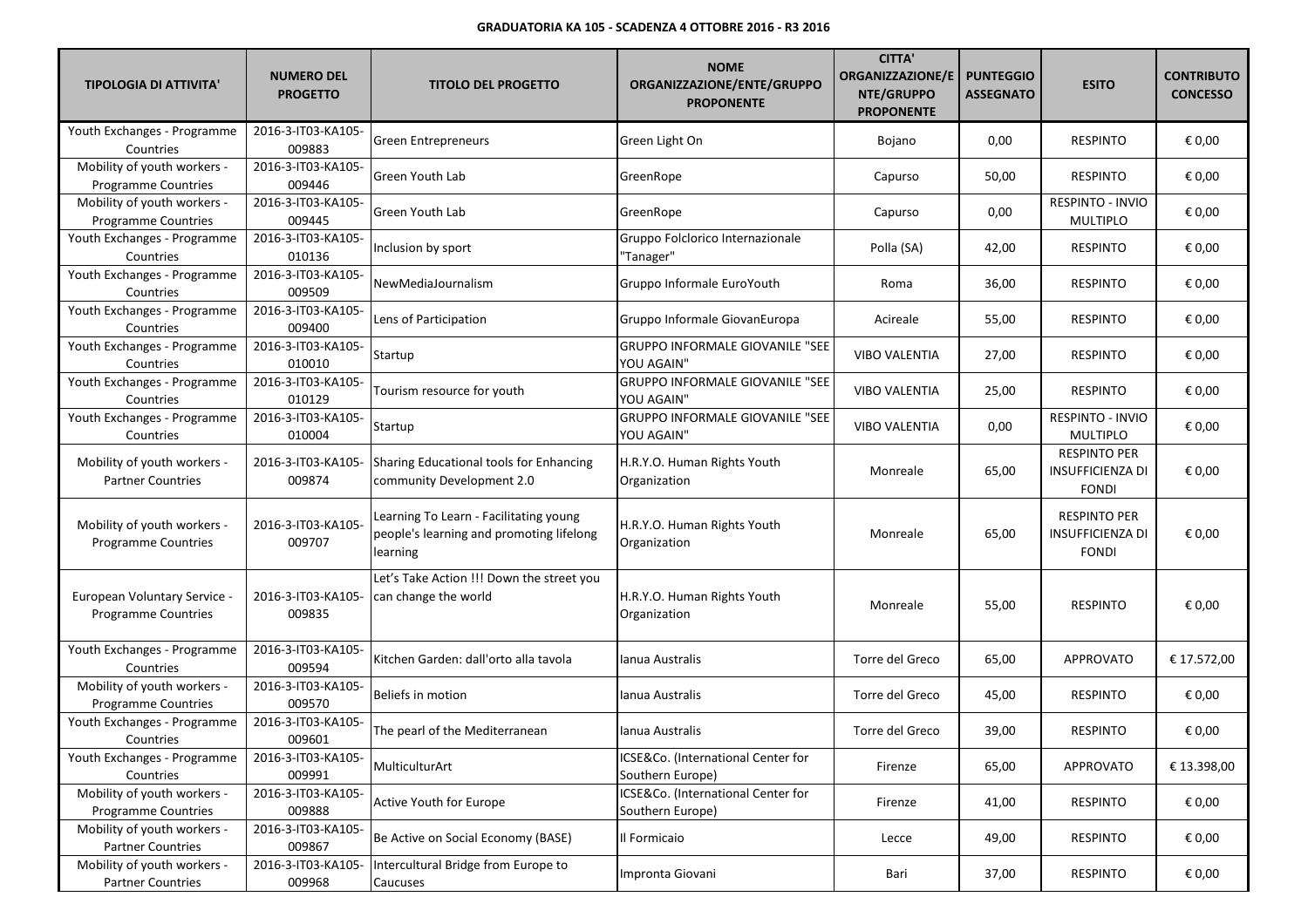| <b>TIPOLOGIA DI ATTIVITA'</b>                              | <b>NUMERO DEL</b><br><b>PROGETTO</b> | <b>TITOLO DEL PROGETTO</b>                                                                     | <b>NOME</b><br>ORGANIZZAZIONE/ENTE/GRUPPO<br><b>PROPONENTE</b> | <b>CITTA'</b><br><b>ORGANIZZAZIONE/E</b><br>NTE/GRUPPO<br><b>PROPONENTE</b> | <b>PUNTEGGIO</b><br><b>ASSEGNATO</b> | <b>ESITO</b>                                                   | <b>CONTRIBUTO</b><br><b>CONCESSO</b> |
|------------------------------------------------------------|--------------------------------------|------------------------------------------------------------------------------------------------|----------------------------------------------------------------|-----------------------------------------------------------------------------|--------------------------------------|----------------------------------------------------------------|--------------------------------------|
| Youth Exchanges - Programme<br>Countries                   | 2016-3-IT03-KA105-<br>009883         | <b>Green Entrepreneurs</b>                                                                     | Green Light On                                                 | Bojano                                                                      | 0,00                                 | <b>RESPINTO</b>                                                | € 0,00                               |
| Mobility of youth workers -<br><b>Programme Countries</b>  | 2016-3-IT03-KA105-<br>009446         | Green Youth Lab                                                                                | GreenRope                                                      | Capurso                                                                     | 50,00                                | <b>RESPINTO</b>                                                | € 0,00                               |
| Mobility of youth workers -<br>Programme Countries         | 2016-3-IT03-KA105-<br>009445         | Green Youth Lab                                                                                | GreenRope                                                      | Capurso                                                                     | 0,00                                 | RESPINTO - INVIO<br><b>MULTIPLO</b>                            | € 0,00                               |
| Youth Exchanges - Programme<br>Countries                   | 2016-3-IT03-KA105-<br>010136         | Inclusion by sport                                                                             | Gruppo Folclorico Internazionale<br>"Tanager"                  | Polla (SA)                                                                  | 42,00                                | <b>RESPINTO</b>                                                | € 0,00                               |
| Youth Exchanges - Programme<br>Countries                   | 2016-3-IT03-KA105-<br>009509         | New Media Journalism                                                                           | Gruppo Informale EuroYouth                                     | Roma                                                                        | 36,00                                | <b>RESPINTO</b>                                                | € 0,00                               |
| Youth Exchanges - Programme<br>Countries                   | 2016-3-IT03-KA105-<br>009400         | Lens of Participation                                                                          | Gruppo Informale GiovanEuropa                                  | Acireale                                                                    | 55,00                                | <b>RESPINTO</b>                                                | € 0,00                               |
| Youth Exchanges - Programme<br>Countries                   | 2016-3-IT03-KA105-<br>010010         | Startup                                                                                        | <b>GRUPPO INFORMALE GIOVANILE "SEE</b><br>YOU AGAIN"           | <b>VIBO VALENTIA</b>                                                        | 27,00                                | <b>RESPINTO</b>                                                | € 0,00                               |
| Youth Exchanges - Programme<br>Countries                   | 2016-3-IT03-KA105-<br>010129         | Tourism resource for youth                                                                     | <b>GRUPPO INFORMALE GIOVANILE "SEE</b><br>YOU AGAIN"           | <b>VIBO VALENTIA</b>                                                        | 25,00                                | <b>RESPINTO</b>                                                | € 0,00                               |
| Youth Exchanges - Programme<br>Countries                   | 2016-3-IT03-KA105-<br>010004         | Startup                                                                                        | <b>GRUPPO INFORMALE GIOVANILE "SEE</b><br>YOU AGAIN"           | <b>VIBO VALENTIA</b>                                                        | 0,00                                 | RESPINTO - INVIO<br><b>MULTIPLO</b>                            | € 0,00                               |
| Mobility of youth workers -<br><b>Partner Countries</b>    | 2016-3-IT03-KA105-<br>009874         | Sharing Educational tools for Enhancing<br>community Development 2.0                           | H.R.Y.O. Human Rights Youth<br>Organization                    | Monreale                                                                    | 65,00                                | <b>RESPINTO PER</b><br>INSUFFICIENZA DI<br><b>FONDI</b>        | € 0,00                               |
| Mobility of youth workers -<br><b>Programme Countries</b>  | 2016-3-IT03-KA105-<br>009707         | Learning To Learn - Facilitating young<br>people's learning and promoting lifelong<br>learning | H.R.Y.O. Human Rights Youth<br>Organization                    | Monreale                                                                    | 65,00                                | <b>RESPINTO PER</b><br><b>INSUFFICIENZA DI</b><br><b>FONDI</b> | € 0,00                               |
| European Voluntary Service -<br><b>Programme Countries</b> | 2016-3-IT03-KA105-<br>009835         | Let's Take Action !!! Down the street you<br>can change the world                              | H.R.Y.O. Human Rights Youth<br>Organization                    | Monreale                                                                    | 55,00                                | <b>RESPINTO</b>                                                | € 0,00                               |
| Youth Exchanges - Programme<br>Countries                   | 2016-3-IT03-KA105-<br>009594         | Kitchen Garden: dall'orto alla tavola                                                          | Ianua Australis                                                | Torre del Greco                                                             | 65,00                                | <b>APPROVATO</b>                                               | € 17.572,00                          |
| Mobility of youth workers -<br><b>Programme Countries</b>  | 2016-3-IT03-KA105-<br>009570         | Beliefs in motion                                                                              | Ianua Australis                                                | Torre del Greco                                                             | 45,00                                | <b>RESPINTO</b>                                                | € 0,00                               |
| Youth Exchanges - Programme<br>Countries                   | 2016-3-IT03-KA105-<br>009601         | The pearl of the Mediterranean                                                                 | Ianua Australis                                                | Torre del Greco                                                             | 39,00                                | <b>RESPINTO</b>                                                | € 0,00                               |
| Youth Exchanges - Programme<br>Countries                   | 2016-3-IT03-KA105-<br>009991         | MulticulturArt                                                                                 | ICSE&Co. (International Center for<br>Southern Europe)         | Firenze                                                                     | 65,00                                | <b>APPROVATO</b>                                               | € 13.398,00                          |
| Mobility of youth workers -<br><b>Programme Countries</b>  | 2016-3-IT03-KA105-<br>009888         | Active Youth for Europe                                                                        | ICSE&Co. (International Center for<br>Southern Europe)         | Firenze                                                                     | 41,00                                | <b>RESPINTO</b>                                                | € 0,00                               |
| Mobility of youth workers -<br><b>Partner Countries</b>    | 2016-3-IT03-KA105-<br>009867         | Be Active on Social Economy (BASE)                                                             | Il Formicaio                                                   | Lecce                                                                       | 49,00                                | <b>RESPINTO</b>                                                | € 0,00                               |
| Mobility of youth workers -<br><b>Partner Countries</b>    | 2016-3-IT03-KA105-<br>009968         | Intercultural Bridge from Europe to<br>Caucuses                                                | Impronta Giovani                                               | Bari                                                                        | 37,00                                | <b>RESPINTO</b>                                                | € 0,00                               |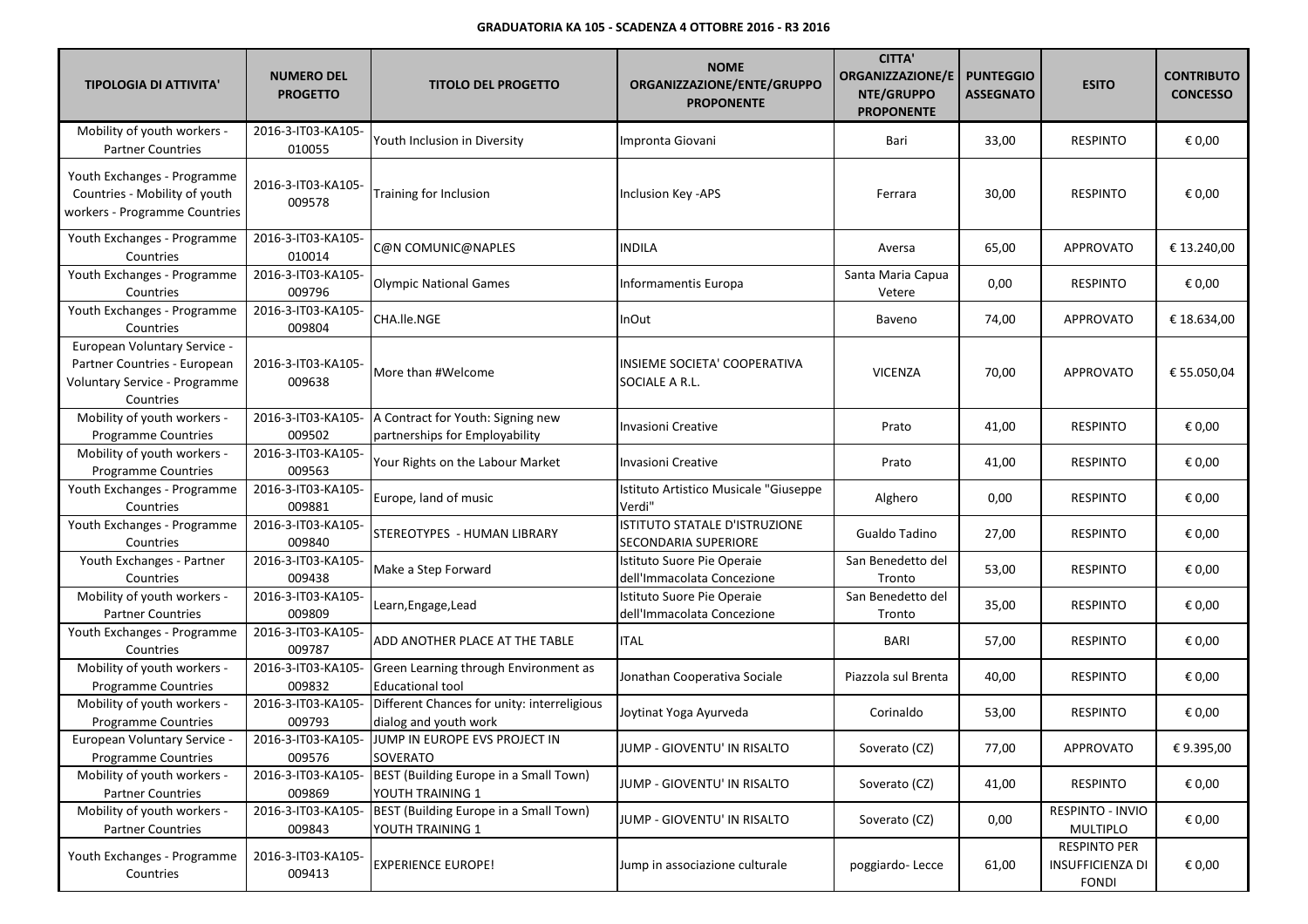| <b>TIPOLOGIA DI ATTIVITA'</b>                                                                              | <b>NUMERO DEL</b><br><b>PROGETTO</b> | <b>TITOLO DEL PROGETTO</b>                                           | <b>NOME</b><br>ORGANIZZAZIONE/ENTE/GRUPPO<br><b>PROPONENTE</b> | <b>CITTA'</b><br><b>ORGANIZZAZIONE/E</b><br>NTE/GRUPPO<br><b>PROPONENTE</b> | <b>PUNTEGGIO</b><br><b>ASSEGNATO</b> | <b>ESITO</b>                                            | <b>CONTRIBUTO</b><br><b>CONCESSO</b> |
|------------------------------------------------------------------------------------------------------------|--------------------------------------|----------------------------------------------------------------------|----------------------------------------------------------------|-----------------------------------------------------------------------------|--------------------------------------|---------------------------------------------------------|--------------------------------------|
| Mobility of youth workers -<br><b>Partner Countries</b>                                                    | 2016-3-IT03-KA105-<br>010055         | Youth Inclusion in Diversity                                         | Impronta Giovani                                               | Bari                                                                        | 33,00                                | <b>RESPINTO</b>                                         | € 0,00                               |
| Youth Exchanges - Programme<br>Countries - Mobility of youth<br>workers - Programme Countries              | 2016-3-IT03-KA105-<br>009578         | Training for Inclusion                                               | Inclusion Key -APS                                             | Ferrara                                                                     | 30,00                                | <b>RESPINTO</b>                                         | € 0,00                               |
| Youth Exchanges - Programme<br>Countries                                                                   | 2016-3-IT03-KA105-<br>010014         | C@N COMUNIC@NAPLES                                                   | <b>INDILA</b>                                                  | Aversa                                                                      | 65,00                                | <b>APPROVATO</b>                                        | € 13.240,00                          |
| Youth Exchanges - Programme<br>Countries                                                                   | 2016-3-IT03-KA105-<br>009796         | <b>Olympic National Games</b>                                        | Informamentis Europa                                           | Santa Maria Capua<br>Vetere                                                 | 0,00                                 | <b>RESPINTO</b>                                         | € 0,00                               |
| Youth Exchanges - Programme<br>Countries                                                                   | 2016-3-IT03-KA105-<br>009804         | CHA.lle.NGE                                                          | InOut                                                          | Baveno                                                                      | 74,00                                | APPROVATO                                               | € 18.634,00                          |
| European Voluntary Service -<br>Partner Countries - European<br>Voluntary Service - Programme<br>Countries | 2016-3-IT03-KA105-<br>009638         | More than #Welcome                                                   | INSIEME SOCIETA' COOPERATIVA<br>SOCIALE A R.L.                 | <b>VICENZA</b>                                                              | 70,00                                | <b>APPROVATO</b>                                        | € 55.050,04                          |
| Mobility of youth workers -<br>Programme Countries                                                         | 2016-3-IT03-KA105-<br>009502         | A Contract for Youth: Signing new<br>partnerships for Employability  | Invasioni Creative                                             | Prato                                                                       | 41,00                                | <b>RESPINTO</b>                                         | € 0,00                               |
| Mobility of youth workers -<br>Programme Countries                                                         | 2016-3-IT03-KA105-<br>009563         | Your Rights on the Labour Market                                     | Invasioni Creative                                             | Prato                                                                       | 41,00                                | <b>RESPINTO</b>                                         | € 0,00                               |
| Youth Exchanges - Programme<br>Countries                                                                   | 2016-3-IT03-KA105-<br>009881         | Europe, land of music                                                | Istituto Artistico Musicale "Giuseppe<br>Verdi"                | Alghero                                                                     | 0,00                                 | <b>RESPINTO</b>                                         | € 0,00                               |
| Youth Exchanges - Programme<br>Countries                                                                   | 2016-3-IT03-KA105-<br>009840         | STEREOTYPES - HUMAN LIBRARY                                          | ISTITUTO STATALE D'ISTRUZIONE<br>SECONDARIA SUPERIORE          | Gualdo Tadino                                                               | 27,00                                | <b>RESPINTO</b>                                         | € 0,00                               |
| Youth Exchanges - Partner<br>Countries                                                                     | 2016-3-IT03-KA105-<br>009438         | Make a Step Forward                                                  | Istituto Suore Pie Operaie<br>dell'Immacolata Concezione       | San Benedetto del<br>Tronto                                                 | 53,00                                | <b>RESPINTO</b>                                         | € 0,00                               |
| Mobility of youth workers -<br><b>Partner Countries</b>                                                    | 2016-3-IT03-KA105-<br>009809         | Learn, Engage, Lead                                                  | Istituto Suore Pie Operaie<br>dell'Immacolata Concezione       | San Benedetto del<br>Tronto                                                 | 35,00                                | <b>RESPINTO</b>                                         | € 0,00                               |
| Youth Exchanges - Programme<br>Countries                                                                   | 2016-3-IT03-KA105-<br>009787         | ADD ANOTHER PLACE AT THE TABLE                                       | <b>ITAL</b>                                                    | BARI                                                                        | 57,00                                | <b>RESPINTO</b>                                         | € 0,00                               |
| Mobility of youth workers -<br><b>Programme Countries</b>                                                  | 2016-3-IT03-KA105-<br>009832         | Green Learning through Environment as<br><b>Educational tool</b>     | Jonathan Cooperativa Sociale                                   | Piazzola sul Brenta                                                         | 40,00                                | <b>RESPINTO</b>                                         | € 0,00                               |
| Mobility of youth workers -<br>Programme Countries                                                         | 2016-3-IT03-KA105-<br>009793         | Different Chances for unity: interreligious<br>dialog and youth work | Joytinat Yoga Ayurveda                                         | Corinaldo                                                                   | 53,00                                | <b>RESPINTO</b>                                         | € 0,00                               |
| European Voluntary Service -<br>Programme Countries                                                        | 2016-3-IT03-KA105-<br>009576         | JUMP IN EUROPE EVS PROJECT IN<br>SOVERATO                            | JUMP - GIOVENTU' IN RISALTO                                    | Soverato (CZ)                                                               | 77,00                                | APPROVATO                                               | €9.395,00                            |
| Mobility of youth workers -<br><b>Partner Countries</b>                                                    | 2016-3-IT03-KA105-<br>009869         | BEST (Building Europe in a Small Town)<br>YOUTH TRAINING 1           | JUMP - GIOVENTU' IN RISALTO                                    | Soverato (CZ)                                                               | 41,00                                | <b>RESPINTO</b>                                         | € 0,00                               |
| Mobility of youth workers -<br><b>Partner Countries</b>                                                    | 2016-3-IT03-KA105-<br>009843         | BEST (Building Europe in a Small Town)<br>YOUTH TRAINING 1           | JUMP - GIOVENTU' IN RISALTO                                    | Soverato (CZ)                                                               | 0,00                                 | RESPINTO - INVIO<br>MULTIPLO                            | € 0,00                               |
| Youth Exchanges - Programme<br>Countries                                                                   | 2016-3-IT03-KA105-<br>009413         | <b>EXPERIENCE EUROPE!</b>                                            | Jump in associazione culturale                                 | poggiardo-Lecce                                                             | 61,00                                | <b>RESPINTO PER</b><br>INSUFFICIENZA DI<br><b>FONDI</b> | € 0,00                               |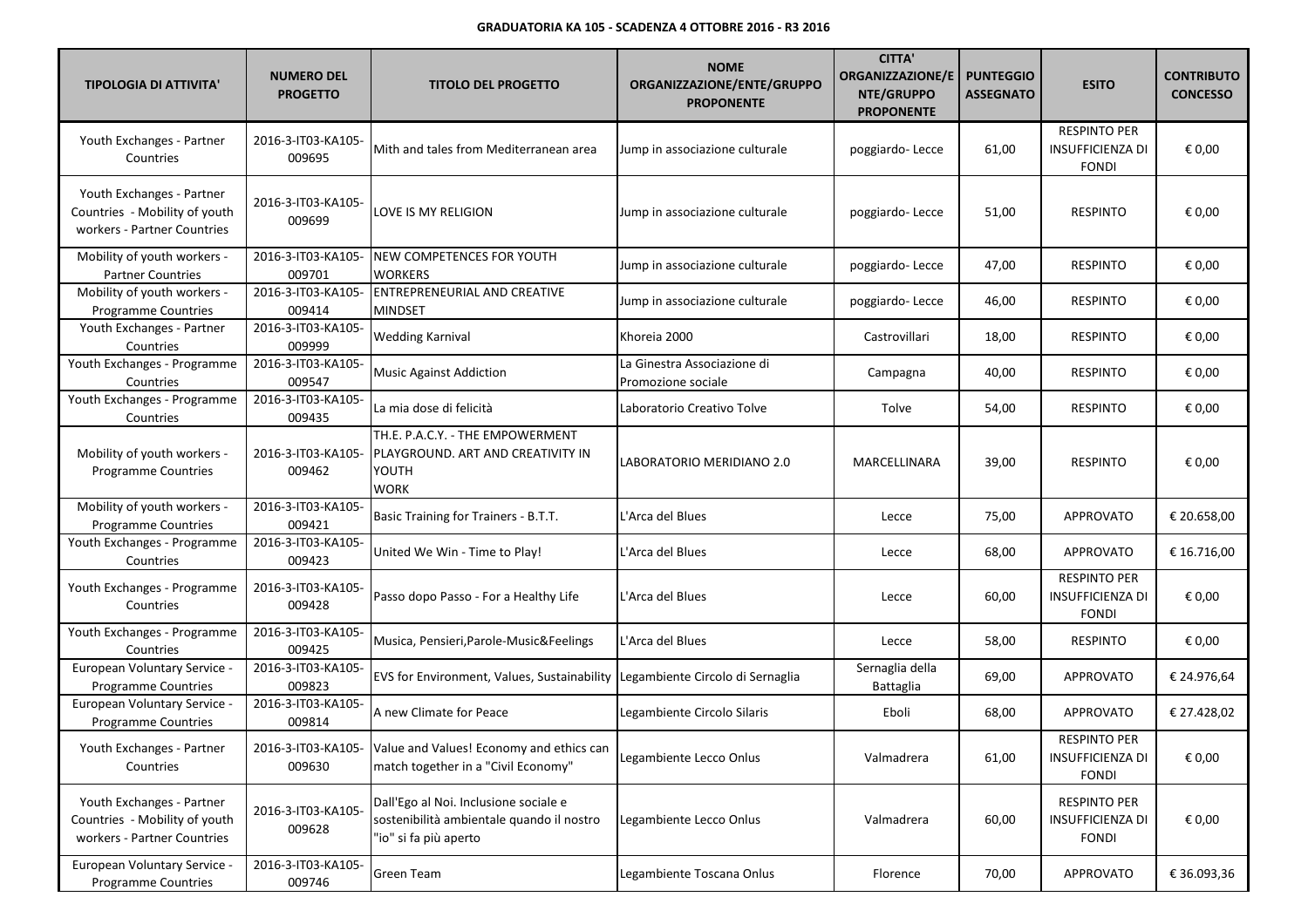| <b>TIPOLOGIA DI ATTIVITA'</b>                                                             | <b>NUMERO DEL</b><br><b>PROGETTO</b> | <b>TITOLO DEL PROGETTO</b>                                                                                  | <b>NOME</b><br>ORGANIZZAZIONE/ENTE/GRUPPO<br><b>PROPONENTE</b> | <b>CITTA'</b><br><b>ORGANIZZAZIONE/E</b><br>NTE/GRUPPO<br><b>PROPONENTE</b> | <b>PUNTEGGIO</b><br><b>ASSEGNATO</b> | <b>ESITO</b>                                                   | <b>CONTRIBUTO</b><br><b>CONCESSO</b> |
|-------------------------------------------------------------------------------------------|--------------------------------------|-------------------------------------------------------------------------------------------------------------|----------------------------------------------------------------|-----------------------------------------------------------------------------|--------------------------------------|----------------------------------------------------------------|--------------------------------------|
| Youth Exchanges - Partner<br>Countries                                                    | 2016-3-IT03-KA105-<br>009695         | Mith and tales from Mediterranean area                                                                      | Jump in associazione culturale                                 | poggiardo-Lecce                                                             | 61,00                                | <b>RESPINTO PER</b><br><b>INSUFFICIENZA DI</b><br><b>FONDI</b> | € 0,00                               |
| Youth Exchanges - Partner<br>Countries - Mobility of youth<br>workers - Partner Countries | 2016-3-IT03-KA105-<br>009699         | LOVE IS MY RELIGION                                                                                         | Jump in associazione culturale                                 | poggiardo-Lecce                                                             | 51,00                                | <b>RESPINTO</b>                                                | € 0,00                               |
| Mobility of youth workers -<br><b>Partner Countries</b>                                   | 2016-3-IT03-KA105-<br>009701         | <b>NEW COMPETENCES FOR YOUTH</b><br><b>WORKERS</b>                                                          | Jump in associazione culturale                                 | poggiardo-Lecce                                                             | 47,00                                | <b>RESPINTO</b>                                                | € 0,00                               |
| Mobility of youth workers -<br><b>Programme Countries</b>                                 | 2016-3-IT03-KA105-<br>009414         | <b>ENTREPRENEURIAL AND CREATIVE</b><br><b>MINDSET</b>                                                       | Jump in associazione culturale                                 | poggiardo-Lecce                                                             | 46,00                                | <b>RESPINTO</b>                                                | € 0,00                               |
| Youth Exchanges - Partner<br>Countries                                                    | 2016-3-IT03-KA105-<br>009999         | <b>Wedding Karnival</b>                                                                                     | Khoreia 2000                                                   | Castrovillari                                                               | 18,00                                | <b>RESPINTO</b>                                                | € 0,00                               |
| Youth Exchanges - Programme<br>Countries                                                  | 2016-3-IT03-KA105-<br>009547         | <b>Music Against Addiction</b>                                                                              | La Ginestra Associazione di<br>Promozione sociale              | Campagna                                                                    | 40,00                                | <b>RESPINTO</b>                                                | € 0,00                               |
| Youth Exchanges - Programme<br>Countries                                                  | 2016-3-IT03-KA105-<br>009435         | La mia dose di felicità                                                                                     | Laboratorio Creativo Tolve                                     | Tolve                                                                       | 54,00                                | <b>RESPINTO</b>                                                | € 0,00                               |
| Mobility of youth workers -<br><b>Programme Countries</b>                                 | 2016-3-IT03-KA105-<br>009462         | TH.E. P.A.C.Y. - THE EMPOWERMENT<br>PLAYGROUND. ART AND CREATIVITY IN<br>YOUTH<br><b>WORK</b>               | LABORATORIO MERIDIANO 2.0                                      | MARCELLINARA                                                                | 39,00                                | <b>RESPINTO</b>                                                | € 0,00                               |
| Mobility of youth workers -<br><b>Programme Countries</b>                                 | 2016-3-IT03-KA105-<br>009421         | Basic Training for Trainers - B.T.T.                                                                        | L'Arca del Blues                                               | Lecce                                                                       | 75,00                                | APPROVATO                                                      | € 20.658,00                          |
| Youth Exchanges - Programme<br>Countries                                                  | 2016-3-IT03-KA105-<br>009423         | United We Win - Time to Play!                                                                               | L'Arca del Blues                                               | Lecce                                                                       | 68,00                                | <b>APPROVATO</b>                                               | € 16.716,00                          |
| Youth Exchanges - Programme<br>Countries                                                  | 2016-3-IT03-KA105-<br>009428         | Passo dopo Passo - For a Healthy Life                                                                       | L'Arca del Blues                                               | Lecce                                                                       | 60,00                                | <b>RESPINTO PER</b><br><b>INSUFFICIENZA DI</b><br><b>FONDI</b> | € 0,00                               |
| Youth Exchanges - Programme<br>Countries                                                  | 2016-3-IT03-KA105-<br>009425         | Musica, Pensieri, Parole-Music& Feelings                                                                    | L'Arca del Blues                                               | Lecce                                                                       | 58,00                                | <b>RESPINTO</b>                                                | € 0,00                               |
| European Voluntary Service -<br><b>Programme Countries</b>                                | 2016-3-IT03-KA105-<br>009823         | EVS for Environment, Values, Sustainability                                                                 | Legambiente Circolo di Sernaglia                               | Sernaglia della<br>Battaglia                                                | 69,00                                | <b>APPROVATO</b>                                               | € 24.976,64                          |
| European Voluntary Service -<br><b>Programme Countries</b>                                | 2016-3-IT03-KA105-<br>009814         | A new Climate for Peace                                                                                     | Legambiente Circolo Silaris                                    | Eboli                                                                       | 68,00                                | <b>APPROVATO</b>                                               | € 27.428,02                          |
| Youth Exchanges - Partner<br>Countries                                                    | 009630                               | 2016-3-IT03-KA105- Value and Values! Economy and ethics can<br>match together in a "Civil Economy"          | Legambiente Lecco Onlus                                        | Valmadrera                                                                  | 61,00                                | <b>RESPINTO PER</b><br><b>INSUFFICIENZA DI</b><br><b>FONDI</b> | € 0,00                               |
| Youth Exchanges - Partner<br>Countries - Mobility of youth<br>workers - Partner Countries | 2016-3-IT03-KA105-<br>009628         | Dall'Ego al Noi. Inclusione sociale e<br>sostenibilità ambientale quando il nostro<br>"io" si fa più aperto | Legambiente Lecco Onlus                                        | Valmadrera                                                                  | 60,00                                | <b>RESPINTO PER</b><br><b>INSUFFICIENZA DI</b><br><b>FONDI</b> | € 0,00                               |
| European Voluntary Service -<br>Programme Countries                                       | 2016-3-IT03-KA105-<br>009746         | <b>Green Team</b>                                                                                           | Legambiente Toscana Onlus                                      | Florence                                                                    | 70,00                                | <b>APPROVATO</b>                                               | € 36.093,36                          |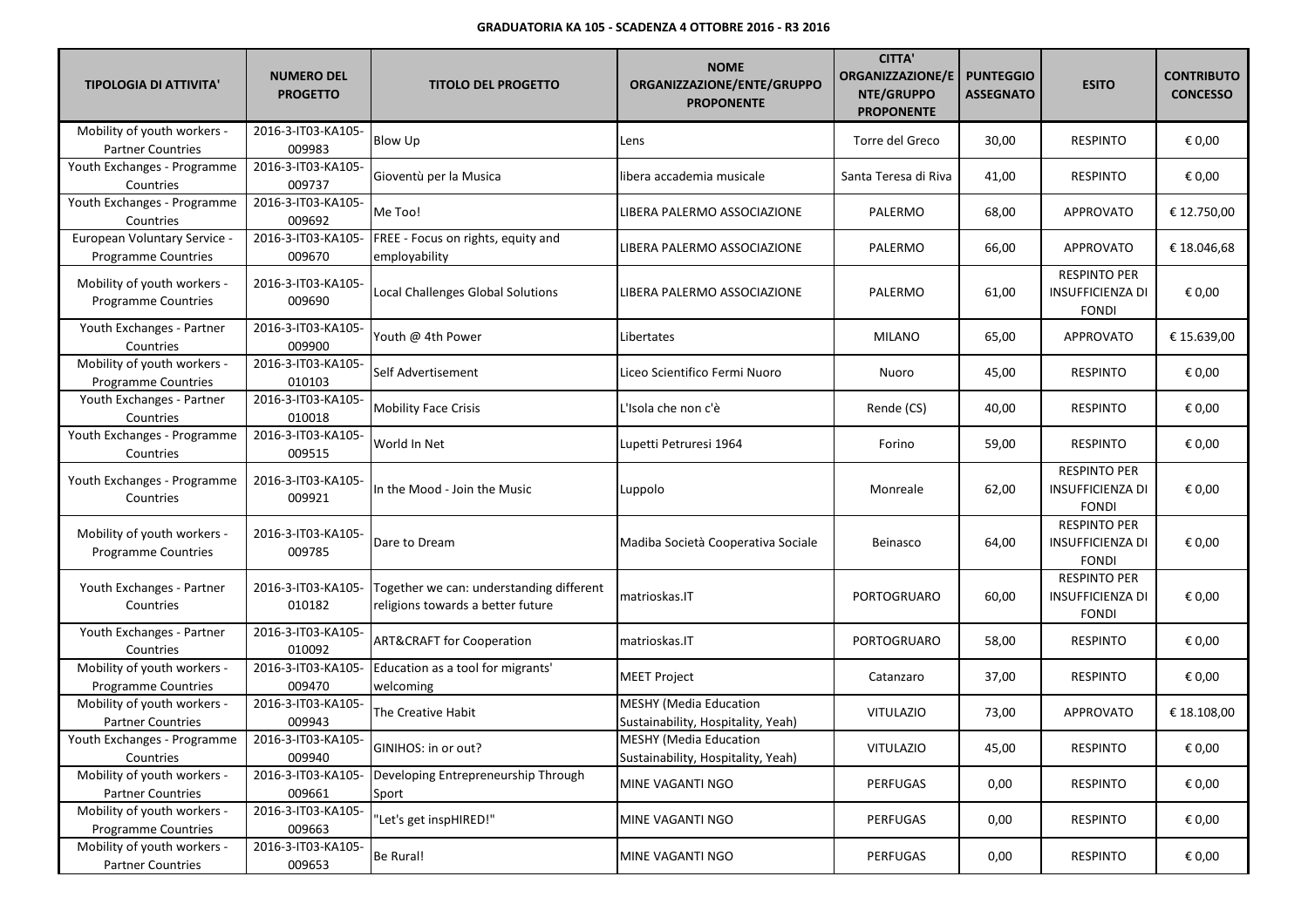| <b>TIPOLOGIA DI ATTIVITA'</b>                           | <b>NUMERO DEL</b><br><b>PROGETTO</b> | <b>TITOLO DEL PROGETTO</b>                                                    | <b>NOME</b><br>ORGANIZZAZIONE/ENTE/GRUPPO<br><b>PROPONENTE</b>      | <b>CITTA'</b><br><b>ORGANIZZAZIONE/E</b><br>NTE/GRUPPO<br><b>PROPONENTE</b> | <b>PUNTEGGIO</b><br><b>ASSEGNATO</b> | <b>ESITO</b>                                                   | <b>CONTRIBUTO</b><br><b>CONCESSO</b> |
|---------------------------------------------------------|--------------------------------------|-------------------------------------------------------------------------------|---------------------------------------------------------------------|-----------------------------------------------------------------------------|--------------------------------------|----------------------------------------------------------------|--------------------------------------|
| Mobility of youth workers -<br><b>Partner Countries</b> | 2016-3-IT03-KA105-<br>009983         | Blow Up                                                                       | Lens                                                                | Torre del Greco                                                             | 30,00                                | <b>RESPINTO</b>                                                | € 0,00                               |
| Youth Exchanges - Programme<br>Countries                | 2016-3-IT03-KA105-<br>009737         | Gioventù per la Musica                                                        | libera accademia musicale                                           | Santa Teresa di Riva                                                        | 41,00                                | <b>RESPINTO</b>                                                | € 0,00                               |
| Youth Exchanges - Programme<br>Countries                | 2016-3-IT03-KA105-<br>009692         | Me Too!                                                                       | IBERA PALERMO ASSOCIAZIONE                                          | PALERMO                                                                     | 68,00                                | APPROVATO                                                      | € 12.750,00                          |
| European Voluntary Service -<br>Programme Countries     | 2016-3-IT03-KA105-<br>009670         | FREE - Focus on rights, equity and<br>employability                           | IBERA PALERMO ASSOCIAZIONE.                                         | PALERMO                                                                     | 66,00                                | <b>APPROVATO</b>                                               | € 18.046,68                          |
| Mobility of youth workers -<br>Programme Countries      | 2016-3-IT03-KA105-<br>009690         | Local Challenges Global Solutions                                             | LIBERA PALERMO ASSOCIAZIONE                                         | PALERMO                                                                     | 61,00                                | <b>RESPINTO PER</b><br>INSUFFICIENZA DI<br><b>FONDI</b>        | € 0,00                               |
| Youth Exchanges - Partner<br>Countries                  | 2016-3-IT03-KA105-<br>009900         | Youth @ 4th Power                                                             | Libertates                                                          | MILANO                                                                      | 65,00                                | <b>APPROVATO</b>                                               | € 15.639,00                          |
| Mobility of youth workers -<br>Programme Countries      | 2016-3-IT03-KA105-<br>010103         | Self Advertisement                                                            | Liceo Scientifico Fermi Nuoro                                       | Nuoro                                                                       | 45,00                                | <b>RESPINTO</b>                                                | € 0,00                               |
| Youth Exchanges - Partner<br>Countries                  | 2016-3-IT03-KA105-<br>010018         | <b>Mobility Face Crisis</b>                                                   | L'Isola che non c'è                                                 | Rende (CS)                                                                  | 40,00                                | <b>RESPINTO</b>                                                | € 0,00                               |
| Youth Exchanges - Programme<br>Countries                | 2016-3-IT03-KA105-<br>009515         | World In Net                                                                  | Lupetti Petruresi 1964                                              | Forino                                                                      | 59,00                                | <b>RESPINTO</b>                                                | € 0,00                               |
| Youth Exchanges - Programme<br>Countries                | 2016-3-IT03-KA105-<br>009921         | In the Mood - Join the Music                                                  | Luppolo                                                             | Monreale                                                                    | 62,00                                | <b>RESPINTO PER</b><br><b>INSUFFICIENZA DI</b><br><b>FONDI</b> | € 0,00                               |
| Mobility of youth workers -<br>Programme Countries      | 2016-3-IT03-KA105-<br>009785         | Dare to Dream                                                                 | Madiba Società Cooperativa Sociale                                  | Beinasco                                                                    | 64,00                                | <b>RESPINTO PER</b><br>INSUFFICIENZA DI<br><b>FONDI</b>        | € 0,00                               |
| Youth Exchanges - Partner<br>Countries                  | 2016-3-IT03-KA105-<br>010182         | Together we can: understanding different<br>religions towards a better future | matrioskas.IT                                                       | PORTOGRUARO                                                                 | 60,00                                | <b>RESPINTO PER</b><br>INSUFFICIENZA DI<br><b>FONDI</b>        | € 0,00                               |
| Youth Exchanges - Partner<br>Countries                  | 2016-3-IT03-KA105-<br>010092         | <b>ART&amp;CRAFT for Cooperation</b>                                          | matrioskas.IT                                                       | PORTOGRUARO                                                                 | 58,00                                | <b>RESPINTO</b>                                                | € 0,00                               |
| Mobility of youth workers -<br>Programme Countries      | 2016-3-IT03-KA105-<br>009470         | Education as a tool for migrants'<br>welcoming                                | <b>MEET Project</b>                                                 | Catanzaro                                                                   | 37,00                                | <b>RESPINTO</b>                                                | € 0,00                               |
| Mobility of youth workers -<br><b>Partner Countries</b> | 2016-3-IT03-KA105-<br>009943         | The Creative Habit                                                            | <b>MESHY (Media Education</b><br>Sustainability, Hospitality, Yeah) | <b>VITULAZIO</b>                                                            | 73,00                                | <b>APPROVATO</b>                                               | € 18.108,00                          |
| Youth Exchanges - Programme<br>Countries                | 2016-3-IT03-KA105-<br>009940         | GINIHOS: in or out?                                                           | <b>MESHY</b> (Media Education<br>Sustainability, Hospitality, Yeah) | VITULAZIO                                                                   | 45,00                                | <b>RESPINTO</b>                                                | $\in$ 0,00                           |
| Mobility of youth workers -<br><b>Partner Countries</b> | 2016-3-IT03-KA105-<br>009661         | Developing Entrepreneurship Through<br>Sport                                  | MINE VAGANTI NGO                                                    | PERFUGAS                                                                    | 0,00                                 | <b>RESPINTO</b>                                                | € 0,00                               |
| Mobility of youth workers -<br>Programme Countries      | 2016-3-IT03-KA105-<br>009663         | "Let's get inspHIRED!"                                                        | MINE VAGANTI NGO                                                    | PERFUGAS                                                                    | 0,00                                 | <b>RESPINTO</b>                                                | € 0,00                               |
| Mobility of youth workers -<br><b>Partner Countries</b> | 2016-3-IT03-KA105-<br>009653         | Be Rural!                                                                     | MINE VAGANTI NGO                                                    | PERFUGAS                                                                    | 0,00                                 | RESPINTO                                                       | € 0,00                               |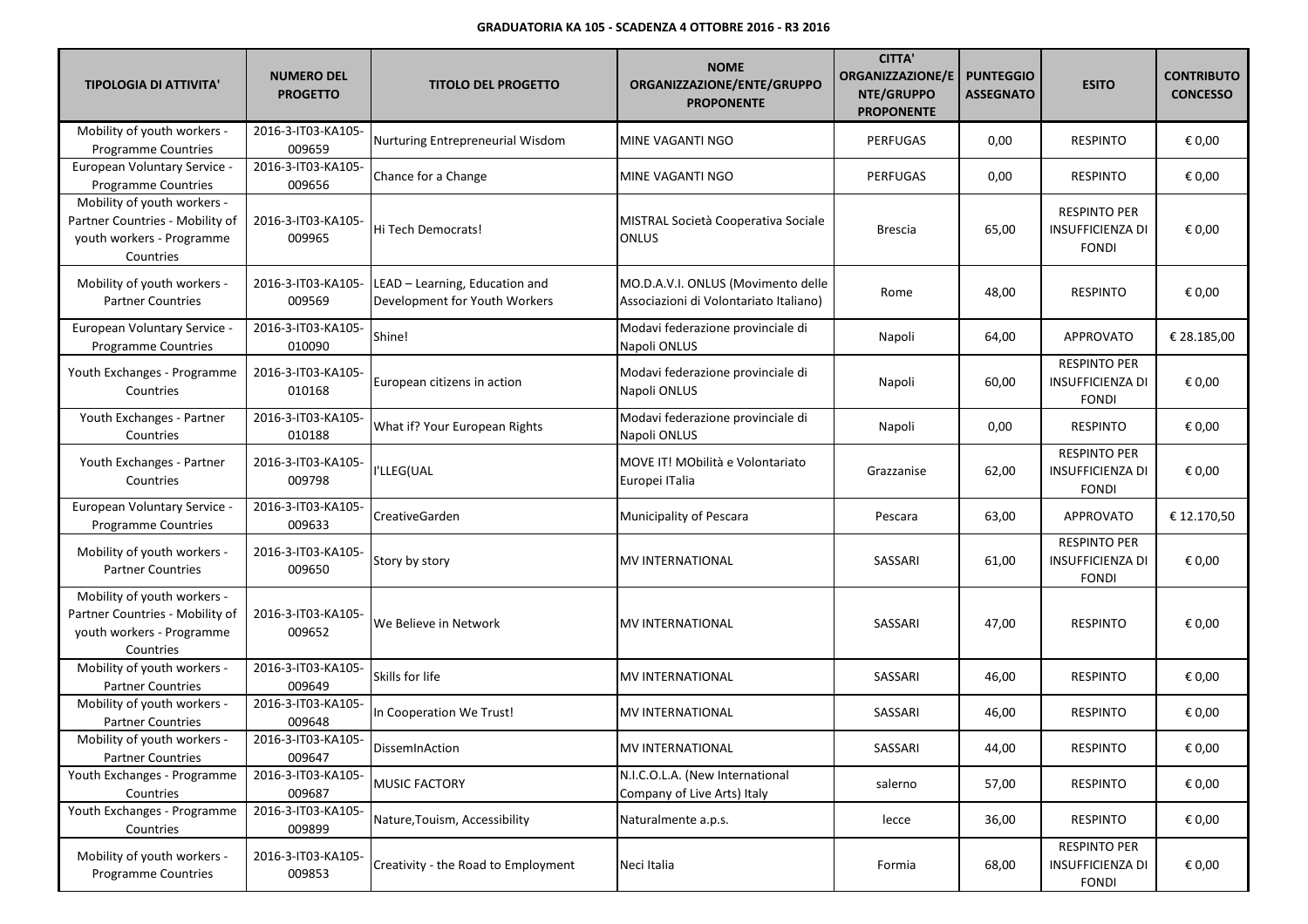| <b>TIPOLOGIA DI ATTIVITA'</b>                                                                            | <b>NUMERO DEL</b><br><b>PROGETTO</b> | <b>TITOLO DEL PROGETTO</b>                                      | <b>NOME</b><br>ORGANIZZAZIONE/ENTE/GRUPPO<br><b>PROPONENTE</b>               | <b>CITTA'</b><br><b>ORGANIZZAZIONE/E</b><br>NTE/GRUPPO<br><b>PROPONENTE</b> | <b>PUNTEGGIO</b><br><b>ASSEGNATO</b> | <b>ESITO</b>                                                   | <b>CONTRIBUTO</b><br><b>CONCESSO</b> |
|----------------------------------------------------------------------------------------------------------|--------------------------------------|-----------------------------------------------------------------|------------------------------------------------------------------------------|-----------------------------------------------------------------------------|--------------------------------------|----------------------------------------------------------------|--------------------------------------|
| Mobility of youth workers -<br>Programme Countries                                                       | 2016-3-IT03-KA105-<br>009659         | Nurturing Entrepreneurial Wisdom                                | MINE VAGANTI NGO                                                             | <b>PERFUGAS</b>                                                             | 0,00                                 | <b>RESPINTO</b>                                                | € 0,00                               |
| European Voluntary Service -<br>Programme Countries                                                      | 2016-3-IT03-KA105-<br>009656         | Chance for a Change                                             | MINE VAGANTI NGO                                                             | <b>PERFUGAS</b>                                                             | 0,00                                 | <b>RESPINTO</b>                                                | € 0,00                               |
| Mobility of youth workers -<br>Partner Countries - Mobility of<br>youth workers - Programme<br>Countries | 2016-3-IT03-KA105-<br>009965         | Hi Tech Democrats!                                              | MISTRAL Società Cooperativa Sociale<br><b>ONLUS</b>                          | <b>Brescia</b>                                                              | 65,00                                | <b>RESPINTO PER</b><br>INSUFFICIENZA DI<br><b>FONDI</b>        | € 0,00                               |
| Mobility of youth workers -<br><b>Partner Countries</b>                                                  | 2016-3-IT03-KA105-<br>009569         | LEAD - Learning, Education and<br>Development for Youth Workers | MO.D.A.V.I. ONLUS (Movimento delle<br>Associazioni di Volontariato Italiano) | Rome                                                                        | 48,00                                | <b>RESPINTO</b>                                                | € 0,00                               |
| European Voluntary Service -<br><b>Programme Countries</b>                                               | 2016-3-IT03-KA105-<br>010090         | Shine!                                                          | Modavi federazione provinciale di<br>Napoli ONLUS                            | Napoli                                                                      | 64,00                                | APPROVATO                                                      | € 28.185,00                          |
| Youth Exchanges - Programme<br>Countries                                                                 | 2016-3-IT03-KA105-<br>010168         | European citizens in action                                     | Modavi federazione provinciale di<br>Napoli ONLUS                            | Napoli                                                                      | 60,00                                | <b>RESPINTO PER</b><br>INSUFFICIENZA DI<br><b>FONDI</b>        | € 0,00                               |
| Youth Exchanges - Partner<br>Countries                                                                   | 2016-3-IT03-KA105-<br>010188         | What if? Your European Rights                                   | Modavi federazione provinciale di<br>Napoli ONLUS                            | Napoli                                                                      | 0,00                                 | <b>RESPINTO</b>                                                | € 0,00                               |
| Youth Exchanges - Partner<br>Countries                                                                   | 2016-3-IT03-KA105-<br>009798         | I'LLEG(UAL                                                      | MOVE IT! MObilità e Volontariato<br>Europei ITalia                           | Grazzanise                                                                  | 62,00                                | <b>RESPINTO PER</b><br>INSUFFICIENZA DI<br><b>FONDI</b>        | € 0,00                               |
| European Voluntary Service -<br>Programme Countries                                                      | 2016-3-IT03-KA105-<br>009633         | CreativeGarden                                                  | Municipality of Pescara                                                      | Pescara                                                                     | 63,00                                | <b>APPROVATO</b>                                               | € 12.170,50                          |
| Mobility of youth workers -<br><b>Partner Countries</b>                                                  | 2016-3-IT03-KA105-<br>009650         | Story by story                                                  | <b>MV INTERNATIONAL</b>                                                      | SASSARI                                                                     | 61,00                                | <b>RESPINTO PER</b><br>INSUFFICIENZA DI<br><b>FONDI</b>        | € 0,00                               |
| Mobility of youth workers -<br>Partner Countries - Mobility of<br>youth workers - Programme<br>Countries | 2016-3-IT03-KA105-<br>009652         | We Believe in Network                                           | MV INTERNATIONAL                                                             | SASSARI                                                                     | 47,00                                | <b>RESPINTO</b>                                                | € 0,00                               |
| Mobility of youth workers -<br><b>Partner Countries</b>                                                  | 2016-3-IT03-KA105-<br>009649         | Skills for life                                                 | <b>MV INTERNATIONAL</b>                                                      | SASSARI                                                                     | 46,00                                | <b>RESPINTO</b>                                                | € 0,00                               |
| Mobility of youth workers -<br><b>Partner Countries</b>                                                  | 2016-3-IT03-KA105-<br>009648         | In Cooperation We Trust!                                        | MV INTERNATIONAL                                                             | SASSARI                                                                     | 46,00                                | <b>RESPINTO</b>                                                | € 0,00                               |
| Mobility of youth workers -<br><b>Partner Countries</b>                                                  | 2016-3-IT03-KA105-<br>009647         | DissemInAction                                                  | MV INTERNATIONAL                                                             | SASSARI                                                                     | 44,00                                | <b>RESPINTO</b>                                                | € 0,00                               |
| Youth Exchanges - Programme<br>Countries                                                                 | 2016-3-IT03-KA105-<br>009687         | <b>MUSIC FACTORY</b>                                            | N.I.C.O.L.A. (New International<br>Company of Live Arts) Italy               | salerno                                                                     | 57,00                                | <b>RESPINTO</b>                                                | € 0,00                               |
| Youth Exchanges - Programme<br>Countries                                                                 | 2016-3-IT03-KA105-<br>009899         | Nature, Touism, Accessibility                                   | Naturalmente a.p.s.                                                          | lecce                                                                       | 36,00                                | <b>RESPINTO</b>                                                | € 0,00                               |
| Mobility of youth workers -<br><b>Programme Countries</b>                                                | 2016-3-IT03-KA105-<br>009853         | Creativity - the Road to Employment                             | Neci Italia                                                                  | Formia                                                                      | 68,00                                | <b>RESPINTO PER</b><br><b>INSUFFICIENZA DI</b><br><b>FONDI</b> | € 0,00                               |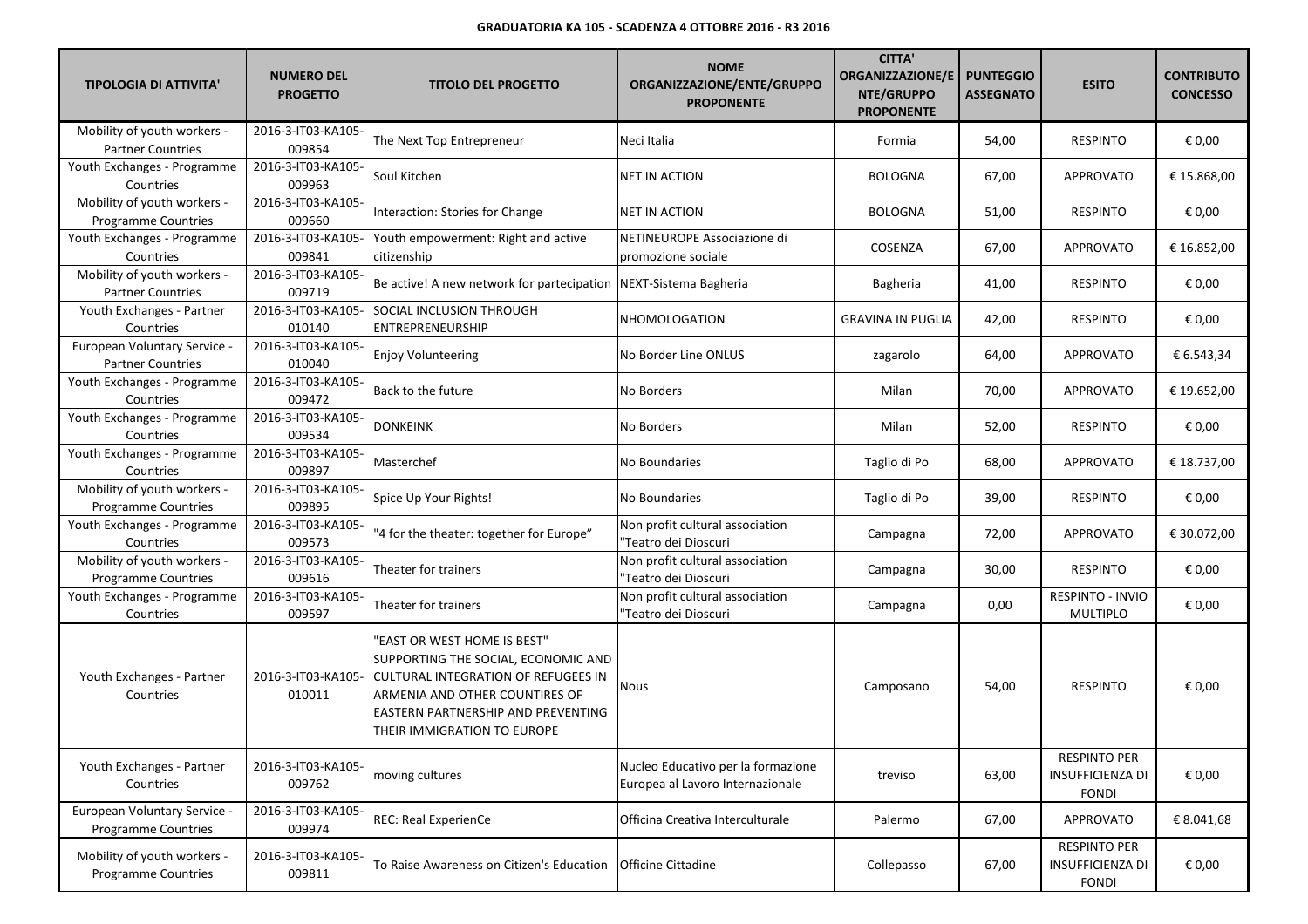| <b>TIPOLOGIA DI ATTIVITA'</b>                             | <b>NUMERO DEL</b><br><b>PROGETTO</b> | <b>TITOLO DEL PROGETTO</b>                                                                                                                                                                                              | <b>NOME</b><br>ORGANIZZAZIONE/ENTE/GRUPPO<br><b>PROPONENTE</b>         | <b>CITTA'</b><br><b>ORGANIZZAZIONE/E</b><br>NTE/GRUPPO<br><b>PROPONENTE</b> | <b>PUNTEGGIO</b><br><b>ASSEGNATO</b> | <b>ESITO</b>                                                   | <b>CONTRIBUTO</b><br><b>CONCESSO</b> |
|-----------------------------------------------------------|--------------------------------------|-------------------------------------------------------------------------------------------------------------------------------------------------------------------------------------------------------------------------|------------------------------------------------------------------------|-----------------------------------------------------------------------------|--------------------------------------|----------------------------------------------------------------|--------------------------------------|
| Mobility of youth workers -<br><b>Partner Countries</b>   | 2016-3-IT03-KA105-<br>009854         | The Next Top Entrepreneur                                                                                                                                                                                               | Neci Italia                                                            | Formia                                                                      | 54,00                                | <b>RESPINTO</b>                                                | € 0,00                               |
| Youth Exchanges - Programme<br>Countries                  | 2016-3-IT03-KA105-<br>009963         | Soul Kitchen                                                                                                                                                                                                            | NET IN ACTION                                                          | <b>BOLOGNA</b>                                                              | 67,00                                | <b>APPROVATO</b>                                               | € 15.868,00                          |
| Mobility of youth workers -<br><b>Programme Countries</b> | 2016-3-IT03-KA105-<br>009660         | Interaction: Stories for Change                                                                                                                                                                                         | NET IN ACTION                                                          | <b>BOLOGNA</b>                                                              | 51,00                                | <b>RESPINTO</b>                                                | € 0,00                               |
| Youth Exchanges - Programme<br>Countries                  | 2016-3-IT03-KA105-<br>009841         | Youth empowerment: Right and active<br>citizenship                                                                                                                                                                      | NETINEUROPE Associazione di<br>promozione sociale                      | COSENZA                                                                     | 67,00                                | <b>APPROVATO</b>                                               | € 16.852,00                          |
| Mobility of youth workers -<br><b>Partner Countries</b>   | 2016-3-IT03-KA105-<br>009719         | Be active! A new network for partecipation   NEXT-Sistema Bagheria                                                                                                                                                      |                                                                        | Bagheria                                                                    | 41,00                                | <b>RESPINTO</b>                                                | € 0,00                               |
| Youth Exchanges - Partner<br>Countries                    | 2016-3-IT03-KA105-<br>010140         | SOCIAL INCLUSION THROUGH<br>ENTREPRENEURSHIP                                                                                                                                                                            | NHOMOLOGATION                                                          | <b>GRAVINA IN PUGLIA</b>                                                    | 42,00                                | <b>RESPINTO</b>                                                | € 0,00                               |
| European Voluntary Service -<br><b>Partner Countries</b>  | 2016-3-IT03-KA105-<br>010040         | <b>Enjoy Volunteering</b>                                                                                                                                                                                               | No Border Line ONLUS                                                   | zagarolo                                                                    | 64,00                                | <b>APPROVATO</b>                                               | € 6.543,34                           |
| Youth Exchanges - Programme<br>Countries                  | 2016-3-IT03-KA105-<br>009472         | Back to the future                                                                                                                                                                                                      | No Borders                                                             | Milan                                                                       | 70,00                                | <b>APPROVATO</b>                                               | € 19.652,00                          |
| Youth Exchanges - Programme<br>Countries                  | 2016-3-IT03-KA105-<br>009534         | <b>DONKEINK</b>                                                                                                                                                                                                         | No Borders                                                             | Milan                                                                       | 52,00                                | <b>RESPINTO</b>                                                | € 0,00                               |
| Youth Exchanges - Programme<br>Countries                  | 2016-3-IT03-KA105-<br>009897         | Masterchef                                                                                                                                                                                                              | No Boundaries                                                          | Taglio di Po                                                                | 68,00                                | <b>APPROVATO</b>                                               | € 18.737,00                          |
| Mobility of youth workers -<br><b>Programme Countries</b> | 2016-3-IT03-KA105-<br>009895         | Spice Up Your Rights!                                                                                                                                                                                                   | No Boundaries                                                          | Taglio di Po                                                                | 39,00                                | <b>RESPINTO</b>                                                | € 0,00                               |
| Youth Exchanges - Programme<br>Countries                  | 2016-3-IT03-KA105-<br>009573         | "4 for the theater: together for Europe"                                                                                                                                                                                | Non profit cultural association<br>'Teatro dei Dioscuri                | Campagna                                                                    | 72,00                                | <b>APPROVATO</b>                                               | € 30.072,00                          |
| Mobility of youth workers -<br><b>Programme Countries</b> | 2016-3-IT03-KA105-<br>009616         | Theater for trainers                                                                                                                                                                                                    | Non profit cultural association<br>"Teatro dei Dioscuri                | Campagna                                                                    | 30,00                                | <b>RESPINTO</b>                                                | € 0,00                               |
| Youth Exchanges - Programme<br>Countries                  | 2016-3-IT03-KA105-<br>009597         | Theater for trainers                                                                                                                                                                                                    | Non profit cultural association<br>"Teatro dei Dioscuri                | Campagna                                                                    | 0,00                                 | RESPINTO - INVIO<br><b>MULTIPLO</b>                            | € 0,00                               |
| Youth Exchanges - Partner<br>Countries                    | 2016-3-IT03-KA105-<br>010011         | 'EAST OR WEST HOME IS BEST"<br>SUPPORTING THE SOCIAL, ECONOMIC AND<br><b>CULTURAL INTEGRATION OF REFUGEES IN</b><br>ARMENIA AND OTHER COUNTIRES OF<br>EASTERN PARTNERSHIP AND PREVENTING<br>THEIR IMMIGRATION TO EUROPE | Nous                                                                   | Camposano                                                                   | 54,00                                | <b>RESPINTO</b>                                                | € 0,00                               |
| Youth Exchanges - Partner<br>Countries                    | 2016-3-IT03-KA105-<br>009762         | moving cultures                                                                                                                                                                                                         | Nucleo Educativo per la formazione<br>Europea al Lavoro Internazionale | treviso                                                                     | 63,00                                | <b>RESPINTO PER</b><br><b>INSUFFICIENZA DI</b><br><b>FONDI</b> | € 0,00                               |
| European Voluntary Service -<br>Programme Countries       | 2016-3-IT03-KA105-<br>009974         | REC: Real ExperienCe                                                                                                                                                                                                    | Officina Creativa Interculturale                                       | Palermo                                                                     | 67,00                                | <b>APPROVATO</b>                                               | € 8.041,68                           |
| Mobility of youth workers -<br>Programme Countries        | 2016-3-IT03-KA105-<br>009811         | To Raise Awareness on Citizen's Education                                                                                                                                                                               | Officine Cittadine                                                     | Collepasso                                                                  | 67,00                                | <b>RESPINTO PER</b><br><b>INSUFFICIENZA DI</b><br>FONDI        | € 0,00                               |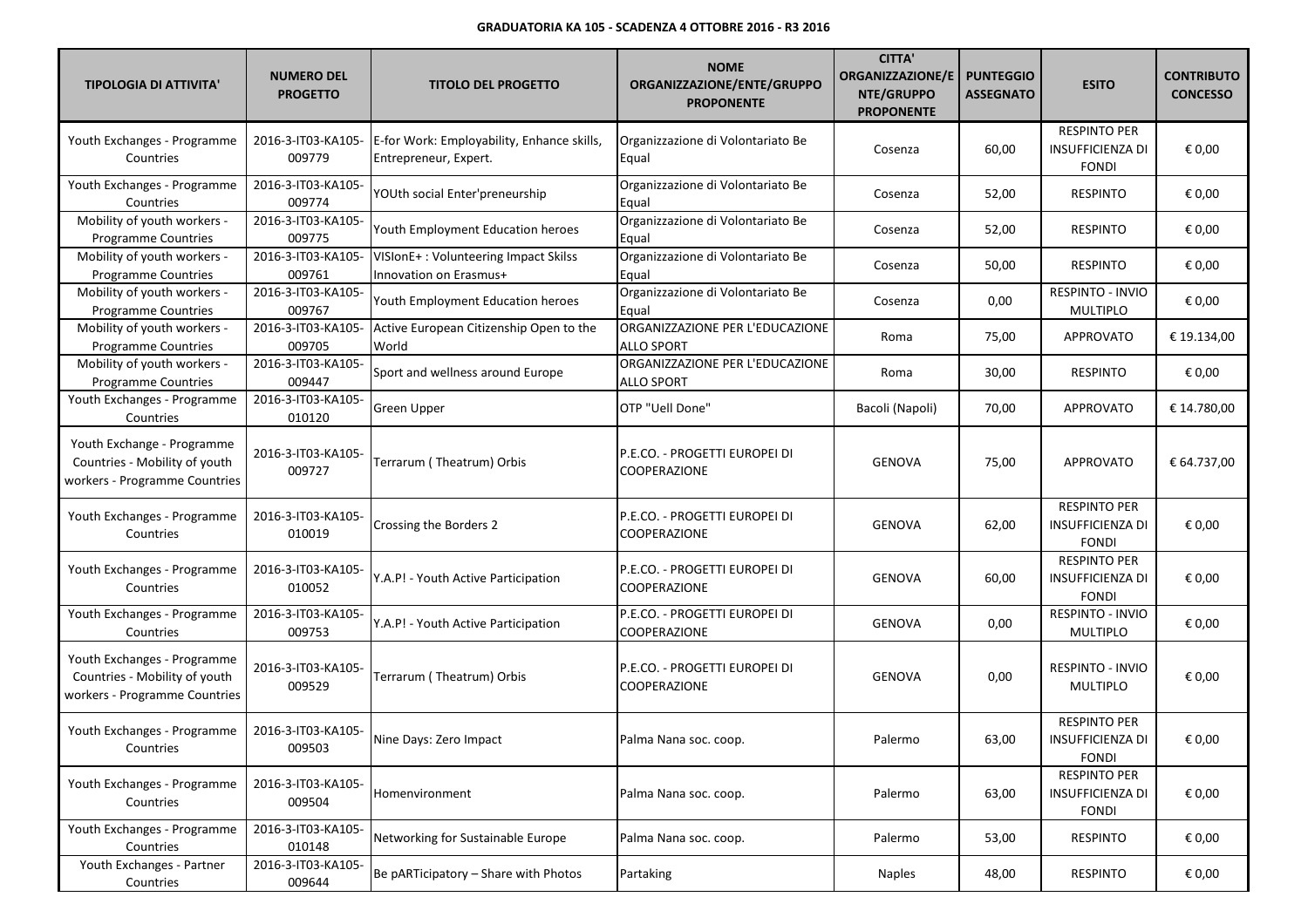| <b>TIPOLOGIA DI ATTIVITA'</b>                                                                 | <b>NUMERO DEL</b><br><b>PROGETTO</b> | <b>TITOLO DEL PROGETTO</b>                                          | <b>NOME</b><br>ORGANIZZAZIONE/ENTE/GRUPPO<br><b>PROPONENTE</b> | <b>CITTA'</b><br><b>ORGANIZZAZIONE/E</b><br>NTE/GRUPPO<br><b>PROPONENTE</b> | <b>PUNTEGGIO</b><br><b>ASSEGNATO</b> | <b>ESITO</b>                                                   | <b>CONTRIBUTO</b><br><b>CONCESSO</b> |
|-----------------------------------------------------------------------------------------------|--------------------------------------|---------------------------------------------------------------------|----------------------------------------------------------------|-----------------------------------------------------------------------------|--------------------------------------|----------------------------------------------------------------|--------------------------------------|
| Youth Exchanges - Programme<br>Countries                                                      | 2016-3-IT03-KA105-<br>009779         | E-for Work: Employability, Enhance skills,<br>Entrepreneur, Expert. | Organizzazione di Volontariato Be<br>Equal                     | Cosenza                                                                     | 60,00                                | <b>RESPINTO PER</b><br><b>INSUFFICIENZA DI</b><br><b>FONDI</b> | € 0,00                               |
| Youth Exchanges - Programme<br>Countries                                                      | 2016-3-IT03-KA105-<br>009774         | YOUth social Enter'preneurship                                      | Organizzazione di Volontariato Be<br>Equal                     | Cosenza                                                                     | 52,00                                | <b>RESPINTO</b>                                                | € 0,00                               |
| Mobility of youth workers -<br><b>Programme Countries</b>                                     | 2016-3-IT03-KA105-<br>009775         | Youth Employment Education heroes                                   | Organizzazione di Volontariato Be<br>Equal                     | Cosenza                                                                     | 52,00                                | <b>RESPINTO</b>                                                | € 0,00                               |
| Mobility of youth workers -<br><b>Programme Countries</b>                                     | 2016-3-IT03-KA105-<br>009761         | VISIonE+: Volunteering Impact Skilss<br>Innovation on Erasmus+      | Organizzazione di Volontariato Be<br>Equal                     | Cosenza                                                                     | 50,00                                | <b>RESPINTO</b>                                                | € 0,00                               |
| Mobility of youth workers -<br>Programme Countries                                            | 2016-3-IT03-KA105-<br>009767         | Youth Employment Education heroes                                   | Organizzazione di Volontariato Be<br>Equal                     | Cosenza                                                                     | 0,00                                 | RESPINTO - INVIO<br><b>MULTIPLO</b>                            | € 0,00                               |
| Mobility of youth workers -<br><b>Programme Countries</b>                                     | 2016-3-IT03-KA105-<br>009705         | Active European Citizenship Open to the<br>World                    | ORGANIZZAZIONE PER L'EDUCAZIONE<br><b>ALLO SPORT</b>           | Roma                                                                        | 75,00                                | <b>APPROVATO</b>                                               | € 19.134,00                          |
| Mobility of youth workers -<br>Programme Countries                                            | 2016-3-IT03-KA105-<br>009447         | Sport and wellness around Europe                                    | ORGANIZZAZIONE PER L'EDUCAZIONE<br><b>ALLO SPORT</b>           | Roma                                                                        | 30,00                                | <b>RESPINTO</b>                                                | € 0,00                               |
| Youth Exchanges - Programme<br>Countries                                                      | 2016-3-IT03-KA105-<br>010120         | Green Upper                                                         | OTP "Uell Done"                                                | Bacoli (Napoli)                                                             | 70,00                                | <b>APPROVATO</b>                                               | € 14.780,00                          |
| Youth Exchange - Programme<br>Countries - Mobility of youth<br>workers - Programme Countries  | 2016-3-IT03-KA105-<br>009727         | Terrarum (Theatrum) Orbis                                           | P.E.CO. - PROGETTI EUROPEI DI<br>COOPERAZIONE                  | <b>GENOVA</b>                                                               | 75,00                                | <b>APPROVATO</b>                                               | € 64.737,00                          |
| Youth Exchanges - Programme<br>Countries                                                      | 2016-3-IT03-KA105-<br>010019         | Crossing the Borders 2                                              | P.E.CO. - PROGETTI EUROPEI DI<br>COOPERAZIONE                  | <b>GENOVA</b>                                                               | 62,00                                | <b>RESPINTO PER</b><br><b>INSUFFICIENZA DI</b><br><b>FONDI</b> | € 0,00                               |
| Youth Exchanges - Programme<br>Countries                                                      | 2016-3-IT03-KA105-<br>010052         | Y.A.P! - Youth Active Participation                                 | P.E.CO. - PROGETTI EUROPEI DI<br><b>COOPERAZIONE</b>           | <b>GENOVA</b>                                                               | 60,00                                | <b>RESPINTO PER</b><br><b>INSUFFICIENZA DI</b><br><b>FONDI</b> | € 0,00                               |
| Youth Exchanges - Programme<br>Countries                                                      | 2016-3-IT03-KA105-<br>009753         | Y.A.P! - Youth Active Participation                                 | P.E.CO. - PROGETTI EUROPEI DI<br>COOPERAZIONE                  | <b>GENOVA</b>                                                               | 0,00                                 | RESPINTO - INVIO<br>MULTIPLO                                   | € 0,00                               |
| Youth Exchanges - Programme<br>Countries - Mobility of youth<br>workers - Programme Countries | 2016-3-IT03-KA105-<br>009529         | Terrarum (Theatrum) Orbis                                           | P.E.CO. - PROGETTI EUROPEI DI<br><b>COOPERAZIONE</b>           | <b>GENOVA</b>                                                               | 0,00                                 | <b>RESPINTO - INVIO</b><br><b>MULTIPLO</b>                     | € 0,00                               |
| Youth Exchanges - Programme<br>Countries                                                      | 2016-3-IT03-KA105-<br>009503         | Nine Days: Zero Impact                                              | Palma Nana soc. coop.                                          | Palermo                                                                     | 63,00                                | <b>RESPINTO PER</b><br><b>INSUFFICIENZA DI</b><br><b>FONDI</b> | € 0,00                               |
| Youth Exchanges - Programme<br>Countries                                                      | 2016-3-IT03-KA105-<br>009504         | Homenvironment                                                      | Palma Nana soc. coop.                                          | Palermo                                                                     | 63,00                                | <b>RESPINTO PER</b><br><b>INSUFFICIENZA DI</b><br><b>FONDI</b> | € 0,00                               |
| Youth Exchanges - Programme<br>Countries                                                      | 2016-3-IT03-KA105-<br>010148         | Networking for Sustainable Europe                                   | Palma Nana soc. coop.                                          | Palermo                                                                     | 53,00                                | <b>RESPINTO</b>                                                | € 0,00                               |
| Youth Exchanges - Partner<br>Countries                                                        | 2016-3-IT03-KA105-<br>009644         | Be pARTicipatory - Share with Photos                                | Partaking                                                      | <b>Naples</b>                                                               | 48,00                                | RESPINTO                                                       | € 0,00                               |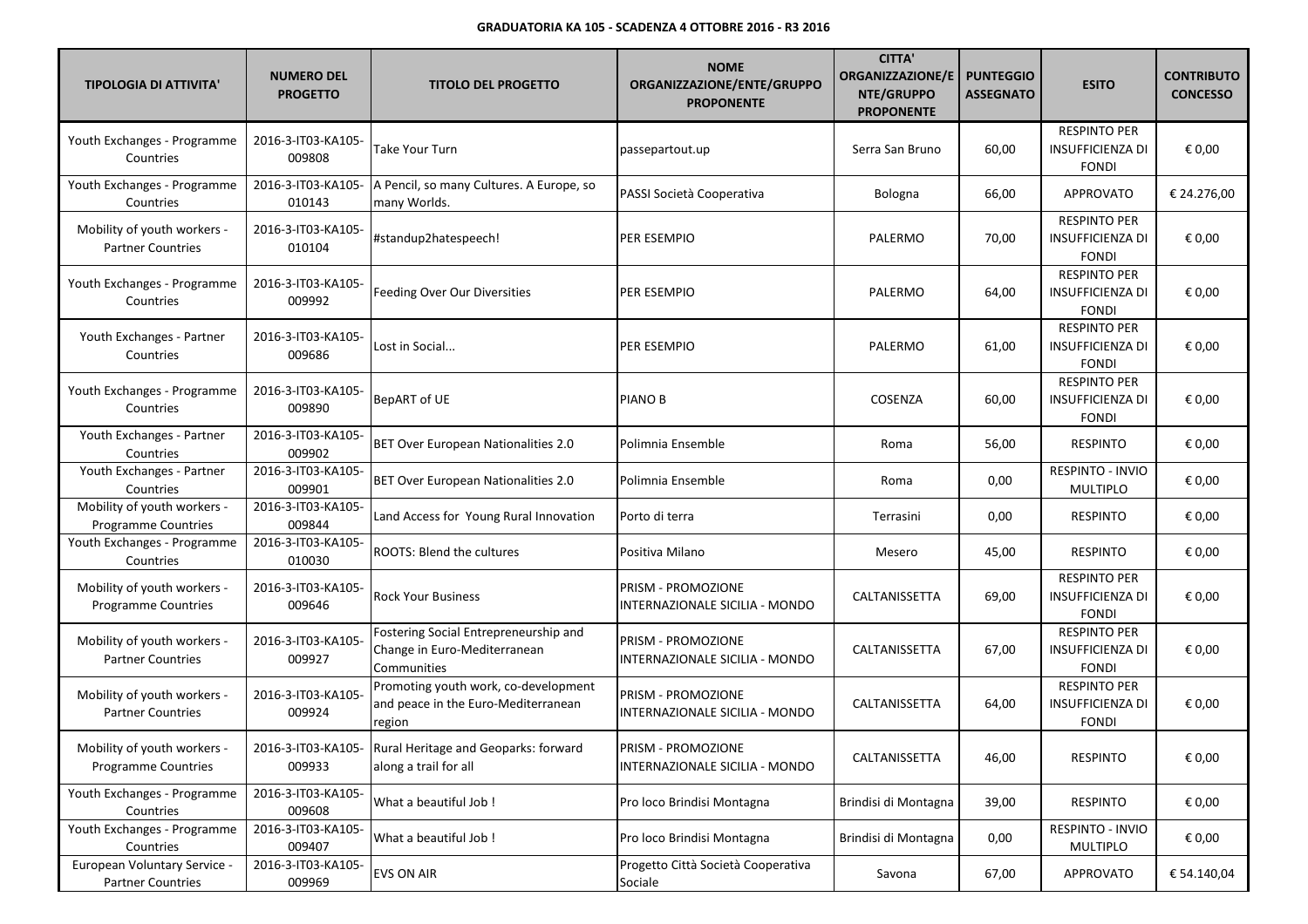| <b>TIPOLOGIA DI ATTIVITA'</b>                             | <b>NUMERO DEL</b><br><b>PROGETTO</b> | <b>TITOLO DEL PROGETTO</b>                                                            | <b>NOME</b><br>ORGANIZZAZIONE/ENTE/GRUPPO<br><b>PROPONENTE</b> | <b>CITTA'</b><br><b>ORGANIZZAZIONE/E</b><br>NTE/GRUPPO<br><b>PROPONENTE</b> | <b>PUNTEGGIO</b><br><b>ASSEGNATO</b> | <b>ESITO</b>                                                   | <b>CONTRIBUTO</b><br><b>CONCESSO</b> |
|-----------------------------------------------------------|--------------------------------------|---------------------------------------------------------------------------------------|----------------------------------------------------------------|-----------------------------------------------------------------------------|--------------------------------------|----------------------------------------------------------------|--------------------------------------|
| Youth Exchanges - Programme<br>Countries                  | 2016-3-IT03-KA105-<br>009808         | <b>Take Your Turn</b>                                                                 | passepartout.up                                                | Serra San Bruno                                                             | 60,00                                | <b>RESPINTO PER</b><br>INSUFFICIENZA DI<br><b>FONDI</b>        | € 0,00                               |
| Youth Exchanges - Programme<br>Countries                  | 2016-3-IT03-KA105-<br>010143         | A Pencil, so many Cultures. A Europe, so<br>many Worlds.                              | PASSI Società Cooperativa                                      | Bologna                                                                     | 66,00                                | APPROVATO                                                      | € 24.276,00                          |
| Mobility of youth workers -<br><b>Partner Countries</b>   | 2016-3-IT03-KA105-<br>010104         | #standup2hatespeech!                                                                  | PER ESEMPIO                                                    | PALERMO                                                                     | 70,00                                | <b>RESPINTO PER</b><br>INSUFFICIENZA DI<br><b>FONDI</b>        | € 0,00                               |
| Youth Exchanges - Programme<br>Countries                  | 2016-3-IT03-KA105-<br>009992         | Feeding Over Our Diversities                                                          | PER ESEMPIO                                                    | PALERMO                                                                     | 64,00                                | <b>RESPINTO PER</b><br>INSUFFICIENZA DI<br><b>FONDI</b>        | € 0,00                               |
| Youth Exchanges - Partner<br>Countries                    | 2016-3-IT03-KA105-<br>009686         | Lost in Social                                                                        | PER ESEMPIO                                                    | PALERMO                                                                     | 61,00                                | <b>RESPINTO PER</b><br><b>INSUFFICIENZA DI</b><br><b>FONDI</b> | € 0,00                               |
| Youth Exchanges - Programme<br>Countries                  | 2016-3-IT03-KA105-<br>009890         | <b>BepART of UE</b>                                                                   | PIANO B                                                        | COSENZA                                                                     | 60,00                                | <b>RESPINTO PER</b><br><b>INSUFFICIENZA DI</b><br><b>FONDI</b> | € 0,00                               |
| Youth Exchanges - Partner<br>Countries                    | 2016-3-IT03-KA105-<br>009902         | BET Over European Nationalities 2.0                                                   | Polimnia Ensemble                                              | Roma                                                                        | 56,00                                | <b>RESPINTO</b>                                                | € 0,00                               |
| Youth Exchanges - Partner<br>Countries                    | 2016-3-IT03-KA105-<br>009901         | BET Over European Nationalities 2.0                                                   | Polimnia Ensemble                                              | Roma                                                                        | 0,00                                 | RESPINTO - INVIO<br><b>MULTIPLO</b>                            | € 0,00                               |
| Mobility of youth workers -<br>Programme Countries        | 2016-3-IT03-KA105-<br>009844         | Land Access for Young Rural Innovation                                                | Porto di terra                                                 | Terrasini                                                                   | 0,00                                 | <b>RESPINTO</b>                                                | € 0,00                               |
| Youth Exchanges - Programme<br>Countries                  | 2016-3-IT03-KA105-<br>010030         | ROOTS: Blend the cultures                                                             | Positiva Milano                                                | Mesero                                                                      | 45,00                                | <b>RESPINTO</b>                                                | € 0,00                               |
| Mobility of youth workers -<br><b>Programme Countries</b> | 2016-3-IT03-KA105-<br>009646         | <b>Rock Your Business</b>                                                             | PRISM - PROMOZIONE<br>INTERNAZIONALE SICILIA - MONDO           | CALTANISSETTA                                                               | 69,00                                | <b>RESPINTO PER</b><br>INSUFFICIENZA DI<br><b>FONDI</b>        | € 0,00                               |
| Mobility of youth workers -<br><b>Partner Countries</b>   | 2016-3-IT03-KA105-<br>009927         | Fostering Social Entrepreneurship and<br>Change in Euro-Mediterranean<br>Communities  | PRISM - PROMOZIONE<br>INTERNAZIONALE SICILIA - MONDO           | CALTANISSETTA                                                               | 67,00                                | <b>RESPINTO PER</b><br>INSUFFICIENZA DI<br><b>FONDI</b>        | € 0,00                               |
| Mobility of youth workers -<br><b>Partner Countries</b>   | 2016-3-IT03-KA105-<br>009924         | Promoting youth work, co-development<br>and peace in the Euro-Mediterranean<br>region | PRISM - PROMOZIONE<br>INTERNAZIONALE SICILIA - MONDO           | CALTANISSETTA                                                               | 64,00                                | <b>RESPINTO PER</b><br><b>INSUFFICIENZA DI</b><br><b>FONDI</b> | € 0,00                               |
| Mobility of youth workers -<br><b>Programme Countries</b> | 009933                               | 2016-3-IT03-KA105- Rural Heritage and Geoparks: forward<br>along a trail for all      | PRISM - PROMOZIONE<br>INTERNAZIONALE SICILIA - MONDO           | CALTANISSETTA                                                               | 46,00                                | <b>RESPINTO</b>                                                | € 0,00                               |
| Youth Exchanges - Programme<br>Countries                  | 2016-3-IT03-KA105-<br>009608         | What a beautiful Job!                                                                 | Pro loco Brindisi Montagna                                     | Brindisi di Montagna                                                        | 39,00                                | RESPINTO                                                       | € 0,00                               |
| Youth Exchanges - Programme<br>Countries                  | 2016-3-IT03-KA105-<br>009407         | What a beautiful Job!                                                                 | Pro loco Brindisi Montagna                                     | Brindisi di Montagna                                                        | 0,00                                 | RESPINTO - INVIO<br>MULTIPLO                                   | € 0,00                               |
| European Voluntary Service -<br><b>Partner Countries</b>  | 2016-3-IT03-KA105-<br>009969         | EVS ON AIR                                                                            | Progetto Città Società Cooperativa<br>Sociale                  | Savona                                                                      | 67,00                                | <b>APPROVATO</b>                                               | € 54.140,04                          |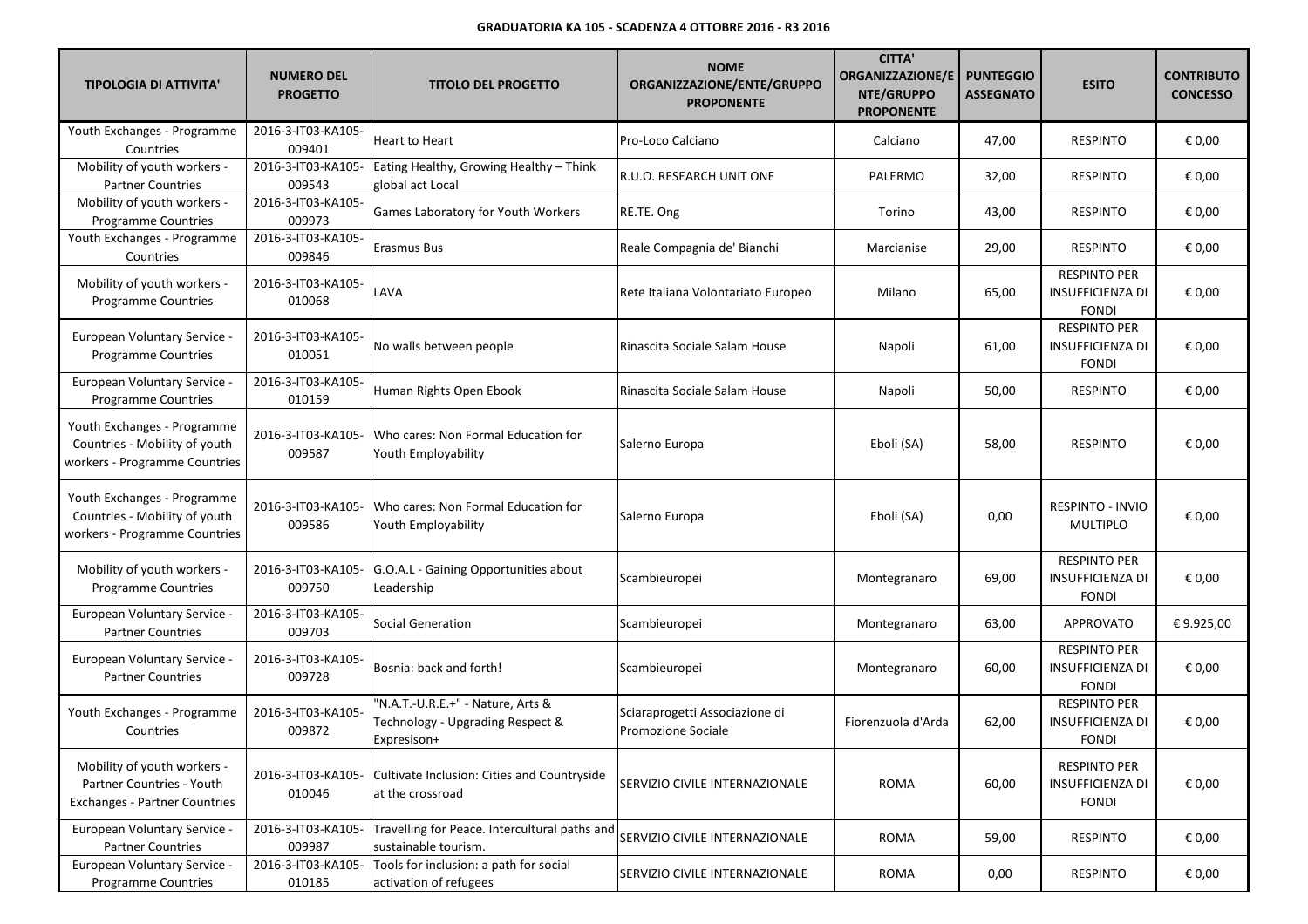| <b>TIPOLOGIA DI ATTIVITA'</b>                                                                    | <b>NUMERO DEL</b><br><b>PROGETTO</b> | <b>TITOLO DEL PROGETTO</b>                                                           | <b>NOME</b><br>ORGANIZZAZIONE/ENTE/GRUPPO<br><b>PROPONENTE</b> | <b>CITTA'</b><br><b>ORGANIZZAZIONE/E</b><br>NTE/GRUPPO<br><b>PROPONENTE</b> | <b>PUNTEGGIO</b><br><b>ASSEGNATO</b> | <b>ESITO</b>                                                   | <b>CONTRIBUTO</b><br><b>CONCESSO</b> |
|--------------------------------------------------------------------------------------------------|--------------------------------------|--------------------------------------------------------------------------------------|----------------------------------------------------------------|-----------------------------------------------------------------------------|--------------------------------------|----------------------------------------------------------------|--------------------------------------|
| Youth Exchanges - Programme<br>Countries                                                         | 2016-3-IT03-KA105-<br>009401         | <b>Heart to Heart</b>                                                                | Pro-Loco Calciano                                              | Calciano                                                                    | 47,00                                | <b>RESPINTO</b>                                                | € 0,00                               |
| Mobility of youth workers -<br><b>Partner Countries</b>                                          | 2016-3-IT03-KA105-<br>009543         | Eating Healthy, Growing Healthy - Think<br>global act Local                          | R.U.O. RESEARCH UNIT ONE                                       | PALERMO                                                                     | 32,00                                | <b>RESPINTO</b>                                                | € 0,00                               |
| Mobility of youth workers -<br>Programme Countries                                               | 2016-3-IT03-KA105-<br>009973         | Games Laboratory for Youth Workers                                                   | RE.TE. Ong                                                     | Torino                                                                      | 43,00                                | <b>RESPINTO</b>                                                | € 0,00                               |
| Youth Exchanges - Programme<br>Countries                                                         | 2016-3-IT03-KA105-<br>009846         | Erasmus Bus                                                                          | Reale Compagnia de' Bianchi                                    | Marcianise                                                                  | 29,00                                | <b>RESPINTO</b>                                                | € 0,00                               |
| Mobility of youth workers -<br>Programme Countries                                               | 2016-3-IT03-KA105-<br>010068         | LAVA                                                                                 | Rete Italiana Volontariato Europeo                             | Milano                                                                      | 65,00                                | <b>RESPINTO PER</b><br>INSUFFICIENZA DI<br><b>FONDI</b>        | € 0,00                               |
| European Voluntary Service -<br><b>Programme Countries</b>                                       | 2016-3-IT03-KA105-<br>010051         | No walls between people                                                              | Rinascita Sociale Salam House                                  | Napoli                                                                      | 61,00                                | <b>RESPINTO PER</b><br>INSUFFICIENZA DI<br><b>FONDI</b>        | € 0,00                               |
| European Voluntary Service -<br><b>Programme Countries</b>                                       | 2016-3-IT03-KA105-<br>010159         | Human Rights Open Ebook                                                              | Rinascita Sociale Salam House                                  | Napoli                                                                      | 50,00                                | <b>RESPINTO</b>                                                | € 0,00                               |
| Youth Exchanges - Programme<br>Countries - Mobility of youth<br>workers - Programme Countries    | 2016-3-IT03-KA105-<br>009587         | Who cares: Non Formal Education for<br>Youth Employability                           | Salerno Europa                                                 | Eboli (SA)                                                                  | 58,00                                | <b>RESPINTO</b>                                                | € 0,00                               |
| Youth Exchanges - Programme<br>Countries - Mobility of youth<br>workers - Programme Countries    | 2016-3-IT03-KA105-<br>009586         | Who cares: Non Formal Education for<br>Youth Employability                           | Salerno Europa                                                 | Eboli (SA)                                                                  | 0,00                                 | RESPINTO - INVIO<br>MULTIPLO                                   | € 0,00                               |
| Mobility of youth workers -<br><b>Programme Countries</b>                                        | 2016-3-IT03-KA105-<br>009750         | G.O.A.L - Gaining Opportunities about<br>Leadership                                  | Scambieuropei                                                  | Montegranaro                                                                | 69,00                                | <b>RESPINTO PER</b><br>INSUFFICIENZA DI<br><b>FONDI</b>        | € 0,00                               |
| European Voluntary Service -<br><b>Partner Countries</b>                                         | 2016-3-IT03-KA105-<br>009703         | Social Generation                                                                    | Scambieuropei                                                  | Montegranaro                                                                | 63,00                                | <b>APPROVATO</b>                                               | €9.925,00                            |
| European Voluntary Service -<br><b>Partner Countries</b>                                         | 2016-3-IT03-KA105-<br>009728         | Bosnia: back and forth!                                                              | Scambieuropei                                                  | Montegranaro                                                                | 60,00                                | <b>RESPINTO PER</b><br>INSUFFICIENZA DI<br><b>FONDI</b>        | € 0,00                               |
| Youth Exchanges - Programme<br>Countries                                                         | 2016-3-IT03-KA105-<br>009872         | "N.A.T.-U.R.E.+" - Nature, Arts &<br>Technology - Upgrading Respect &<br>Expresison+ | Sciaraprogetti Associazione di<br>Promozione Sociale           | Fiorenzuola d'Arda                                                          | 62,00                                | <b>RESPINTO PER</b><br><b>INSUFFICIENZA DI</b><br><b>FONDI</b> | € 0,00                               |
| Mobility of youth workers -<br>Partner Countries - Youth<br><b>Exchanges - Partner Countries</b> | 2016-3-IT03-KA105-<br>010046         | Cultivate Inclusion: Cities and Countryside<br>at the crossroad                      | SERVIZIO CIVILE INTERNAZIONALE                                 | <b>ROMA</b>                                                                 | 60,00                                | <b>RESPINTO PER</b><br><b>INSUFFICIENZA DI</b><br><b>FONDI</b> | € 0,00                               |
| European Voluntary Service -<br><b>Partner Countries</b>                                         | 2016-3-IT03-KA105-<br>009987         | Travelling for Peace. Intercultural paths and<br>sustainable tourism.                | <b>SERVIZIO CIVILE INTERNAZIONALE</b>                          | <b>ROMA</b>                                                                 | 59,00                                | <b>RESPINTO</b>                                                | € 0,00                               |
| European Voluntary Service -<br>Programme Countries                                              | 2016-3-IT03-KA105-<br>010185         | Tools for inclusion: a path for social<br>activation of refugees                     | <b>SERVIZIO CIVILE INTERNAZIONALE</b>                          | <b>ROMA</b>                                                                 | 0,00                                 | <b>RESPINTO</b>                                                | € 0,00                               |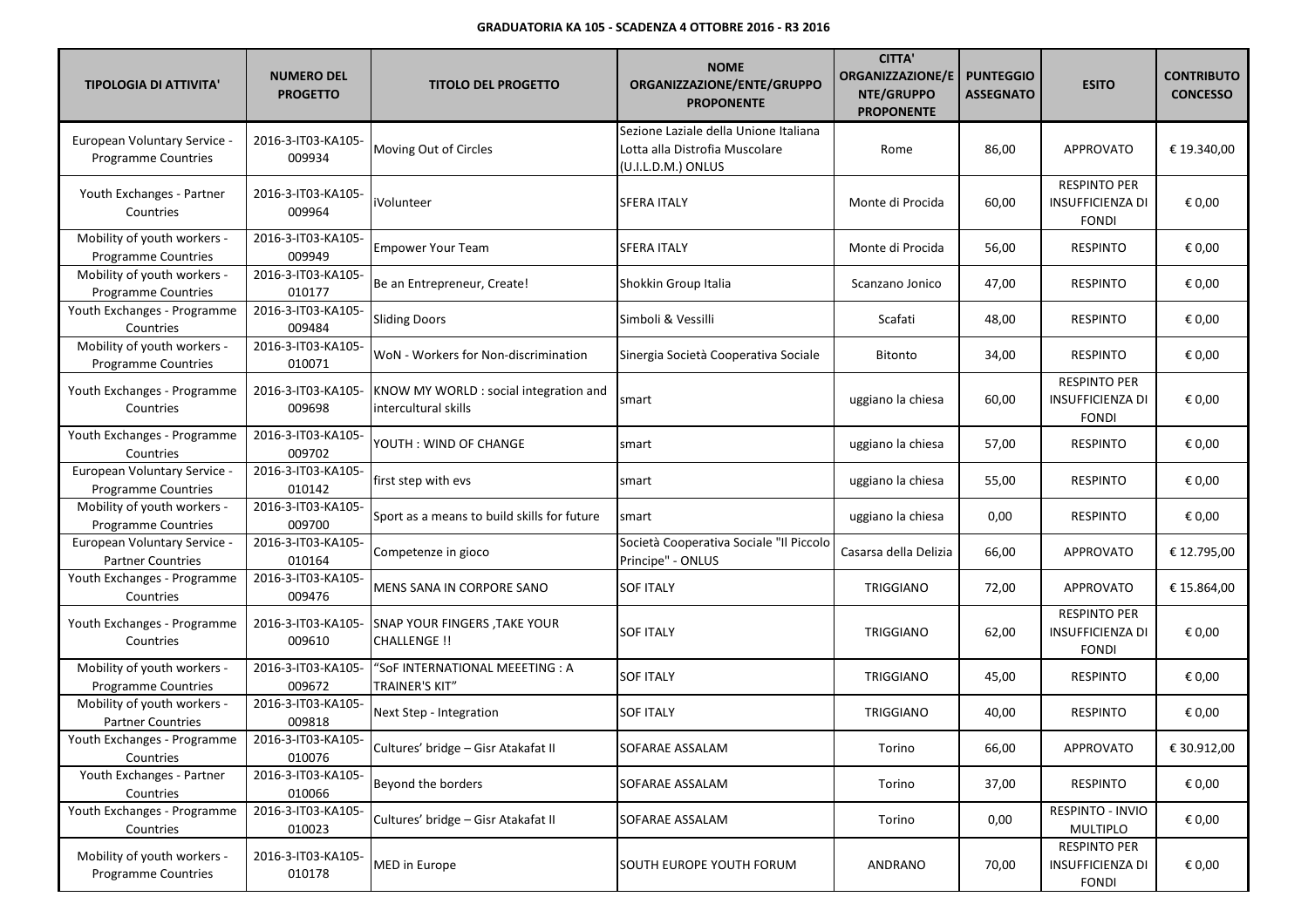| <b>TIPOLOGIA DI ATTIVITA'</b>                              | <b>NUMERO DEL</b><br><b>PROGETTO</b> | <b>TITOLO DEL PROGETTO</b>                                     | <b>NOME</b><br>ORGANIZZAZIONE/ENTE/GRUPPO<br><b>PROPONENTE</b>                                | <b>CITTA'</b><br><b>ORGANIZZAZIONE/E</b><br>NTE/GRUPPO<br><b>PROPONENTE</b> | <b>PUNTEGGIO</b><br><b>ASSEGNATO</b> | <b>ESITO</b>                                                   | <b>CONTRIBUTO</b><br><b>CONCESSO</b> |
|------------------------------------------------------------|--------------------------------------|----------------------------------------------------------------|-----------------------------------------------------------------------------------------------|-----------------------------------------------------------------------------|--------------------------------------|----------------------------------------------------------------|--------------------------------------|
| <b>European Voluntary Service -</b><br>Programme Countries | 2016-3-IT03-KA105-<br>009934         | Moving Out of Circles                                          | Sezione Laziale della Unione Italiana<br>Lotta alla Distrofia Muscolare<br>(U.I.L.D.M.) ONLUS | Rome                                                                        | 86,00                                | <b>APPROVATO</b>                                               | € 19.340,00                          |
| Youth Exchanges - Partner<br>Countries                     | 2016-3-IT03-KA105-<br>009964         | iVolunteer                                                     | <b>SFERA ITALY</b>                                                                            | Monte di Procida                                                            | 60,00                                | <b>RESPINTO PER</b><br>INSUFFICIENZA DI<br><b>FONDI</b>        | € 0,00                               |
| Mobility of youth workers -<br><b>Programme Countries</b>  | 2016-3-IT03-KA105-<br>009949         | <b>Empower Your Team</b>                                       | SFERA ITALY                                                                                   | Monte di Procida                                                            | 56,00                                | <b>RESPINTO</b>                                                | € 0,00                               |
| Mobility of youth workers -<br><b>Programme Countries</b>  | 2016-3-IT03-KA105-<br>010177         | Be an Entrepreneur, Create!                                    | Shokkin Group Italia                                                                          | Scanzano Jonico                                                             | 47,00                                | <b>RESPINTO</b>                                                | € 0,00                               |
| Youth Exchanges - Programme<br>Countries                   | 2016-3-IT03-KA105-<br>009484         | <b>Sliding Doors</b>                                           | Simboli & Vessilli                                                                            | Scafati                                                                     | 48,00                                | <b>RESPINTO</b>                                                | € 0,00                               |
| Mobility of youth workers -<br>Programme Countries         | 2016-3-IT03-KA105-<br>010071         | WoN - Workers for Non-discrimination                           | Sinergia Società Cooperativa Sociale                                                          | Bitonto                                                                     | 34,00                                | <b>RESPINTO</b>                                                | € 0,00                               |
| Youth Exchanges - Programme<br>Countries                   | 2016-3-IT03-KA105-<br>009698         | KNOW MY WORLD : social integration and<br>intercultural skills | smart                                                                                         | uggiano la chiesa                                                           | 60,00                                | <b>RESPINTO PER</b><br>INSUFFICIENZA DI<br><b>FONDI</b>        | € 0,00                               |
| Youth Exchanges - Programme<br>Countries                   | 2016-3-IT03-KA105-<br>009702         | YOUTH : WIND OF CHANGE                                         | smart                                                                                         | uggiano la chiesa                                                           | 57,00                                | <b>RESPINTO</b>                                                | € 0,00                               |
| European Voluntary Service -<br>Programme Countries        | 2016-3-IT03-KA105-<br>010142         | first step with evs                                            | smart                                                                                         | uggiano la chiesa                                                           | 55,00                                | <b>RESPINTO</b>                                                | € 0,00                               |
| Mobility of youth workers -<br>Programme Countries         | 2016-3-IT03-KA105-<br>009700         | Sport as a means to build skills for future                    | smart                                                                                         | uggiano la chiesa                                                           | 0,00                                 | <b>RESPINTO</b>                                                | € 0,00                               |
| European Voluntary Service -<br><b>Partner Countries</b>   | 2016-3-IT03-KA105-<br>010164         | Competenze in gioco                                            | Società Cooperativa Sociale "Il Piccolo<br>Principe" - ONLUS                                  | Casarsa della Delizia                                                       | 66,00                                | <b>APPROVATO</b>                                               | € 12.795,00                          |
| Youth Exchanges - Programme<br>Countries                   | 2016-3-IT03-KA105-<br>009476         | MENS SANA IN CORPORE SANO                                      | SOF ITALY                                                                                     | <b>TRIGGIANO</b>                                                            | 72,00                                | APPROVATO                                                      | € 15.864,00                          |
| Youth Exchanges - Programme<br>Countries                   | 2016-3-IT03-KA105-<br>009610         | SNAP YOUR FINGERS, TAKE YOUR<br><b>CHALLENGE!!</b>             | SOF ITALY                                                                                     | <b>TRIGGIANO</b>                                                            | 62,00                                | <b>RESPINTO PER</b><br><b>INSUFFICIENZA DI</b><br><b>FONDI</b> | € 0,00                               |
| Mobility of youth workers -<br><b>Programme Countries</b>  | 2016-3-IT03-KA105-<br>009672         | "SoF INTERNATIONAL MEEETING : A<br>TRAINER'S KIT"              | SOF ITALY                                                                                     | TRIGGIANO                                                                   | 45,00                                | <b>RESPINTO</b>                                                | € 0,00                               |
| Mobility of youth workers -<br><b>Partner Countries</b>    | 2016-3-IT03-KA105-<br>009818         | Next Step - Integration                                        | <b>SOF ITALY</b>                                                                              | TRIGGIANO                                                                   | 40,00                                | <b>RESPINTO</b>                                                | € 0,00                               |
| Youth Exchanges - Programme<br>Countries                   | 2016-3-IT03-KA105-<br>010076         | Cultures' bridge - Gisr Atakafat II                            | SOFARAE ASSALAM                                                                               | Torino                                                                      | 66,00                                | <b>APPROVATO</b>                                               | € 30.912,00                          |
| Youth Exchanges - Partner<br>Countries                     | 2016-3-IT03-KA105-<br>010066         | Beyond the borders                                             | SOFARAE ASSALAM                                                                               | Torino                                                                      | 37,00                                | <b>RESPINTO</b>                                                | € 0,00                               |
| Youth Exchanges - Programme<br>Countries                   | 2016-3-IT03-KA105-<br>010023         | Cultures' bridge - Gisr Atakafat II                            | SOFARAE ASSALAM                                                                               | Torino                                                                      | 0,00                                 | RESPINTO - INVIO<br>MULTIPLO                                   | € 0,00                               |
| Mobility of youth workers -<br><b>Programme Countries</b>  | 2016-3-IT03-KA105-<br>010178         | MED in Europe                                                  | SOUTH EUROPE YOUTH FORUM                                                                      | ANDRANO                                                                     | 70,00                                | <b>RESPINTO PER</b><br>INSUFFICIENZA DI<br><b>FONDI</b>        | € 0,00                               |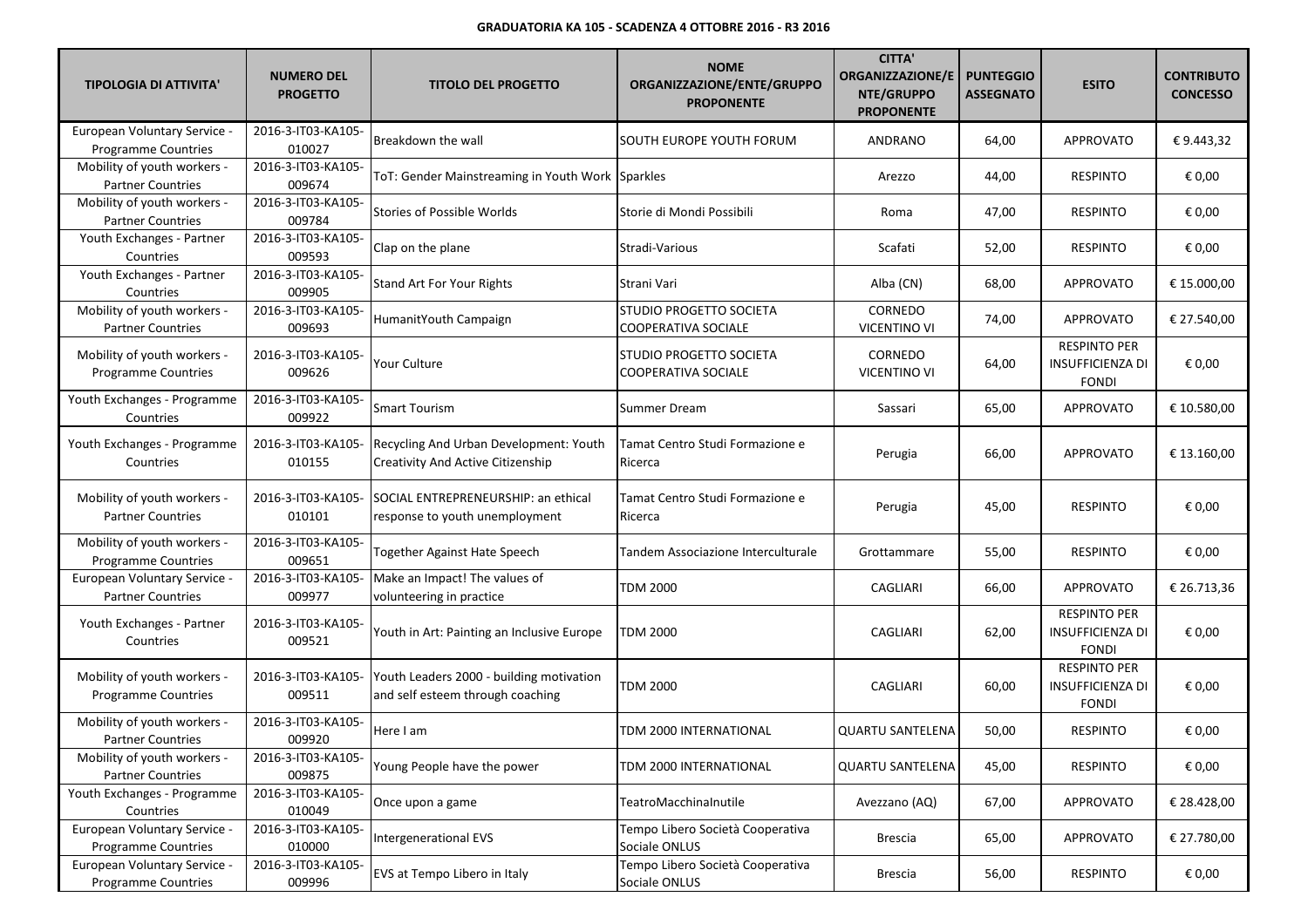| <b>TIPOLOGIA DI ATTIVITA'</b>                              | <b>NUMERO DEL</b><br><b>PROGETTO</b> | <b>TITOLO DEL PROGETTO</b>                                                         | <b>NOME</b><br>ORGANIZZAZIONE/ENTE/GRUPPO<br><b>PROPONENTE</b> | <b>CITTA'</b><br><b>ORGANIZZAZIONE/E</b><br>NTE/GRUPPO<br><b>PROPONENTE</b> | <b>PUNTEGGIO</b><br><b>ASSEGNATO</b> | <b>ESITO</b>                                                   | <b>CONTRIBUTO</b><br><b>CONCESSO</b> |
|------------------------------------------------------------|--------------------------------------|------------------------------------------------------------------------------------|----------------------------------------------------------------|-----------------------------------------------------------------------------|--------------------------------------|----------------------------------------------------------------|--------------------------------------|
| European Voluntary Service -<br><b>Programme Countries</b> | 2016-3-IT03-KA105-<br>010027         | Breakdown the wall                                                                 | SOUTH EUROPE YOUTH FORUM                                       | ANDRANO                                                                     | 64,00                                | <b>APPROVATO</b>                                               | €9.443,32                            |
| Mobility of youth workers -<br><b>Partner Countries</b>    | 2016-3-IT03-KA105-<br>009674         | ToT: Gender Mainstreaming in Youth Work Sparkles                                   |                                                                | Arezzo                                                                      | 44,00                                | <b>RESPINTO</b>                                                | € 0,00                               |
| Mobility of youth workers -<br><b>Partner Countries</b>    | 2016-3-IT03-KA105-<br>009784         | <b>Stories of Possible Worlds</b>                                                  | Storie di Mondi Possibili                                      | Roma                                                                        | 47,00                                | <b>RESPINTO</b>                                                | € 0,00                               |
| Youth Exchanges - Partner<br>Countries                     | 2016-3-IT03-KA105-<br>009593         | Clap on the plane                                                                  | Stradi-Various                                                 | Scafati                                                                     | 52,00                                | <b>RESPINTO</b>                                                | € 0,00                               |
| Youth Exchanges - Partner<br>Countries                     | 2016-3-IT03-KA105-<br>009905         | <b>Stand Art For Your Rights</b>                                                   | Strani Vari                                                    | Alba (CN)                                                                   | 68,00                                | <b>APPROVATO</b>                                               | € 15.000,00                          |
| Mobility of youth workers -<br><b>Partner Countries</b>    | 2016-3-IT03-KA105-<br>009693         | HumanitYouth Campaign                                                              | STUDIO PROGETTO SOCIETA<br>COOPERATIVA SOCIALE                 | CORNEDO<br><b>VICENTINO VI</b>                                              | 74,00                                | APPROVATO                                                      | € 27.540,00                          |
| Mobility of youth workers -<br>Programme Countries         | 2016-3-IT03-KA105-<br>009626         | Your Culture                                                                       | STUDIO PROGETTO SOCIETA<br>COOPERATIVA SOCIALE                 | CORNEDO<br><b>VICENTINO VI</b>                                              | 64,00                                | <b>RESPINTO PER</b><br><b>INSUFFICIENZA DI</b><br><b>FONDI</b> | € 0,00                               |
| Youth Exchanges - Programme<br>Countries                   | 2016-3-IT03-KA105-<br>009922         | <b>Smart Tourism</b>                                                               | Summer Dream                                                   | Sassari                                                                     | 65,00                                | <b>APPROVATO</b>                                               | € 10.580,00                          |
| Youth Exchanges - Programme<br>Countries                   | 2016-3-IT03-KA105-<br>010155         | Recycling And Urban Development: Youth<br><b>Creativity And Active Citizenship</b> | Tamat Centro Studi Formazione e<br>Ricerca                     | Perugia                                                                     | 66,00                                | <b>APPROVATO</b>                                               | € 13.160.00                          |
| Mobility of youth workers -<br><b>Partner Countries</b>    | 2016-3-IT03-KA105-<br>010101         | SOCIAL ENTREPRENEURSHIP: an ethical<br>response to youth unemployment              | Tamat Centro Studi Formazione e<br>Ricerca                     | Perugia                                                                     | 45,00                                | <b>RESPINTO</b>                                                | € 0,00                               |
| Mobility of youth workers -<br>Programme Countries         | 2016-3-IT03-KA105-<br>009651         | Together Against Hate Speech                                                       | Tandem Associazione Interculturale                             | Grottammare                                                                 | 55,00                                | <b>RESPINTO</b>                                                | € 0,00                               |
| European Voluntary Service -<br><b>Partner Countries</b>   | 2016-3-IT03-KA105-<br>009977         | Make an Impact! The values of<br>volunteering in practice                          | TDM 2000                                                       | CAGLIARI                                                                    | 66,00                                | APPROVATO                                                      | € 26.713,36                          |
| Youth Exchanges - Partner<br>Countries                     | 2016-3-IT03-KA105-<br>009521         | Youth in Art: Painting an Inclusive Europe                                         | TDM 2000                                                       | <b>CAGLIARI</b>                                                             | 62,00                                | <b>RESPINTO PER</b><br><b>INSUFFICIENZA DI</b><br><b>FONDI</b> | € 0,00                               |
| Mobility of youth workers -<br><b>Programme Countries</b>  | 2016-3-IT03-KA105-<br>009511         | Youth Leaders 2000 - building motivation<br>and self esteem through coaching       | TDM 2000                                                       | <b>CAGLIARI</b>                                                             | 60,00                                | <b>RESPINTO PER</b><br>INSUFFICIENZA DI<br><b>FONDI</b>        | € 0,00                               |
| Mobility of youth workers -<br><b>Partner Countries</b>    | 2016-3-IT03-KA105-<br>009920         | Here I am                                                                          | TDM 2000 INTERNATIONAL                                         | QUARTU SANTELENA                                                            | 50,00                                | <b>RESPINTO</b>                                                | € 0,00                               |
| Mobility of youth workers -<br><b>Partner Countries</b>    | 2016-3-IT03-KA105-<br>009875         | Young People have the power                                                        | TDM 2000 INTERNATIONAL                                         | <b>QUARTU SANTELENA</b>                                                     | 45,00                                | <b>RESPINTO</b>                                                | € 0,00                               |
| Youth Exchanges - Programme<br>Countries                   | 2016-3-IT03-KA105-<br>010049         | Once upon a game                                                                   | TeatroMacchinalnutile                                          | Avezzano (AQ)                                                               | 67,00                                | <b>APPROVATO</b>                                               | € 28.428,00                          |
| European Voluntary Service -<br>Programme Countries        | 2016-3-IT03-KA105-<br>010000         | Intergenerational EVS                                                              | Tempo Libero Società Cooperativa<br>Sociale ONLUS              | Brescia                                                                     | 65,00                                | <b>APPROVATO</b>                                               | € 27.780,00                          |
| European Voluntary Service -<br>Programme Countries        | 2016-3-IT03-KA105-<br>009996         | EVS at Tempo Libero in Italy                                                       | Tempo Libero Società Cooperativa<br>Sociale ONLUS              | <b>Brescia</b>                                                              | 56,00                                | RESPINTO                                                       | € 0,00                               |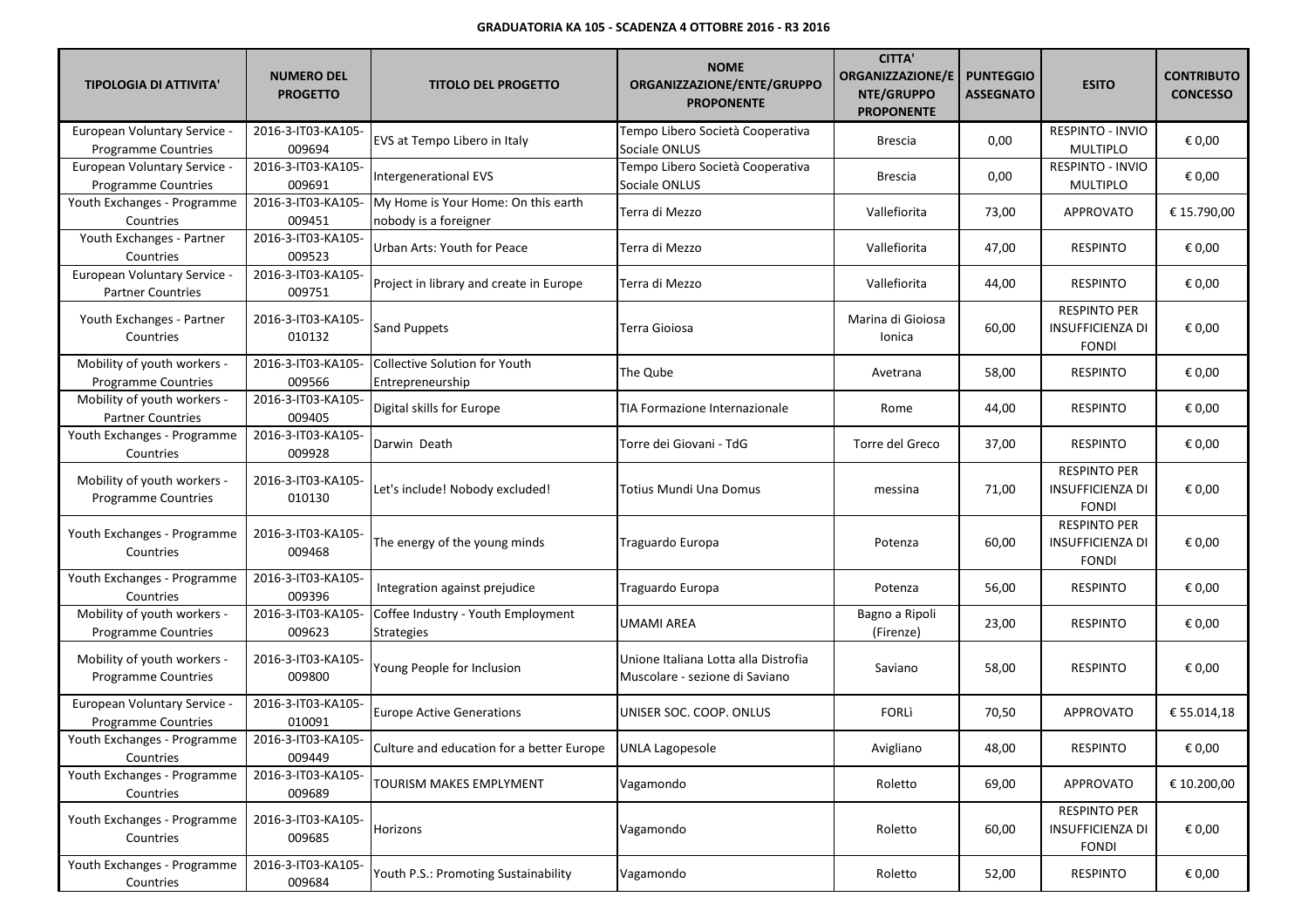| <b>TIPOLOGIA DI ATTIVITA'</b>                              | <b>NUMERO DEL</b><br><b>PROGETTO</b> | <b>TITOLO DEL PROGETTO</b>                                   | <b>NOME</b><br>ORGANIZZAZIONE/ENTE/GRUPPO<br><b>PROPONENTE</b>         | <b>CITTA'</b><br><b>ORGANIZZAZIONE/E</b><br>NTE/GRUPPO<br><b>PROPONENTE</b> | <b>PUNTEGGIO</b><br><b>ASSEGNATO</b> | <b>ESITO</b>                                            | <b>CONTRIBUTO</b><br><b>CONCESSO</b> |
|------------------------------------------------------------|--------------------------------------|--------------------------------------------------------------|------------------------------------------------------------------------|-----------------------------------------------------------------------------|--------------------------------------|---------------------------------------------------------|--------------------------------------|
| European Voluntary Service -<br><b>Programme Countries</b> | 2016-3-IT03-KA105-<br>009694         | EVS at Tempo Libero in Italy                                 | Tempo Libero Società Cooperativa<br>Sociale ONLUS                      | <b>Brescia</b>                                                              | 0,00                                 | RESPINTO - INVIO<br><b>MULTIPLO</b>                     | € 0,00                               |
| European Voluntary Service -<br>Programme Countries        | 2016-3-IT03-KA105-<br>009691         | Intergenerational EVS                                        | Tempo Libero Società Cooperativa<br>Sociale ONLUS                      | <b>Brescia</b>                                                              | 0,00                                 | RESPINTO - INVIO<br><b>MULTIPLO</b>                     | € 0,00                               |
| Youth Exchanges - Programme<br>Countries                   | 2016-3-IT03-KA105-<br>009451         | My Home is Your Home: On this earth<br>nobody is a foreigner | Terra di Mezzo                                                         | Vallefiorita                                                                | 73,00                                | <b>APPROVATO</b>                                        | € 15.790,00                          |
| Youth Exchanges - Partner<br>Countries                     | 2016-3-IT03-KA105-<br>009523         | Urban Arts: Youth for Peace                                  | Terra di Mezzo                                                         | Vallefiorita                                                                | 47,00                                | <b>RESPINTO</b>                                         | € 0,00                               |
| European Voluntary Service -<br><b>Partner Countries</b>   | 2016-3-IT03-KA105-<br>009751         | Project in library and create in Europe                      | Terra di Mezzo                                                         | Vallefiorita                                                                | 44,00                                | <b>RESPINTO</b>                                         | € 0,00                               |
| Youth Exchanges - Partner<br>Countries                     | 2016-3-IT03-KA105-<br>010132         | <b>Sand Puppets</b>                                          | Terra Gioiosa                                                          | Marina di Gioiosa<br>Ionica                                                 | 60,00                                | <b>RESPINTO PER</b><br>INSUFFICIENZA DI<br><b>FONDI</b> | € 0,00                               |
| Mobility of youth workers -<br>Programme Countries         | 2016-3-IT03-KA105-<br>009566         | Collective Solution for Youth<br>Entrepreneurship            | The Qube                                                               | Avetrana                                                                    | 58,00                                | <b>RESPINTO</b>                                         | € 0,00                               |
| Mobility of youth workers -<br><b>Partner Countries</b>    | 2016-3-IT03-KA105-<br>009405         | Digital skills for Europe                                    | TIA Formazione Internazionale                                          | Rome                                                                        | 44,00                                | <b>RESPINTO</b>                                         | € 0,00                               |
| Youth Exchanges - Programme<br>Countries                   | 2016-3-IT03-KA105-<br>009928         | Darwin Death                                                 | Torre dei Giovani - TdG                                                | Torre del Greco                                                             | 37,00                                | <b>RESPINTO</b>                                         | € 0,00                               |
| Mobility of youth workers -<br>Programme Countries         | 2016-3-IT03-KA105-<br>010130         | Let's include! Nobody excluded!                              | Totius Mundi Una Domus                                                 | messina                                                                     | 71,00                                | <b>RESPINTO PER</b><br>INSUFFICIENZA DI<br><b>FONDI</b> | € 0,00                               |
| Youth Exchanges - Programme<br>Countries                   | 2016-3-IT03-KA105-<br>009468         | The energy of the young minds                                | Traguardo Europa                                                       | Potenza                                                                     | 60,00                                | <b>RESPINTO PER</b><br>INSUFFICIENZA DI<br><b>FONDI</b> | € 0,00                               |
| Youth Exchanges - Programme<br>Countries                   | 2016-3-IT03-KA105-<br>009396         | Integration against prejudice                                | Traguardo Europa                                                       | Potenza                                                                     | 56,00                                | <b>RESPINTO</b>                                         | € 0,00                               |
| Mobility of youth workers -<br>Programme Countries         | 2016-3-IT03-KA105-<br>009623         | Coffee Industry - Youth Employment<br><b>Strategies</b>      | UMAMI AREA                                                             | Bagno a Ripoli<br>(Firenze)                                                 | 23,00                                | <b>RESPINTO</b>                                         | € 0,00                               |
| Mobility of youth workers -<br><b>Programme Countries</b>  | 2016-3-IT03-KA105-<br>009800         | Young People for Inclusion                                   | Unione Italiana Lotta alla Distrofia<br>Muscolare - sezione di Saviano | Saviano                                                                     | 58,00                                | <b>RESPINTO</b>                                         | € 0,00                               |
| European Voluntary Service -<br>Programme Countries        | 2016-3-IT03-KA105-<br>010091         | <b>Europe Active Generations</b>                             | UNISER SOC. COOP. ONLUS                                                | <b>FORLI</b>                                                                | 70,50                                | <b>APPROVATO</b>                                        | € 55.014,18                          |
| Youth Exchanges - Programme<br>Countries                   | 2016-3-IT03-KA105-<br>009449         | Culture and education for a better Europe   UNLA Lagopesole  |                                                                        | Avigliano                                                                   | 48,00                                | <b>RESPINTO</b>                                         | $\in$ 0,00                           |
| Youth Exchanges - Programme<br>Countries                   | 2016-3-IT03-KA105-<br>009689         | TOURISM MAKES EMPLYMENT                                      | Vagamondo                                                              | Roletto                                                                     | 69,00                                | <b>APPROVATO</b>                                        | € 10.200,00                          |
| Youth Exchanges - Programme<br>Countries                   | 2016-3-IT03-KA105-<br>009685         | Horizons                                                     | Vagamondo                                                              | Roletto                                                                     | 60,00                                | <b>RESPINTO PER</b><br>INSUFFICIENZA DI<br><b>FONDI</b> | € 0,00                               |
| Youth Exchanges - Programme<br>Countries                   | 2016-3-IT03-KA105-<br>009684         | Youth P.S.: Promoting Sustainability                         | Vagamondo                                                              | Roletto                                                                     | 52,00                                | <b>RESPINTO</b>                                         | € 0,00                               |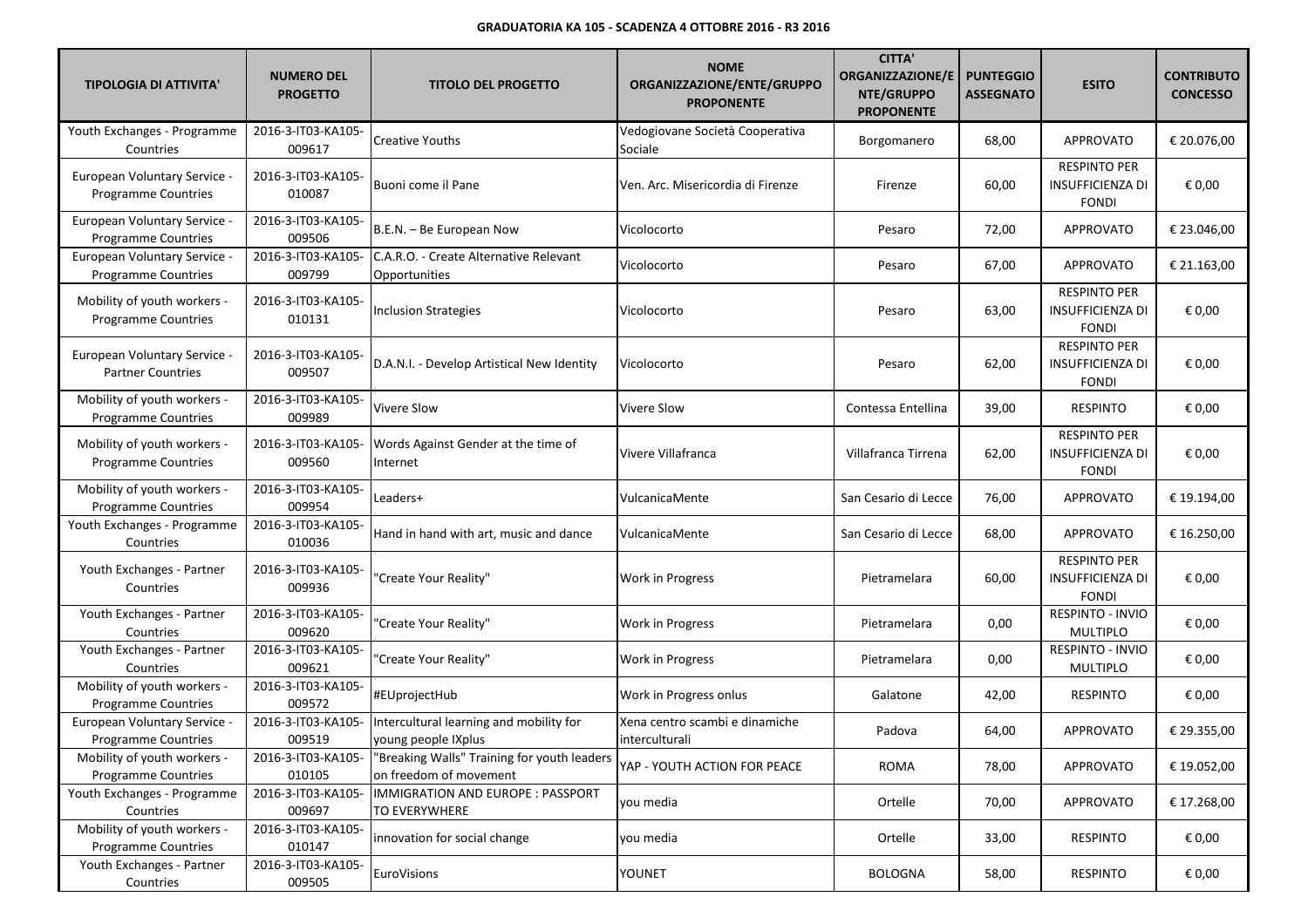| <b>TIPOLOGIA DI ATTIVITA'</b>                                     | <b>NUMERO DEL</b><br><b>PROGETTO</b> | <b>TITOLO DEL PROGETTO</b>                                            | <b>NOME</b><br>ORGANIZZAZIONE/ENTE/GRUPPO<br><b>PROPONENTE</b> | <b>CITTA'</b><br><b>ORGANIZZAZIONE/E</b><br>NTE/GRUPPO<br><b>PROPONENTE</b> | <b>PUNTEGGIO</b><br><b>ASSEGNATO</b> | <b>ESITO</b>                                                   | <b>CONTRIBUTO</b><br><b>CONCESSO</b> |
|-------------------------------------------------------------------|--------------------------------------|-----------------------------------------------------------------------|----------------------------------------------------------------|-----------------------------------------------------------------------------|--------------------------------------|----------------------------------------------------------------|--------------------------------------|
| Youth Exchanges - Programme<br>Countries                          | 2016-3-IT03-KA105-<br>009617         | <b>Creative Youths</b>                                                | Vedogiovane Società Cooperativa<br>Sociale                     | Borgomanero                                                                 | 68,00                                | <b>APPROVATO</b>                                               | € 20.076.00                          |
| <b>European Voluntary Service -</b><br><b>Programme Countries</b> | 2016-3-IT03-KA105-<br>010087         | Buoni come il Pane                                                    | Ven. Arc. Misericordia di Firenze                              | Firenze                                                                     | 60,00                                | <b>RESPINTO PER</b><br><b>INSUFFICIENZA DI</b><br><b>FONDI</b> | € 0,00                               |
| European Voluntary Service -<br><b>Programme Countries</b>        | 2016-3-IT03-KA105-<br>009506         | B.E.N. - Be European Now                                              | Vicolocorto                                                    | Pesaro                                                                      | 72,00                                | <b>APPROVATO</b>                                               | € 23.046,00                          |
| European Voluntary Service -<br>Programme Countries               | 2016-3-IT03-KA105-<br>009799         | C.A.R.O. - Create Alternative Relevant<br>Opportunities               | Vicolocorto                                                    | Pesaro                                                                      | 67,00                                | <b>APPROVATO</b>                                               | € 21.163,00                          |
| Mobility of youth workers -<br>Programme Countries                | 2016-3-IT03-KA105-<br>010131         | <b>Inclusion Strategies</b>                                           | Vicolocorto                                                    | Pesaro                                                                      | 63,00                                | <b>RESPINTO PER</b><br>INSUFFICIENZA DI<br><b>FONDI</b>        | € 0,00                               |
| European Voluntary Service -<br><b>Partner Countries</b>          | 2016-3-IT03-KA105-<br>009507         | D.A.N.I. - Develop Artistical New Identity                            | Vicolocorto                                                    | Pesaro                                                                      | 62,00                                | <b>RESPINTO PER</b><br><b>INSUFFICIENZA DI</b><br><b>FONDI</b> | € 0,00                               |
| Mobility of youth workers -<br><b>Programme Countries</b>         | 2016-3-IT03-KA105-<br>009989         | <b>Vivere Slow</b>                                                    | <b>Vivere Slow</b>                                             | Contessa Entellina                                                          | 39,00                                | <b>RESPINTO</b>                                                | € 0,00                               |
| Mobility of youth workers -<br><b>Programme Countries</b>         | 2016-3-IT03-KA105-<br>009560         | Words Against Gender at the time of<br>Internet                       | Vivere Villafranca                                             | Villafranca Tirrena                                                         | 62,00                                | <b>RESPINTO PER</b><br>INSUFFICIENZA DI<br><b>FONDI</b>        | € 0,00                               |
| Mobility of youth workers -<br>Programme Countries                | 2016-3-IT03-KA105-<br>009954         | Leaders+                                                              | VulcanicaMente                                                 | San Cesario di Lecce                                                        | 76,00                                | <b>APPROVATO</b>                                               | € 19.194,00                          |
| Youth Exchanges - Programme<br>Countries                          | 2016-3-IT03-KA105-<br>010036         | Hand in hand with art, music and dance                                | VulcanicaMente                                                 | San Cesario di Lecce                                                        | 68,00                                | <b>APPROVATO</b>                                               | € 16.250,00                          |
| Youth Exchanges - Partner<br>Countries                            | 2016-3-IT03-KA105-<br>009936         | 'Create Your Reality"                                                 | Work in Progress                                               | Pietramelara                                                                | 60,00                                | <b>RESPINTO PER</b><br>INSUFFICIENZA DI<br><b>FONDI</b>        | € 0,00                               |
| Youth Exchanges - Partner<br>Countries                            | 2016-3-IT03-KA105-<br>009620         | "Create Your Reality"                                                 | Work in Progress                                               | Pietramelara                                                                | 0,00                                 | RESPINTO - INVIO<br><b>MULTIPLO</b>                            | € 0,00                               |
| Youth Exchanges - Partner<br>Countries                            | 2016-3-IT03-KA105-<br>009621         | "Create Your Reality"                                                 | Work in Progress                                               | Pietramelara                                                                | 0,00                                 | RESPINTO - INVIO<br><b>MULTIPLO</b>                            | € 0,00                               |
| Mobility of youth workers -<br>Programme Countries                | 2016-3-IT03-KA105-<br>009572         | #EUprojectHub                                                         | Work in Progress onlus                                         | Galatone                                                                    | 42,00                                | <b>RESPINTO</b>                                                | € 0,00                               |
| European Voluntary Service -<br><b>Programme Countries</b>        | 2016-3-IT03-KA105-<br>009519         | Intercultural learning and mobility for<br>young people IXplus        | Xena centro scambi e dinamiche<br>interculturali               | Padova                                                                      | 64,00                                | <b>APPROVATO</b>                                               | € 29.355,00                          |
| Mobility of youth workers -<br><b>Programme Countries</b>         | 2016-3-IT03-KA105-<br>010105         | "Breaking Walls" Training for youth leaders<br>on freedom of movement | YAP - YOUTH ACTION FOR PEACE                                   | <b>ROMA</b>                                                                 | 78,00                                | <b>APPROVATO</b>                                               | € 19.052,00                          |
| Youth Exchanges - Programme<br>Countries                          | 2016-3-IT03-KA105-<br>009697         | IMMIGRATION AND EUROPE : PASSPORT<br>TO EVERYWHERE                    | you media                                                      | Ortelle                                                                     | 70,00                                | <b>APPROVATO</b>                                               | € 17.268,00                          |
| Mobility of youth workers -<br>Programme Countries                | 2016-3-IT03-KA105-<br>010147         | innovation for social change                                          | you media                                                      | Ortelle                                                                     | 33,00                                | <b>RESPINTO</b>                                                | € 0,00                               |
| Youth Exchanges - Partner<br>Countries                            | 2016-3-IT03-KA105-<br>009505         | EuroVisions                                                           | YOUNET                                                         | <b>BOLOGNA</b>                                                              | 58,00                                | RESPINTO                                                       | € 0,00                               |